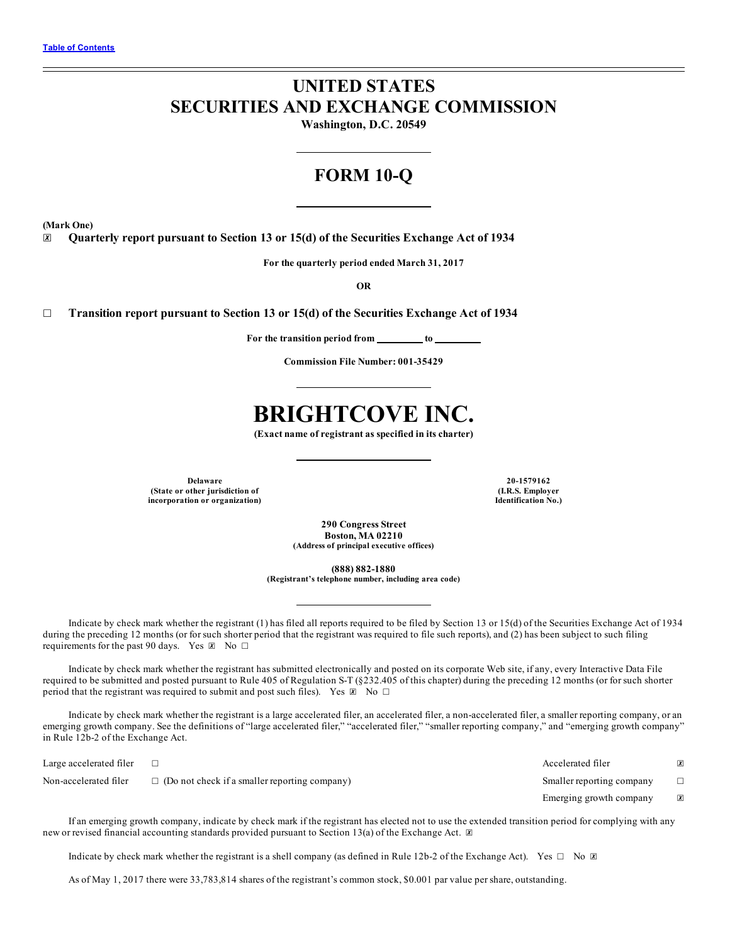# **UNITED STATES SECURITIES AND EXCHANGE COMMISSION**

**Washington, D.C. 20549**

## **FORM 10-Q**

**(Mark One)**

☒ **Quarterly report pursuant to Section 13 or 15(d) of the Securities Exchange Act of 1934**

**For the quarterly period ended March 31, 2017**

**OR**

☐ **Transition report pursuant to Section 13 or 15(d) of the Securities Exchange Act of 1934**

**For the transition period from to**

**Commission File Number: 001-35429**

# **BRIGHTCOVE INC.**

**(Exact name of registrant as specified in its charter)**

**Delaware 20-1579162 (State or other jurisdiction of incorporation or organization)**

**(I.R.S. Employer Identification No.)**

**290 Congress Street Boston, MA 02210 (Address of principal executive offices)**

**(888) 882-1880**

**(Registrant's telephone number, including area code)**

Indicate by check mark whether the registrant (1) has filed all reports required to be filed by Section 13 or 15(d) of the Securities Exchange Act of 1934 during the preceding 12 months (or for such shorter period that the registrant was required to file such reports), and (2) has been subject to such filing requirements for the past 90 days. Yes  $\boxtimes$  No  $\Box$ 

Indicate by check mark whether the registrant has submitted electronically and posted on its corporate Web site, if any, every Interactive Data File required to be submitted and posted pursuant to Rule 405 of Regulation S-T (§232.405 of this chapter) during the preceding 12 months (or for such shorter period that the registrant was required to submit and post such files). Yes  $\boxtimes \text{ No } \square$ 

Indicate by check mark whether the registrant is a large accelerated filer, an accelerated filer, a non-accelerated filer, a smaller reporting company, or an emerging growth company. See the definitions of "large accelerated filer," "accelerated filer," "smaller reporting company," and "emerging growth company" in Rule 12b-2 of the Exchange Act.

| Large accelerated filer |                                                      | Accelerated filer         |              |
|-------------------------|------------------------------------------------------|---------------------------|--------------|
| Non-accelerated filer   | $\Box$ (Do not check if a smaller reporting company) | Smaller reporting company |              |
|                         |                                                      | Emerging growth company   | $\mathbf{x}$ |

If an emerging growth company, indicate by check mark if the registrant has elected not to use the extended transition period for complying with any new or revised financial accounting standards provided pursuant to Section 13(a) of the Exchange Act.  $\boxtimes$ 

Indicate by check mark whether the registrant is a shell company (as defined in Rule 12b-2 of the Exchange Act). Yes  $\Box$  No  $\Box$ 

As of May 1, 2017 there were 33,783,814 shares of the registrant's common stock, \$0.001 par value per share, outstanding.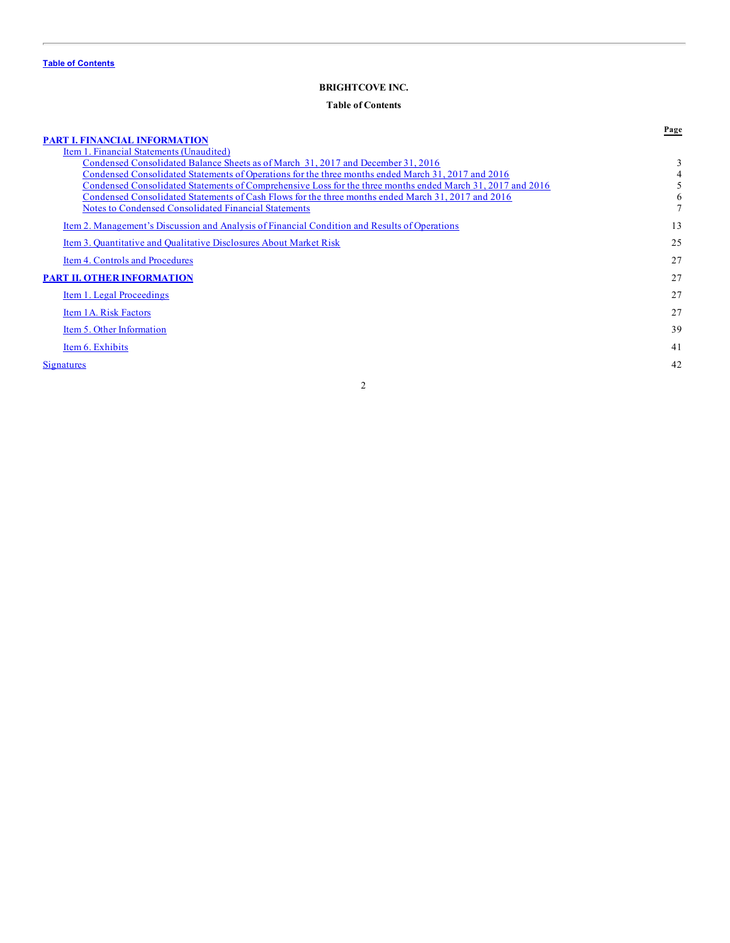## **BRIGHTCOVE INC.**

## **Table of Contents**

<span id="page-2-0"></span>

| <b>PART I. FINANCIAL INFORMATION</b>                                                                       | Page |
|------------------------------------------------------------------------------------------------------------|------|
| Item 1. Financial Statements (Unaudited)                                                                   |      |
| Condensed Consolidated Balance Sheets as of March 31, 2017 and December 31, 2016                           | 3    |
| Condensed Consolidated Statements of Operations for the three months ended March 31, 2017 and 2016         |      |
| Condensed Consolidated Statements of Comprehensive Loss for the three months ended March 31, 2017 and 2016 | 5    |
| Condensed Consolidated Statements of Cash Flows for the three months ended March 31, 2017 and 2016         | 6    |
| <b>Notes to Condensed Consolidated Financial Statements</b>                                                |      |
| Item 2. Management's Discussion and Analysis of Financial Condition and Results of Operations              | 13   |
| Item 3. Quantitative and Qualitative Disclosures About Market Risk                                         | 25   |
| Item 4. Controls and Procedures                                                                            | 27   |
| <b>PART II. OTHER INFORMATION</b>                                                                          | 27   |
| Item 1. Legal Proceedings                                                                                  | 27   |
| Item 1A. Risk Factors                                                                                      | 27   |
| Item 5. Other Information                                                                                  | 39   |
| Item 6. Exhibits                                                                                           | 41   |
| <b>Signatures</b>                                                                                          | 42   |
| $\mathfrak{D}$                                                                                             |      |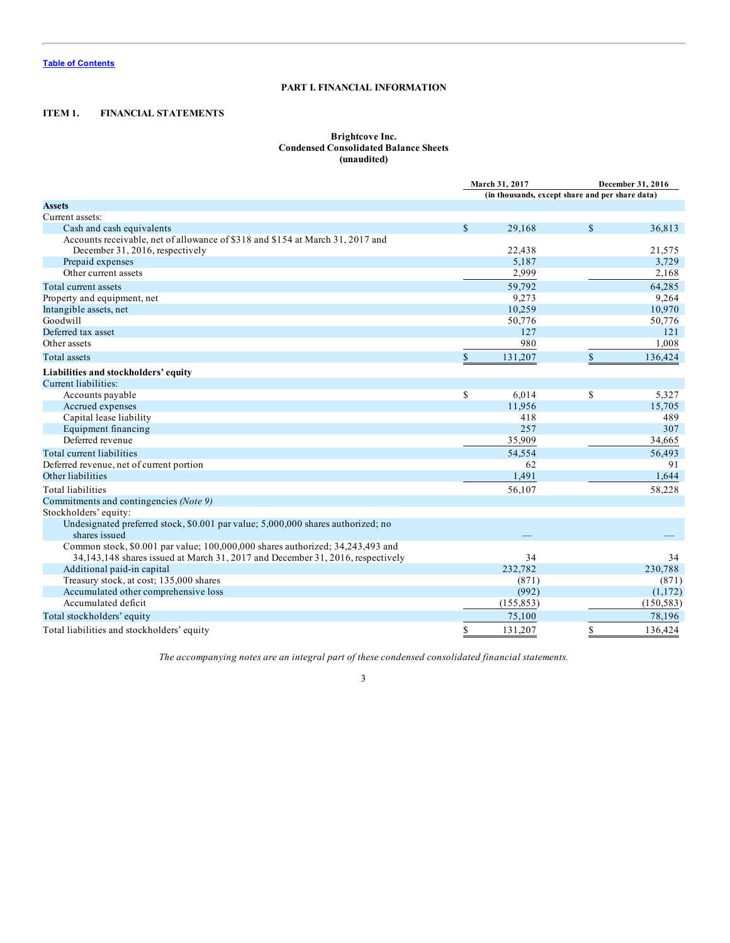## **PART I. FINANCIAL INFORMATION**

## <span id="page-3-0"></span>**ITEM 1. FINANCIAL STATEMENTS**

## **Brightcove Inc. Condensed Consolidated Balance Sheets (unaudited)**

|                                                                                                   | March 31, 2017<br>December 31, 2016             |            |              |            |
|---------------------------------------------------------------------------------------------------|-------------------------------------------------|------------|--------------|------------|
|                                                                                                   | (in thousands, except share and per share data) |            |              |            |
| <b>Assets</b>                                                                                     |                                                 |            |              |            |
| Current assets:                                                                                   |                                                 |            |              |            |
| Cash and cash equivalents                                                                         | \$                                              | 29,168     | $\mathbb{S}$ | 36,813     |
| Accounts receivable, net of allowance of \$318 and \$154 at March 31, 2017 and                    |                                                 |            |              |            |
| December 31, 2016, respectively                                                                   |                                                 | 22,438     |              | 21,575     |
| Prepaid expenses                                                                                  |                                                 | 5,187      |              | 3,729      |
| Other current assets                                                                              |                                                 | 2,999      |              | 2,168      |
| Total current assets                                                                              |                                                 | 59,792     |              | 64,285     |
| Property and equipment, net                                                                       |                                                 | 9,273      |              | 9,264      |
| Intangible assets, net                                                                            |                                                 | 10,259     |              | 10,970     |
| Goodwill                                                                                          |                                                 | 50,776     |              | 50,776     |
| Deferred tax asset                                                                                |                                                 | 127        |              | 121        |
| Other assets                                                                                      |                                                 | 980        |              | 1,008      |
| <b>Total</b> assets                                                                               | \$                                              | 131,207    | \$           | 136,424    |
| Liabilities and stockholders' equity                                                              |                                                 |            |              |            |
| Current liabilities:                                                                              |                                                 |            |              |            |
| Accounts payable                                                                                  | \$                                              | 6,014      | \$           | 5,327      |
| Accrued expenses                                                                                  |                                                 | 11,956     |              | 15,705     |
| Capital lease liability                                                                           |                                                 | 418        |              | 489        |
| Equipment financing                                                                               |                                                 | 257        |              | 307        |
| Deferred revenue                                                                                  |                                                 | 35,909     |              | 34,665     |
| Total current liabilities                                                                         |                                                 | 54,554     |              | 56,493     |
| Deferred revenue, net of current portion                                                          |                                                 | 62         |              | 91         |
| Other liabilities                                                                                 |                                                 | 1,491      |              | 1,644      |
| <b>Total liabilities</b>                                                                          |                                                 | 56,107     |              | 58,228     |
| Commitments and contingencies (Note 9)                                                            |                                                 |            |              |            |
| Stockholders' equity:                                                                             |                                                 |            |              |            |
| Undesignated preferred stock, \$0.001 par value; 5,000,000 shares authorized; no<br>shares issued |                                                 |            |              |            |
| Common stock, \$0.001 par value; 100,000,000 shares authorized; 34,243,493 and                    |                                                 |            |              |            |
| 34,143,148 shares issued at March 31, 2017 and December 31, 2016, respectively                    |                                                 | 34         |              | 34         |
| Additional paid-in capital                                                                        |                                                 | 232,782    |              | 230,788    |
| Treasury stock, at cost; 135,000 shares                                                           |                                                 | (871)      |              | (871)      |
| Accumulated other comprehensive loss                                                              |                                                 | (992)      |              | (1,172)    |
| Accumulated deficit                                                                               |                                                 | (155, 853) |              | (150, 583) |
| Total stockholders' equity                                                                        |                                                 | 75,100     |              | 78,196     |
| Total liabilities and stockholders' equity                                                        | \$                                              | 131,207    | \$           | 136,424    |

*The accompanying notes are an integral part of these condensed consolidated financial statements.*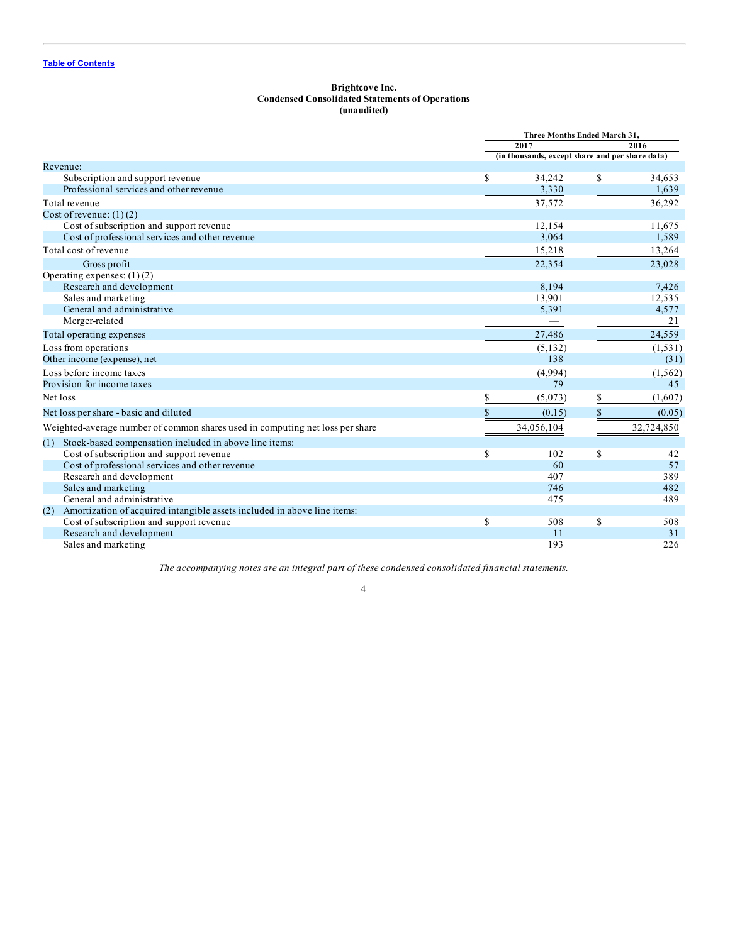## **Brightcove Inc. Condensed Consolidated Statements of Operations (unaudited)**

<span id="page-4-0"></span>

|                                                                                 | <b>Three Months Ended March 31.</b>             |    |            |
|---------------------------------------------------------------------------------|-------------------------------------------------|----|------------|
|                                                                                 | 2017                                            |    | 2016       |
|                                                                                 | (in thousands, except share and per share data) |    |            |
| Revenue:                                                                        |                                                 |    |            |
| Subscription and support revenue                                                | \$<br>34,242                                    | \$ | 34,653     |
| Professional services and other revenue                                         | 3,330                                           |    | 1,639      |
| Total revenue                                                                   | 37,572                                          |    | 36,292     |
| Cost of revenue: $(1)(2)$                                                       |                                                 |    |            |
| Cost of subscription and support revenue                                        | 12,154                                          |    | 11,675     |
| Cost of professional services and other revenue                                 | 3,064                                           |    | 1,589      |
| Total cost of revenue                                                           | 15,218                                          |    | 13,264     |
| Gross profit                                                                    | 22,354                                          |    | 23,028     |
| Operating expenses: $(1)(2)$                                                    |                                                 |    |            |
| Research and development                                                        | 8,194                                           |    | 7,426      |
| Sales and marketing                                                             | 13,901                                          |    | 12,535     |
| General and administrative                                                      | 5,391                                           |    | 4,577      |
| Merger-related                                                                  |                                                 |    | 21         |
| Total operating expenses                                                        | 27,486                                          |    | 24,559     |
| Loss from operations                                                            | (5, 132)                                        |    | (1, 531)   |
| Other income (expense), net                                                     | 138                                             |    | (31)       |
| Loss before income taxes                                                        | (4,994)                                         |    | (1, 562)   |
| Provision for income taxes                                                      | 79                                              |    | 45         |
| Net loss                                                                        | \$<br>(5,073)                                   | \$ | (1,607)    |
| Net loss per share - basic and diluted                                          | \$<br>(0.15)                                    | \$ | (0.05)     |
| Weighted-average number of common shares used in computing net loss per share   | 34,056,104                                      |    | 32,724,850 |
| Stock-based compensation included in above line items:<br>(1)                   |                                                 |    |            |
| Cost of subscription and support revenue                                        | \$<br>102                                       | \$ | 42         |
| Cost of professional services and other revenue                                 | 60                                              |    | 57         |
| Research and development                                                        | 407                                             |    | 389        |
| Sales and marketing                                                             | 746                                             |    | 482        |
| General and administrative                                                      | 475                                             |    | 489        |
| Amortization of acquired intangible assets included in above line items:<br>(2) |                                                 |    |            |
| Cost of subscription and support revenue                                        | \$<br>508                                       | \$ | 508        |
| Research and development                                                        | 11                                              |    | 31         |
| Sales and marketing                                                             | 193                                             |    | 226        |

*The accompanying notes are an integral part of these condensed consolidated financial statements.*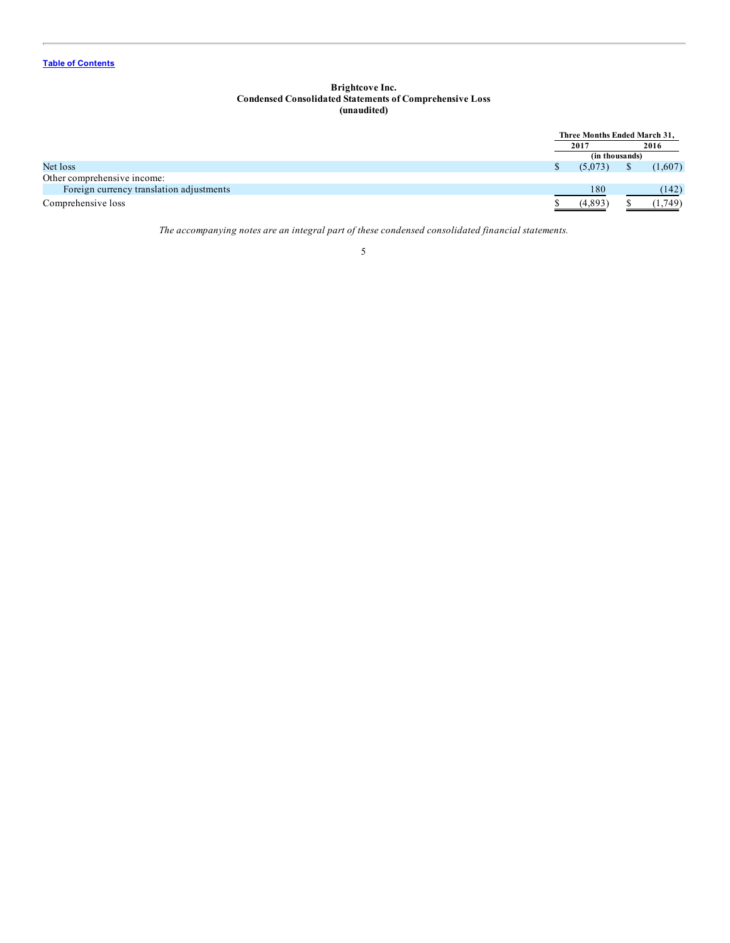#### **Brightcove Inc. Condensed Consolidated Statements of Comprehensive Loss (unaudited)**

<span id="page-5-0"></span>

|                                          | Three Months Ended March 31, |  |         |
|------------------------------------------|------------------------------|--|---------|
|                                          | 2017                         |  | 2016    |
|                                          | (in thousands)               |  |         |
| Net loss                                 | (5,073)                      |  | (1,607) |
| Other comprehensive income:              |                              |  |         |
| Foreign currency translation adjustments | 180                          |  | (142)   |
| Comprehensive loss                       | (4,893)                      |  | (1,749) |

*The accompanying notes are an integral part of these condensed consolidated financial statements.*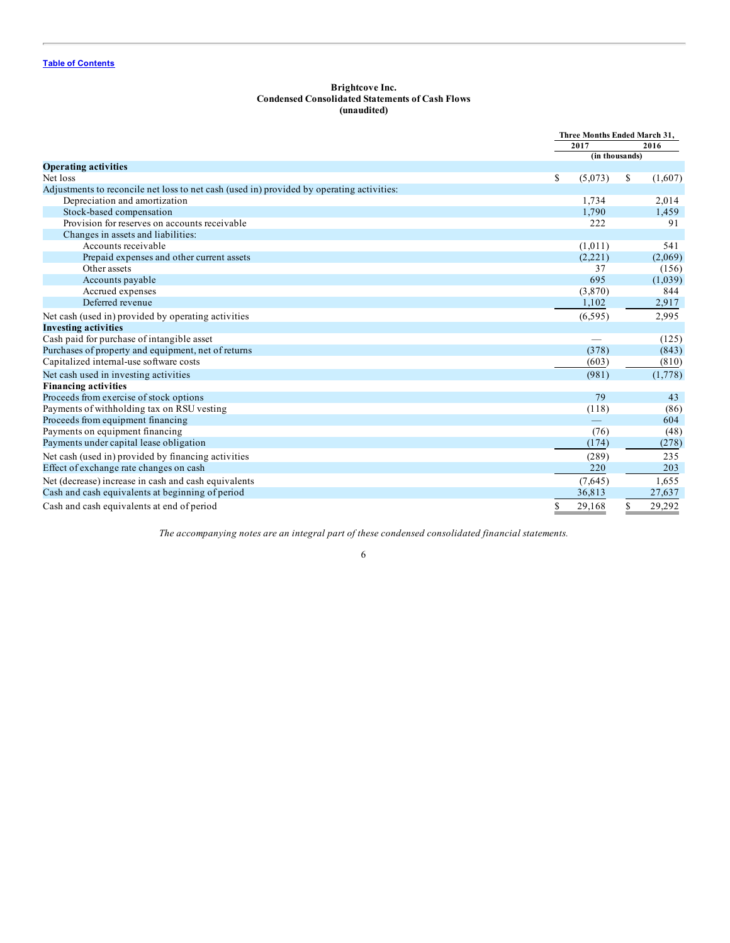## **Brightcove Inc. Condensed Consolidated Statements of Cash Flows (unaudited)**

<span id="page-6-0"></span>

|                                                                                           |               | Three Months Ended March 31, |
|-------------------------------------------------------------------------------------------|---------------|------------------------------|
|                                                                                           | 2017          | 2016                         |
|                                                                                           |               | (in thousands)               |
| <b>Operating activities</b>                                                               |               |                              |
| Net loss                                                                                  | \$<br>(5,073) | \$<br>(1,607)                |
| Adjustments to reconcile net loss to net cash (used in) provided by operating activities: |               |                              |
| Depreciation and amortization                                                             | 1,734         | 2,014                        |
| Stock-based compensation                                                                  | 1,790         | 1,459                        |
| Provision for reserves on accounts receivable                                             | 222           | 91                           |
| Changes in assets and liabilities:                                                        |               |                              |
| Accounts receivable                                                                       | (1,011)       | 541                          |
| Prepaid expenses and other current assets                                                 | (2,221)       | (2,069)                      |
| Other assets                                                                              | 37            | (156)                        |
| Accounts payable                                                                          | 695           | (1,039)                      |
| Accrued expenses                                                                          | (3,870)       | 844                          |
| Deferred revenue                                                                          | 1,102         | 2,917                        |
| Net cash (used in) provided by operating activities                                       | (6,595)       | 2,995                        |
| <b>Investing activities</b>                                                               |               |                              |
| Cash paid for purchase of intangible asset                                                |               | (125)                        |
| Purchases of property and equipment, net of returns                                       | (378)         | (843)                        |
| Capitalized internal-use software costs                                                   | (603)         | (810)                        |
| Net cash used in investing activities                                                     | (981)         | (1,778)                      |
| <b>Financing activities</b>                                                               |               |                              |
| Proceeds from exercise of stock options                                                   | 79            | 43                           |
| Payments of withholding tax on RSU vesting                                                | (118)         | (86)                         |
| Proceeds from equipment financing                                                         |               | 604                          |
| Payments on equipment financing                                                           | (76)          | (48)                         |
| Payments under capital lease obligation                                                   | (174)         | (278)                        |
| Net cash (used in) provided by financing activities                                       | (289)         | 235                          |
| Effect of exchange rate changes on cash                                                   | 220           | 203                          |
| Net (decrease) increase in cash and cash equivalents                                      | (7,645)       | 1,655                        |
| Cash and cash equivalents at beginning of period                                          | 36,813        | 27,637                       |
| Cash and cash equivalents at end of period                                                | \$<br>29,168  | \$<br>29,292                 |

*The accompanying notes are an integral part of these condensed consolidated financial statements.*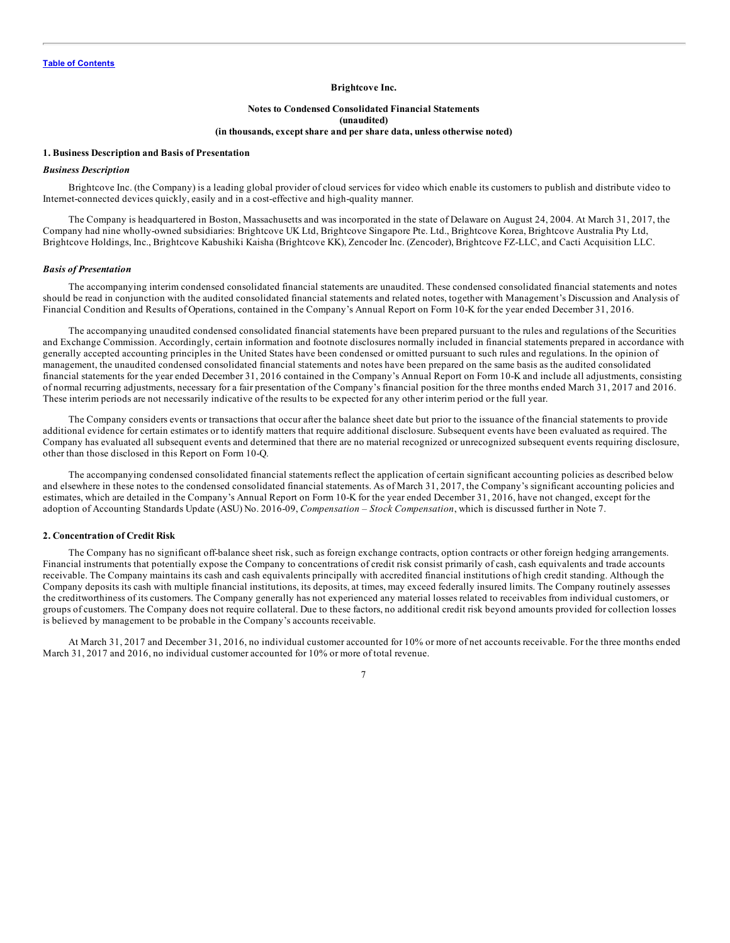#### **Brightcove Inc.**

## **Notes to Condensed Consolidated Financial Statements (unaudited) (in thousands, except share and per share data, unless otherwise noted)**

#### <span id="page-7-0"></span>**1. Business Description and Basis of Presentation**

#### *Business Description*

Brightcove Inc. (the Company) is a leading global provider of cloud services for video which enable its customers to publish and distribute video to Internet-connected devices quickly, easily and in a cost-effective and high-quality manner.

The Company is headquartered in Boston, Massachusetts and was incorporated in the state of Delaware on August 24, 2004. At March 31, 2017, the Company had nine wholly-owned subsidiaries: Brightcove UK Ltd, Brightcove Singapore Pte. Ltd., Brightcove Korea, Brightcove Australia Pty Ltd, Brightcove Holdings, Inc., Brightcove Kabushiki Kaisha (Brightcove KK), Zencoder Inc. (Zencoder), Brightcove FZ-LLC, and Cacti Acquisition LLC.

#### *Basis of Presentation*

The accompanying interim condensed consolidated financial statements are unaudited. These condensed consolidated financial statements and notes should be read in conjunction with the audited consolidated financial statements and related notes, together with Management's Discussion and Analysis of Financial Condition and Results of Operations, contained in the Company's Annual Report on Form 10-K for the year ended December 31, 2016.

The accompanying unaudited condensed consolidated financial statements have been prepared pursuant to the rules and regulations of the Securities and Exchange Commission. Accordingly, certain information and footnote disclosures normally included in financial statements prepared in accordance with generally accepted accounting principles in the United States have been condensed or omitted pursuant to such rules and regulations. In the opinion of management, the unaudited condensed consolidated financial statements and notes have been prepared on the same basis as the audited consolidated financial statements for the year ended December 31, 2016 contained in the Company's Annual Report on Form 10-K and include all adjustments, consisting of normal recurring adjustments, necessary for a fair presentation of the Company's financial position for the three months ended March 31, 2017 and 2016. These interim periods are not necessarily indicative of the results to be expected for any other interim period or the full year.

The Company considers events or transactions that occur after the balance sheet date but prior to the issuance of the financial statements to provide additional evidence for certain estimates or to identify matters that require additional disclosure. Subsequent events have been evaluated as required. The Company has evaluated all subsequent events and determined that there are no material recognized or unrecognized subsequent events requiring disclosure, other than those disclosed in this Report on Form 10-Q.

The accompanying condensed consolidated financial statements reflect the application of certain significant accounting policies as described below and elsewhere in these notes to the condensed consolidated financial statements. As of March 31, 2017, the Company's significant accounting policies and estimates, which are detailed in the Company's Annual Report on Form 10-K for the year ended December 31, 2016, have not changed, except for the adoption of Accounting Standards Update (ASU) No. 2016-09, *Compensation – Stock Compensation*, which is discussed further in Note 7.

#### **2. Concentration of Credit Risk**

The Company has no significant off-balance sheet risk, such as foreign exchange contracts, option contracts or other foreign hedging arrangements. Financial instruments that potentially expose the Company to concentrations of credit risk consist primarily of cash, cash equivalents and trade accounts receivable. The Company maintains its cash and cash equivalents principally with accredited financial institutions of high credit standing. Although the Company deposits its cash with multiple financial institutions, its deposits, at times, may exceed federally insured limits. The Company routinely assesses the creditworthiness of its customers. The Company generally has not experienced any material losses related to receivables from individual customers, or groups of customers. The Company does not require collateral. Due to these factors, no additional credit risk beyond amounts provided for collection losses is believed by management to be probable in the Company's accounts receivable.

At March 31, 2017 and December 31, 2016, no individual customer accounted for 10% or more of net accounts receivable. For the three months ended March 31, 2017 and 2016, no individual customer accounted for 10% or more of total revenue.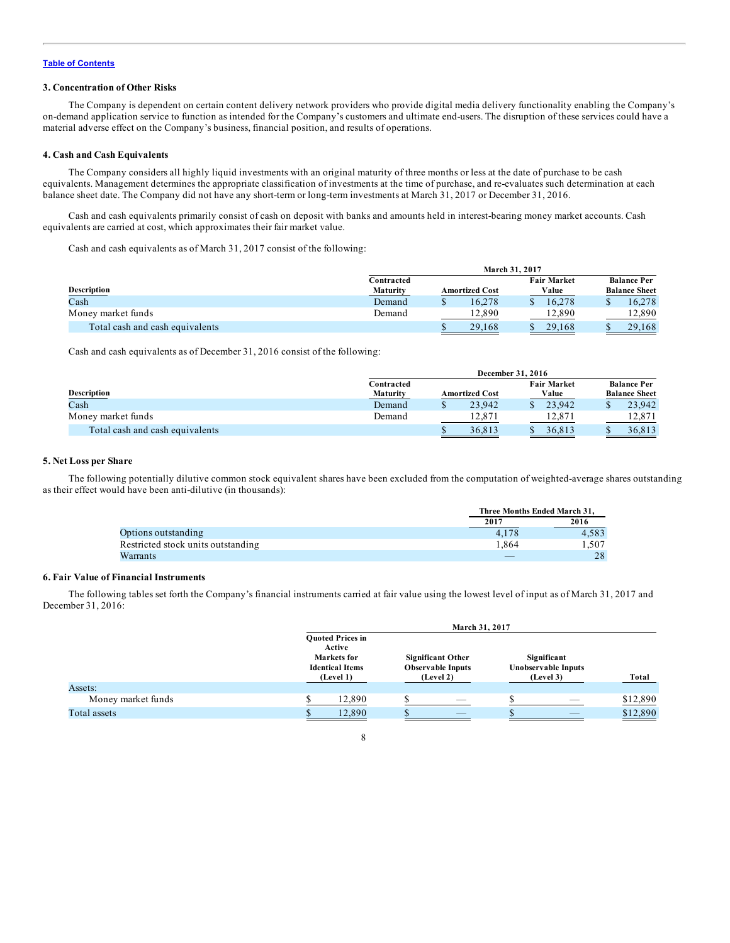## **3. Concentration of Other Risks**

The Company is dependent on certain content delivery network providers who provide digital media delivery functionality enabling the Company's on-demand application service to function as intended for the Company's customers and ultimate end-users. The disruption of these services could have a material adverse effect on the Company's business, financial position, and results of operations.

## **4. Cash and Cash Equivalents**

The Company considers all highly liquid investments with an original maturity of three months or less at the date of purchase to be cash equivalents. Management determines the appropriate classification of investments at the time of purchase, and re-evaluates such determination at each balance sheet date. The Company did not have any short-term or long-term investments at March 31, 2017 or December 31, 2016.

Cash and cash equivalents primarily consist of cash on deposit with banks and amounts held in interest-bearing money market accounts. Cash equivalents are carried at cost, which approximates their fair market value.

Cash and cash equivalents as of March 31, 2017 consist of the following:

|                                 |                 | March 31, 2017        |                    |                      |  |  |  |  |
|---------------------------------|-----------------|-----------------------|--------------------|----------------------|--|--|--|--|
|                                 | Contracted      |                       | <b>Fair Market</b> | <b>Balance Per</b>   |  |  |  |  |
| <b>Description</b>              | <b>Maturity</b> | <b>Amortized Cost</b> | Value              | <b>Balance Sheet</b> |  |  |  |  |
| $\cosh$                         | Demand          | 16.278                | 16.278             | 16.278<br>ω          |  |  |  |  |
| Money market funds              | Demand          | 12.890                | 12.890             | 12.890               |  |  |  |  |
| Total cash and cash equivalents |                 | 29.168                | 29.168             | 29.168               |  |  |  |  |

Cash and cash equivalents as of December 31, 2016 consist of the following:

|                                 |                 | December 31, 2016 |                       |  |                    |  |                      |
|---------------------------------|-----------------|-------------------|-----------------------|--|--------------------|--|----------------------|
|                                 | Contracted      |                   |                       |  | <b>Fair Market</b> |  | <b>Balance Per</b>   |
| <b>Description</b>              | <b>Maturity</b> |                   | <b>Amortized Cost</b> |  | Value              |  | <b>Balance Sheet</b> |
| Cash                            | Demand          |                   | 23.942                |  | 23.942             |  | 23.942               |
| Money market funds              | Demand          |                   | 12,871                |  | 12,871             |  | 12.871               |
| Total cash and cash equivalents |                 |                   | 36.813                |  | 36.813             |  | 36.813               |

#### **5. Net Loss per Share**

The following potentially dilutive common stock equivalent shares have been excluded from the computation of weighted-average shares outstanding as their effect would have been anti-dilutive (in thousands):

|                                    | Three Months Ended March 31. |       |
|------------------------------------|------------------------------|-------|
|                                    | 2017                         | 2016  |
| Options outstanding                | 4.178                        | 4.583 |
| Restricted stock units outstanding | 1.864                        | 1.507 |
| Warrants                           |                              | 28    |

#### **6. Fair Value of Financial Instruments**

The following tables set forth the Company's financial instruments carried at fair value using the lowest level of input as of March 31, 2017 and December 31, 2016:

|                    | March 31, 2017                                                                                 |                                                                   |                                                        |          |  |  |
|--------------------|------------------------------------------------------------------------------------------------|-------------------------------------------------------------------|--------------------------------------------------------|----------|--|--|
|                    | <b>Ouoted Prices in</b><br>Active<br><b>Markets</b> for<br><b>Identical Items</b><br>(Level 1) | <b>Significant Other</b><br><b>Observable Inputs</b><br>(Level 2) | Significant<br><b>Unobservable Inputs</b><br>(Level 3) | Total    |  |  |
| Assets:            |                                                                                                |                                                                   |                                                        |          |  |  |
| Money market funds | 12,890                                                                                         |                                                                   |                                                        | \$12,890 |  |  |
| Total assets       | 12,890                                                                                         |                                                                   |                                                        | \$12,890 |  |  |

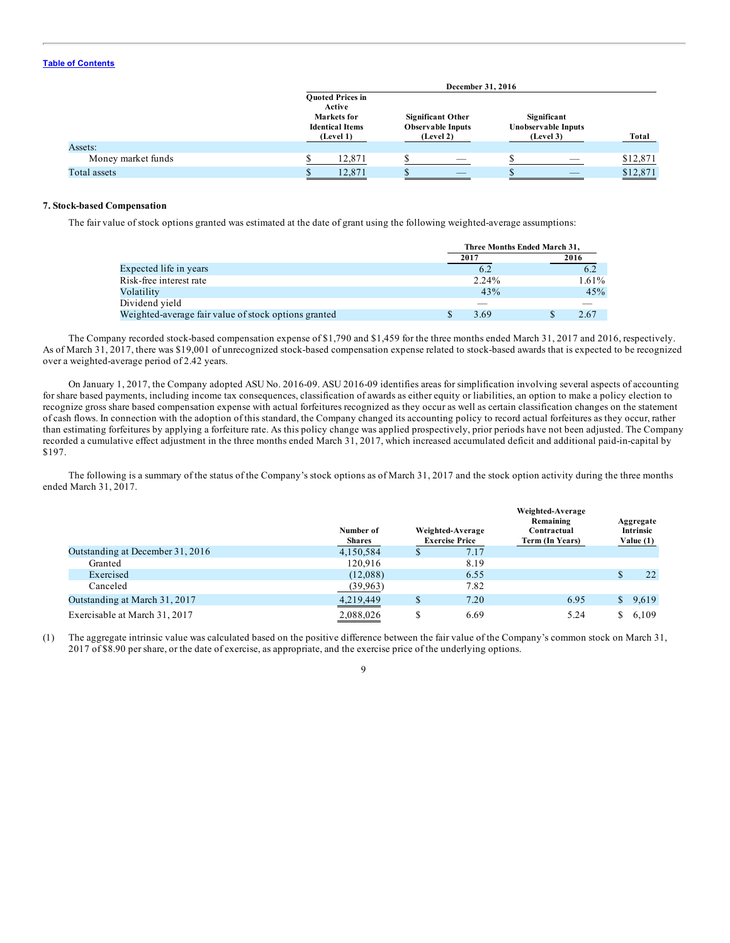|                    | December 31, 2016                                                                              |                                                                   |     |                                                        |        |          |
|--------------------|------------------------------------------------------------------------------------------------|-------------------------------------------------------------------|-----|--------------------------------------------------------|--------|----------|
|                    | <b>Ouoted Prices in</b><br>Active<br><b>Markets</b> for<br><b>Identical Items</b><br>(Level 1) | <b>Significant Other</b><br><b>Observable Inputs</b><br>(Level 2) |     | Significant<br><b>Unobservable Inputs</b><br>(Level 3) |        | Total    |
| Assets:            |                                                                                                |                                                                   |     |                                                        |        |          |
| Money market funds | 12,871                                                                                         |                                                                   | $-$ |                                                        | $\sim$ | \$12,871 |
| Total assets       | 12,871                                                                                         |                                                                   | __  |                                                        |        | \$12,871 |

#### **7. Stock-based Compensation**

The fair value of stock options granted was estimated at the date of grant using the following weighted-average assumptions:

|                                                      | Three Months Ended March 31, |          |
|------------------------------------------------------|------------------------------|----------|
|                                                      | 2017                         | 2016     |
| Expected life in years                               | 6.2                          | 6.2      |
| Risk-free interest rate                              | 2.24%                        | $1.61\%$ |
| Volatility                                           | 43%                          | 45%      |
| Dividend yield                                       |                              |          |
| Weighted-average fair value of stock options granted | 3.69                         | 2.67     |

The Company recorded stock-based compensation expense of \$1,790 and \$1,459 for the three months ended March 31, 2017 and 2016, respectively. As of March 31, 2017, there was \$19,001 of unrecognized stock-based compensation expense related to stock-based awards that is expected to be recognized over a weighted-average period of 2.42 years.

On January 1, 2017, the Company adopted ASU No. 2016-09. ASU 2016-09 identifies areas for simplification involving several aspects of accounting for share based payments, including income tax consequences, classification of awards as either equity or liabilities, an option to make a policy election to recognize gross share based compensation expense with actual forfeitures recognized as they occur as well as certain classification changes on the statement of cash flows. In connection with the adoption of this standard, the Company changed its accounting policy to record actual forfeitures as they occur, rather than estimating forfeitures by applying a forfeiture rate. As this policy change was applied prospectively, prior periods have not been adjusted. The Company recorded a cumulative effect adjustment in the three months ended March 31, 2017, which increased accumulated deficit and additional paid-in-capital by \$197.

The following is a summary of the status of the Company's stock options as of March 31, 2017 and the stock option activity during the three months ended March 31, 2017.

|                                  | Number of<br><b>Shares</b> |    | Weighted-Average<br><b>Exercise Price</b> | Weighted-Average<br>Remaining<br>Contractual<br>Term (In Years) |    | Aggregate<br><b>Intrinsic</b><br>Value $(1)$ |
|----------------------------------|----------------------------|----|-------------------------------------------|-----------------------------------------------------------------|----|----------------------------------------------|
| Outstanding at December 31, 2016 | 4,150,584                  | S  | 7.17                                      |                                                                 |    |                                              |
| Granted                          | 120.916                    |    | 8.19                                      |                                                                 |    |                                              |
| Exercised                        | (12,088)                   |    | 6.55                                      |                                                                 |    | 22                                           |
| Canceled                         | (39,963)                   |    | 7.82                                      |                                                                 |    |                                              |
| Outstanding at March 31, 2017    | 4,219,449                  | \$ | 7.20                                      | 6.95                                                            |    | \$9,619                                      |
| Exercisable at March 31, 2017    | 2,088,026                  |    | 6.69                                      | 5.24                                                            | S. | 6.109                                        |

(1) The aggregate intrinsic value was calculated based on the positive difference between the fair value of the Company's common stock on March 31, 2017 of \$8.90 per share, or the date of exercise, as appropriate, and the exercise price of the underlying options.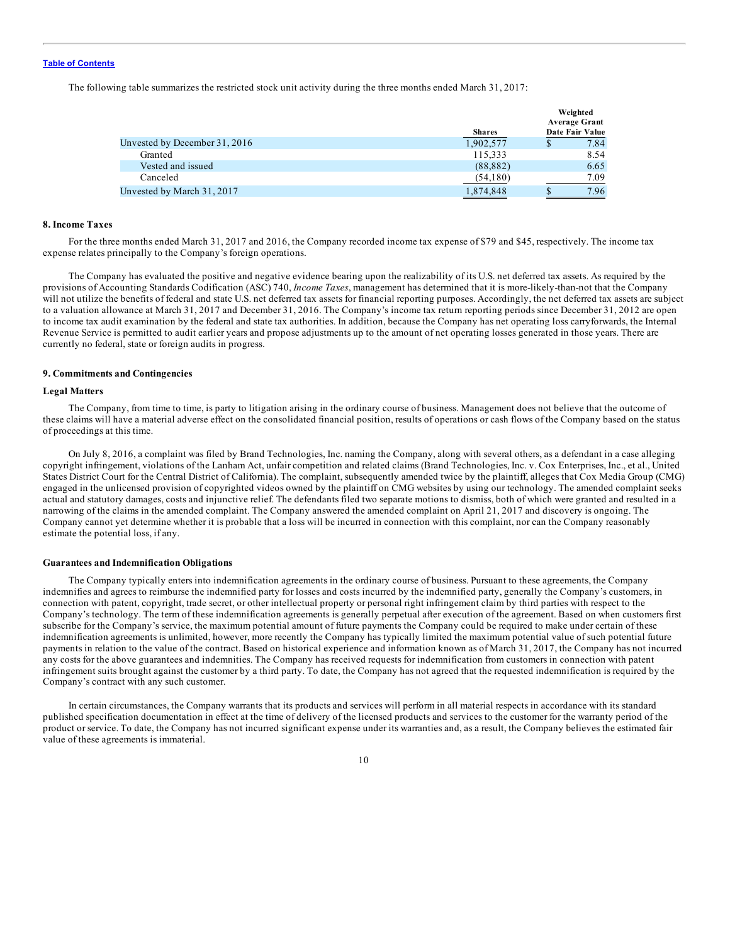The following table summarizes the restricted stock unit activity during the three months ended March 31, 2017:

|                               |               |     | Weighted<br><b>Average Grant</b> |
|-------------------------------|---------------|-----|----------------------------------|
|                               | <b>Shares</b> |     | Date Fair Value                  |
| Unvested by December 31, 2016 | 1,902,577     | \$  | 7.84                             |
| Granted                       | 115,333       |     | 8.54                             |
| Vested and issued             | (88, 882)     |     | 6.65                             |
| Canceled                      | (54,180)      |     | 7.09                             |
| Unvested by March 31, 2017    | 1,874,848     | аĐ. | 7.96                             |

#### **8. Income Taxes**

For the three months ended March 31, 2017 and 2016, the Company recorded income tax expense of \$79 and \$45, respectively. The income tax expense relates principally to the Company's foreign operations.

The Company has evaluated the positive and negative evidence bearing upon the realizability of its U.S. net deferred tax assets. As required by the provisions of Accounting Standards Codification (ASC) 740, *Income Taxes*, management has determined that it is more-likely-than-not that the Company will not utilize the benefits of federal and state U.S. net deferred tax assets for financial reporting purposes. Accordingly, the net deferred tax assets are subject to a valuation allowance at March 31, 2017 and December 31, 2016. The Company's income tax return reporting periods since December 31, 2012 are open to income tax audit examination by the federal and state tax authorities. In addition, because the Company has net operating loss carryforwards, the Internal Revenue Service is permitted to audit earlier years and propose adjustments up to the amount of net operating losses generated in those years. There are currently no federal, state or foreign audits in progress.

## **9. Commitments and Contingencies**

## **Legal Matters**

The Company, from time to time, is party to litigation arising in the ordinary course of business. Management does not believe that the outcome of these claims will have a material adverse effect on the consolidated financial position, results of operations or cash flows of the Company based on the status of proceedings at this time.

On July 8, 2016, a complaint was filed by Brand Technologies, Inc. naming the Company, along with several others, as a defendant in a case alleging copyright infringement, violations of the Lanham Act, unfair competition and related claims (Brand Technologies, Inc. v. Cox Enterprises, Inc., et al., United States District Court for the Central District of California). The complaint, subsequently amended twice by the plaintiff, alleges that Cox Media Group (CMG) engaged in the unlicensed provision of copyrighted videos owned by the plaintiff on CMG websites by using our technology. The amended complaint seeks actual and statutory damages, costs and injunctive relief. The defendants filed two separate motions to dismiss, both of which were granted and resulted in a narrowing of the claims in the amended complaint. The Company answered the amended complaint on April 21, 2017 and discovery is ongoing. The Company cannot yet determine whether it is probable that a loss will be incurred in connection with this complaint, nor can the Company reasonably estimate the potential loss, if any.

#### **Guarantees and Indemnification Obligations**

The Company typically enters into indemnification agreements in the ordinary course of business. Pursuant to these agreements, the Company indemnifies and agrees to reimburse the indemnified party for losses and costs incurred by the indemnified party, generally the Company's customers, in connection with patent, copyright, trade secret, or other intellectual property or personal right infringement claim by third parties with respect to the Company's technology. The term of these indemnification agreements is generally perpetual after execution of the agreement. Based on when customers first subscribe for the Company's service, the maximum potential amount of future payments the Company could be required to make under certain of these indemnification agreements is unlimited, however, more recently the Company has typically limited the maximum potential value of such potential future payments in relation to the value of the contract. Based on historical experience and information known as of March 31, 2017, the Company has not incurred any costs for the above guarantees and indemnities. The Company has received requests for indemnification from customers in connection with patent infringement suits brought against the customer by a third party. To date, the Company has not agreed that the requested indemnification is required by the Company's contract with any such customer.

In certain circumstances, the Company warrants that its products and services will perform in all material respects in accordance with its standard published specification documentation in effect at the time of delivery of the licensed products and services to the customer for the warranty period of the product or service. To date, the Company has not incurred significant expense under its warranties and, as a result, the Company believes the estimated fair value of these agreements is immaterial.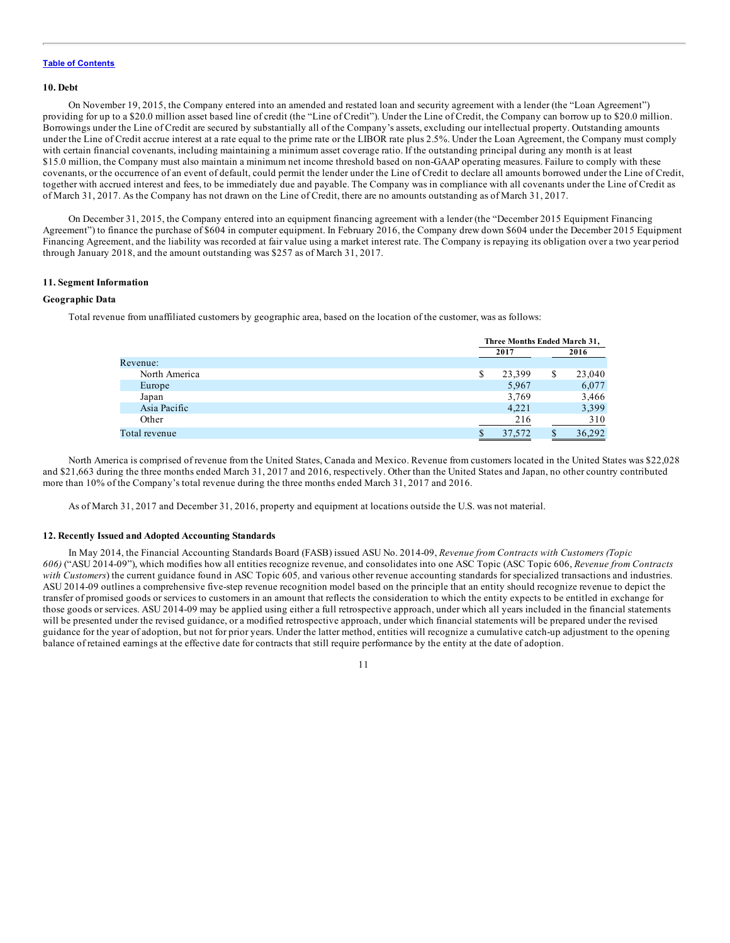#### **10. Debt**

On November 19, 2015, the Company entered into an amended and restated loan and security agreement with a lender (the "Loan Agreement") providing for up to a \$20.0 million asset based line of credit (the "Line of Credit"). Under the Line of Credit, the Company can borrow up to \$20.0 million. Borrowings under the Line of Credit are secured by substantially all of the Company's assets, excluding our intellectual property. Outstanding amounts under the Line of Credit accrue interest at a rate equal to the prime rate or the LIBOR rate plus 2.5%. Under the Loan Agreement, the Company must comply with certain financial covenants, including maintaining a minimum asset coverage ratio. If the outstanding principal during any month is at least \$15.0 million, the Company must also maintain a minimum net income threshold based on non-GAAP operating measures. Failure to comply with these covenants, or the occurrence of an event of default, could permit the lender under the Line of Credit to declare all amounts borrowed under the Line of Credit, together with accrued interest and fees, to be immediately due and payable. The Company was in compliance with all covenants under the Line of Credit as of March 31, 2017. As the Company has not drawn on the Line of Credit, there are no amounts outstanding as of March 31, 2017.

On December 31, 2015, the Company entered into an equipment financing agreement with a lender (the "December 2015 Equipment Financing Agreement") to finance the purchase of \$604 in computer equipment. In February 2016, the Company drew down \$604 under the December 2015 Equipment Financing Agreement, and the liability was recorded at fair value using a market interest rate. The Company is repaying its obligation over a two year period through January 2018, and the amount outstanding was \$257 as of March 31, 2017.

#### **11. Segment Information**

## **Geographic Data**

Total revenue from unaffiliated customers by geographic area, based on the location of the customer, was as follows:

|               | Three Months Ended March 31, |        |      |        |
|---------------|------------------------------|--------|------|--------|
|               | 2017                         |        | 2016 |        |
| Revenue:      |                              |        |      |        |
| North America | S                            | 23,399 | \$   | 23,040 |
| Europe        |                              | 5,967  |      | 6,077  |
| Japan         |                              | 3,769  |      | 3,466  |
| Asia Pacific  |                              | 4,221  |      | 3,399  |
| Other         |                              | 216    |      | 310    |
| Total revenue |                              | 37,572 | \$   | 36.292 |

North America is comprised of revenue from the United States, Canada and Mexico. Revenue from customers located in the United States was \$22,028 and \$21,663 during the three months ended March 31, 2017 and 2016, respectively. Other than the United States and Japan, no other country contributed more than 10% of the Company's total revenue during the three months ended March 31, 2017 and 2016.

As of March 31, 2017 and December 31, 2016, property and equipment at locations outside the U.S. was not material.

#### **12. Recently Issued and Adopted Accounting Standards**

In May 2014, the Financial Accounting Standards Board (FASB) issued ASU No. 2014-09, *Revenue from Contracts with Customers (Topic 606)* ("ASU 2014-09"), which modifies how all entities recognize revenue, and consolidates into one ASC Topic (ASC Topic 606, *Revenue from Contracts with Customers*) the current guidance found in ASC Topic 605, and various other revenue accounting standards for specialized transactions and industries. ASU 2014-09 outlines a comprehensive five-step revenue recognition model based on the principle that an entity should recognize revenue to depict the transfer of promised goods or services to customers in an amount that reflects the consideration to which the entity expects to be entitled in exchange for those goods or services. ASU 2014-09 may be applied using either a full retrospective approach, under which all years included in the financial statements will be presented under the revised guidance, or a modified retrospective approach, under which financial statements will be prepared under the revised guidance for the year of adoption, but not for prior years. Under the latter method, entities will recognize a cumulative catch-up adjustment to the opening balance of retained earnings at the effective date for contracts that still require performance by the entity at the date of adoption.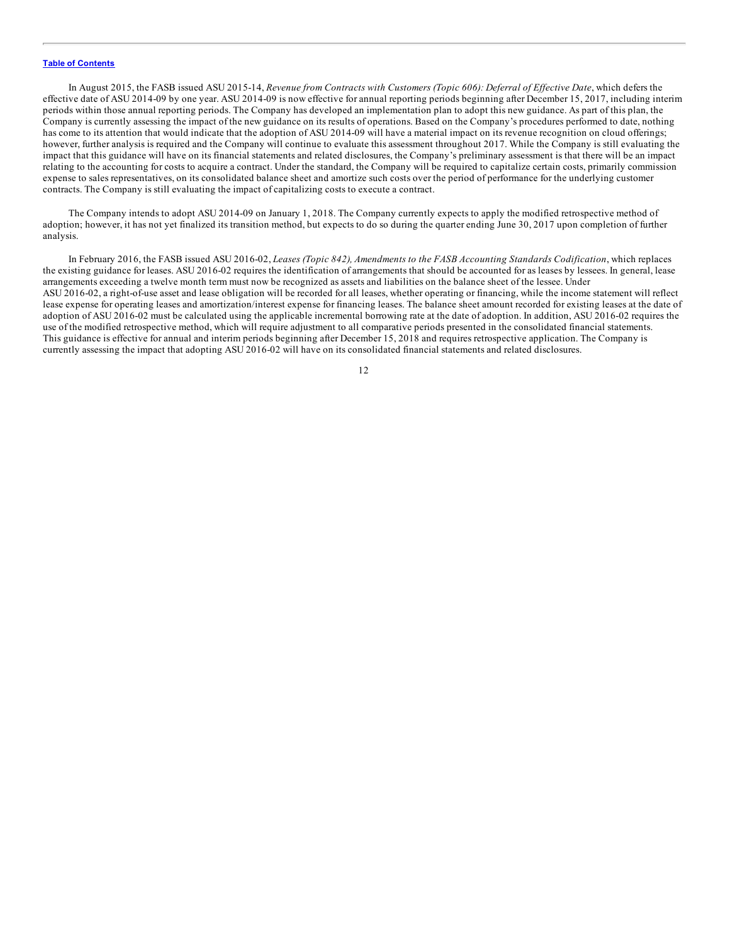In August 2015, the FASB issued ASU 2015-14, *Revenue from Contracts with Customers (Topic 606): Deferral of Ef ective Date*, which defers the effective date of ASU 2014-09 by one year. ASU 2014-09 is now effective for annual reporting periods beginning after December 15, 2017, including interim periods within those annual reporting periods. The Company has developed an implementation plan to adopt this new guidance. As part of this plan, the Company is currently assessing the impact of the new guidance on its results of operations. Based on the Company's procedures performed to date, nothing has come to its attention that would indicate that the adoption of ASU 2014-09 will have a material impact on its revenue recognition on cloud offerings; however, further analysis is required and the Company will continue to evaluate this assessment throughout 2017. While the Company is still evaluating the impact that this guidance will have on its financial statements and related disclosures, the Company's preliminary assessment is that there will be an impact relating to the accounting for costs to acquire a contract. Under the standard, the Company will be required to capitalize certain costs, primarily commission expense to sales representatives, on its consolidated balance sheet and amortize such costs over the period of performance for the underlying customer contracts. The Company is still evaluating the impact of capitalizing costs to execute a contract.

The Company intends to adopt ASU 2014-09 on January 1, 2018. The Company currently expects to apply the modified retrospective method of adoption; however, it has not yet finalized its transition method, but expects to do so during the quarter ending June 30, 2017 upon completion of further analysis.

In February 2016, the FASB issued ASU 2016-02, *Leases (Topic 842), Amendments to the FASB Accounting Standards Codification*, which replaces the existing guidance for leases. ASU 2016-02 requires the identification of arrangements that should be accounted for as leases by lessees. In general, lease arrangements exceeding a twelve month term must now be recognized as assets and liabilities on the balance sheet of the lessee. Under ASU 2016-02, a right-of-use asset and lease obligation will be recorded for all leases, whether operating or financing, while the income statement will reflect lease expense for operating leases and amortization/interest expense for financing leases. The balance sheet amount recorded for existing leases at the date of adoption of ASU 2016-02 must be calculated using the applicable incremental borrowing rate at the date of adoption. In addition, ASU 2016-02 requires the use of the modified retrospective method, which will require adjustment to all comparative periods presented in the consolidated financial statements. This guidance is effective for annual and interim periods beginning after December 15, 2018 and requires retrospective application. The Company is currently assessing the impact that adopting ASU 2016-02 will have on its consolidated financial statements and related disclosures.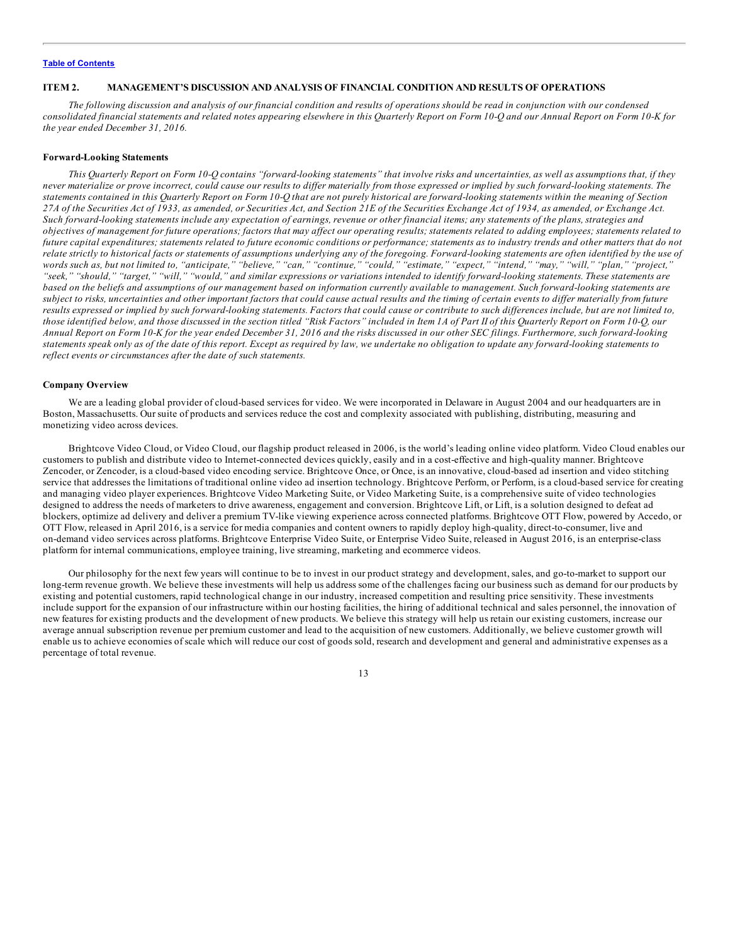#### <span id="page-13-0"></span>**ITEM 2. MANAGEMENT'S DISCUSSION AND ANALYSIS OF FINANCIAL CONDITION AND RESULTS OF OPERATIONS**

The following discussion and analysis of our financial condition and results of operations should be read in conjunction with our condensed consolidated financial statements and related notes appearing elsewhere in this Quarterly Report on Form 10-Q and our Annual Report on Form 10-K for *the year ended December 31, 2016.*

#### **Forward-Looking Statements**

This Quarterly Report on Form 10-Q contains "forward-looking statements" that involve risks and uncertainties, as well as assumptions that, if they never materialize or prove incorrect, could cause our results to differ materially from those expressed or implied by such forward-looking statements. The statements contained in this Quarterly Report on Form 10-Q that are not purely historical are forward-looking statements within the meaning of Section 27A of the Securities Act of 1933, as amended, or Securities Act, and Section 21E of the Securities Exchange Act of 1934, as amended, or Exchange Act. Such forward-looking statements include any expectation of earnings, revenue or other financial items; any statements of the plans, strategies and objectives of management for future operations; factors that may affect our operating results; statements related to adding employees; statements related to future capital expenditures; statements related to future economic conditions or performance; statements as to industry trends and other matters that do not relate strictly to historical facts or statements of assumptions underlying any of the foregoing. Forward-looking statements are often identified by the use of words such as, but not limited to, "anticipate," "believe," "can," "continue," "could," "estimate," "expect," "intend," "may," "will," "plan," "project," "seek," "should," "target," "will," "would," and similar expressions or variations intended to identify forward-looking statements. These statements are based on the beliefs and assumptions of our management based on information currently available to management. Such forward-looking statements are subject to risks, uncertainties and other important factors that could cause actual results and the timing of certain events to differ materially from future results expressed or implied by such forward-looking statements. Factors that could cause or contribute to such differences include, but are not limited to, those identified below, and those discussed in the section titled "Risk Factors" included in Item 1A of Part II of this Quarterly Report on Form 10-Q, our Annual Report on Form 10-K for the year ended December 31, 2016 and the risks discussed in our other SEC filings. Furthermore, such forward-looking statements speak only as of the date of this report. Except as required by law, we undertake no obligation to update any forward-looking statements to *reflect events or circumstances after the date of such statements.*

#### **Company Overview**

We are a leading global provider of cloud-based services for video. We were incorporated in Delaware in August 2004 and our headquarters are in Boston, Massachusetts. Our suite of products and services reduce the cost and complexity associated with publishing, distributing, measuring and monetizing video across devices.

Brightcove Video Cloud, or Video Cloud, our flagship product released in 2006, is the world's leading online video platform. Video Cloud enables our customers to publish and distribute video to Internet-connected devices quickly, easily and in a cost-effective and high-quality manner. Brightcove Zencoder, or Zencoder, is a cloud-based video encoding service. Brightcove Once, or Once, is an innovative, cloud-based ad insertion and video stitching service that addresses the limitations of traditional online video ad insertion technology. Brightcove Perform, or Perform, is a cloud-based service for creating and managing video player experiences. Brightcove Video Marketing Suite, or Video Marketing Suite, is a comprehensive suite of video technologies designed to address the needs of marketers to drive awareness, engagement and conversion. Brightcove Lift, or Lift, is a solution designed to defeat ad blockers, optimize ad delivery and deliver a premium TV-like viewing experience across connected platforms. Brightcove OTT Flow, powered by Accedo, or OTT Flow, released in April 2016, is a service for media companies and content owners to rapidly deploy high-quality, direct-to-consumer, live and on-demand video services across platforms. Brightcove Enterprise Video Suite, or Enterprise Video Suite, released in August 2016, is an enterprise-class platform for internal communications, employee training, live streaming, marketing and ecommerce videos.

Our philosophy for the next few years will continue to be to invest in our product strategy and development, sales, and go-to-market to support our long-term revenue growth. We believe these investments will help us address some of the challenges facing our business such as demand for our products by existing and potential customers, rapid technological change in our industry, increased competition and resulting price sensitivity. These investments include support for the expansion of our infrastructure within our hosting facilities, the hiring of additional technical and sales personnel, the innovation of new features for existing products and the development of new products. We believe this strategy will help us retain our existing customers, increase our average annual subscription revenue per premium customer and lead to the acquisition of new customers. Additionally, we believe customer growth will enable us to achieve economies of scale which will reduce our cost of goods sold, research and development and general and administrative expenses as a percentage of total revenue.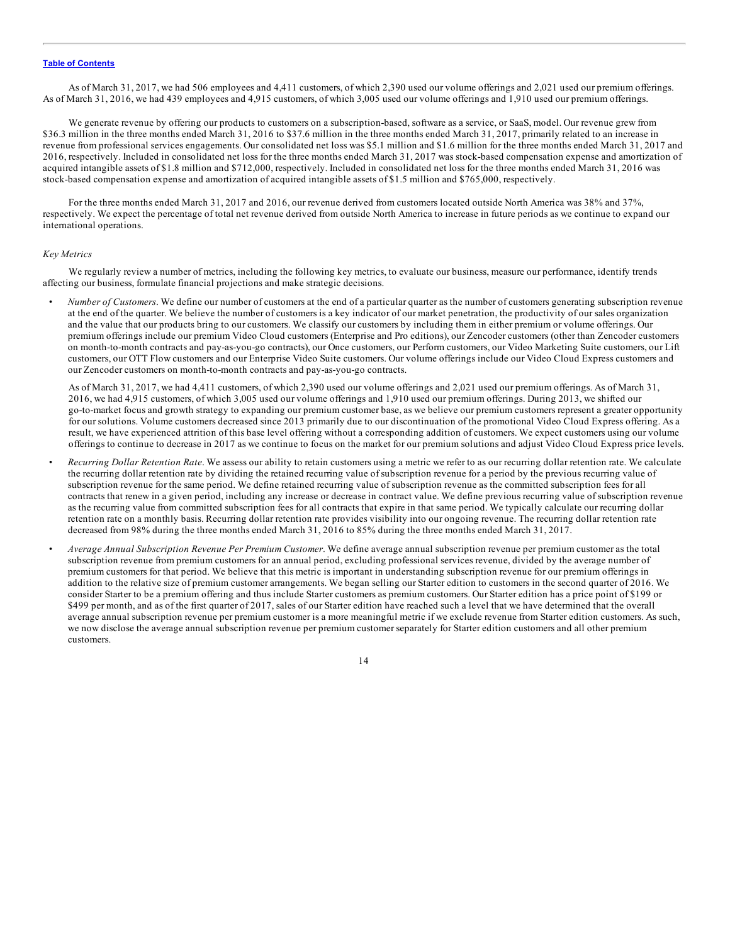As of March 31, 2017, we had 506 employees and 4,411 customers, of which 2,390 used our volume offerings and 2,021 used our premium offerings. As of March 31, 2016, we had 439 employees and 4,915 customers, of which 3,005 used our volume offerings and 1,910 used our premium offerings.

We generate revenue by offering our products to customers on a subscription-based, software as a service, or SaaS, model. Our revenue grew from \$36.3 million in the three months ended March 31, 2016 to \$37.6 million in the three months ended March 31, 2017, primarily related to an increase in revenue from professional services engagements. Our consolidated net loss was \$5.1 million and \$1.6 million for the three months ended March 31, 2017 and 2016, respectively. Included in consolidated net loss for the three months ended March 31, 2017 was stock-based compensation expense and amortization of acquired intangible assets of \$1.8 million and \$712,000, respectively. Included in consolidated net loss for the three months ended March 31, 2016 was stock-based compensation expense and amortization of acquired intangible assets of \$1.5 million and \$765,000, respectively.

For the three months ended March 31, 2017 and 2016, our revenue derived from customers located outside North America was 38% and 37%, respectively. We expect the percentage of total net revenue derived from outside North America to increase in future periods as we continue to expand our international operations.

#### *Key Metrics*

We regularly review a number of metrics, including the following key metrics, to evaluate our business, measure our performance, identify trends affecting our business, formulate financial projections and make strategic decisions.

• *Number of Customers*. We define our number of customers at the end of a particular quarter as the number of customers generating subscription revenue at the end of the quarter. We believe the number of customers is a key indicator of our market penetration, the productivity of our sales organization and the value that our products bring to our customers. We classify our customers by including them in either premium or volume offerings. Our premium offerings include our premium Video Cloud customers (Enterprise and Pro editions), our Zencoder customers (other than Zencoder customers on month-to-month contracts and pay-as-you-go contracts), our Once customers, our Perform customers, our Video Marketing Suite customers, our Lift customers, our OTT Flow customers and our Enterprise Video Suite customers. Our volume offerings include our Video Cloud Express customers and our Zencoder customers on month-to-month contracts and pay-as-you-go contracts.

As of March 31, 2017, we had 4,411 customers, of which 2,390 used our volume offerings and 2,021 used our premium offerings. As of March 31, 2016, we had 4,915 customers, of which 3,005 used our volume offerings and 1,910 used our premium offerings. During 2013, we shifted our go-to-market focus and growth strategy to expanding our premium customer base, as we believe our premium customers represent a greater opportunity for our solutions. Volume customers decreased since 2013 primarily due to our discontinuation of the promotional Video Cloud Express offering. As a result, we have experienced attrition of this base level offering without a corresponding addition of customers. We expect customers using our volume offerings to continue to decrease in 2017 as we continue to focus on the market for our premium solutions and adjust Video Cloud Express price levels.

- *Recurring Dollar Retention Rate*. We assess our ability to retain customers using a metric we refer to as our recurring dollar retention rate. We calculate the recurring dollar retention rate by dividing the retained recurring value of subscription revenue for a period by the previous recurring value of subscription revenue for the same period. We define retained recurring value of subscription revenue as the committed subscription fees for all contracts that renew in a given period, including any increase or decrease in contract value. We define previous recurring value of subscription revenue as the recurring value from committed subscription fees for all contracts that expire in that same period. We typically calculate our recurring dollar retention rate on a monthly basis. Recurring dollar retention rate provides visibility into our ongoing revenue. The recurring dollar retention rate decreased from 98% during the three months ended March 31, 2016 to 85% during the three months ended March 31, 2017.
- *Average Annual Subscription Revenue Per Premium Customer*. We define average annual subscription revenue per premium customer as the total subscription revenue from premium customers for an annual period, excluding professional services revenue, divided by the average number of premium customers for that period. We believe that this metric is important in understanding subscription revenue for our premium offerings in addition to the relative size of premium customer arrangements. We began selling our Starter edition to customers in the second quarter of 2016. We consider Starter to be a premium offering and thus include Starter customers as premium customers. Our Starter edition has a price point of \$199 or \$499 per month, and as of the first quarter of 2017, sales of our Starter edition have reached such a level that we have determined that the overall average annual subscription revenue per premium customer is a more meaningful metric if we exclude revenue from Starter edition customers. As such, we now disclose the average annual subscription revenue per premium customer separately for Starter edition customers and all other premium customers.

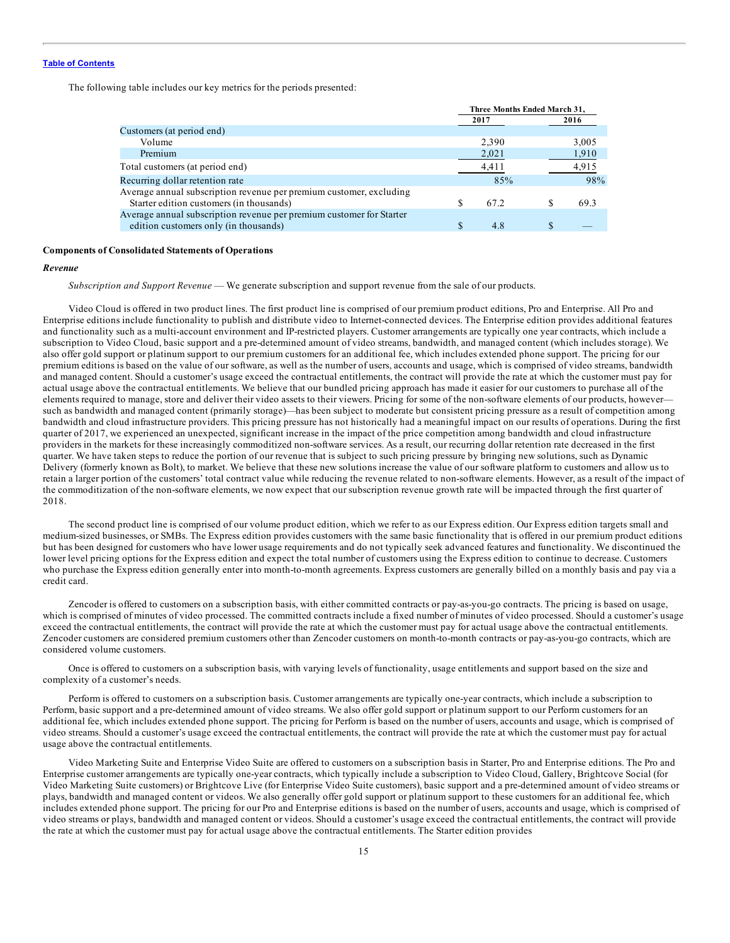The following table includes our key metrics for the periods presented:

|                                                                      | Three Months Ended March 31, |  |       |  |
|----------------------------------------------------------------------|------------------------------|--|-------|--|
|                                                                      | 2017                         |  | 2016  |  |
| Customers (at period end)                                            |                              |  |       |  |
| Volume                                                               | 2,390                        |  | 3,005 |  |
| Premium                                                              | 2,021                        |  | 1,910 |  |
| Total customers (at period end)                                      | 4,411                        |  | 4,915 |  |
| Recurring dollar retention rate                                      | 85%                          |  | 98%   |  |
| Average annual subscription revenue per premium customer, excluding  |                              |  |       |  |
| Starter edition customers (in thousands)                             | 672                          |  | 69.3  |  |
| Average annual subscription revenue per premium customer for Starter |                              |  |       |  |
| edition customers only (in thousands)                                | 4.8                          |  |       |  |

#### **Components of Consolidated Statements of Operations**

#### *Revenue*

*Subscription and Support Revenue* — We generate subscription and support revenue from the sale of our products.

Video Cloud is offered in two product lines. The first product line is comprised of our premium product editions, Pro and Enterprise. All Pro and Enterprise editions include functionality to publish and distribute video to Internet-connected devices. The Enterprise edition provides additional features and functionality such as a multi-account environment and IP-restricted players. Customer arrangements are typically one year contracts, which include a subscription to Video Cloud, basic support and a pre-determined amount of video streams, bandwidth, and managed content (which includes storage). We also offer gold support or platinum support to our premium customers for an additional fee, which includes extended phone support. The pricing for our premium editions is based on the value of our software, as well as the number of users, accounts and usage, which is comprised of video streams, bandwidth and managed content. Should a customer's usage exceed the contractual entitlements, the contract will provide the rate at which the customer must pay for actual usage above the contractual entitlements. We believe that our bundled pricing approach has made it easier for our customers to purchase all of the elements required to manage, store and deliver their video assets to their viewers. Pricing for some of the non-software elements of our products, howeversuch as bandwidth and managed content (primarily storage)—has been subject to moderate but consistent pricing pressure as a result of competition among bandwidth and cloud infrastructure providers. This pricing pressure has not historically had a meaningful impact on our results of operations. During the first quarter of 2017, we experienced an unexpected, significant increase in the impact of the price competition among bandwidth and cloud infrastructure providers in the markets for these increasingly commoditized non-software services. As a result, our recurring dollar retention rate decreased in the first quarter. We have taken steps to reduce the portion of our revenue that is subject to such pricing pressure by bringing new solutions, such as Dynamic Delivery (formerly known as Bolt), to market. We believe that these new solutions increase the value of our software platform to customers and allow us to retain a larger portion of the customers' total contract value while reducing the revenue related to non-software elements. However, as a result of the impact of the commoditization of the non-software elements, we now expect that our subscription revenue growth rate will be impacted through the first quarter of 2018.

The second product line is comprised of our volume product edition, which we refer to as our Express edition. Our Express edition targets small and medium-sized businesses, or SMBs. The Express edition provides customers with the same basic functionality that is offered in our premium product editions but has been designed for customers who have lower usage requirements and do not typically seek advanced features and functionality. We discontinued the lower level pricing options for the Express edition and expect the total number of customers using the Express edition to continue to decrease. Customers who purchase the Express edition generally enter into month-to-month agreements. Express customers are generally billed on a monthly basis and pay via a credit card.

Zencoder is offered to customers on a subscription basis, with either committed contracts or pay-as-you-go contracts. The pricing is based on usage, which is comprised of minutes of video processed. The committed contracts include a fixed number of minutes of video processed. Should a customer's usage exceed the contractual entitlements, the contract will provide the rate at which the customer must pay for actual usage above the contractual entitlements. Zencoder customers are considered premium customers other than Zencoder customers on month-to-month contracts or pay-as-you-go contracts, which are considered volume customers.

Once is offered to customers on a subscription basis, with varying levels of functionality, usage entitlements and support based on the size and complexity of a customer's needs.

Perform is offered to customers on a subscription basis. Customer arrangements are typically one-year contracts, which include a subscription to Perform, basic support and a pre-determined amount of video streams. We also offer gold support or platinum support to our Perform customers for an additional fee, which includes extended phone support. The pricing for Perform is based on the number of users, accounts and usage, which is comprised of video streams. Should a customer's usage exceed the contractual entitlements, the contract will provide the rate at which the customer must pay for actual usage above the contractual entitlements.

Video Marketing Suite and Enterprise Video Suite are offered to customers on a subscription basis in Starter, Pro and Enterprise editions. The Pro and Enterprise customer arrangements are typically one-year contracts, which typically include a subscription to Video Cloud, Gallery, Brightcove Social (for Video Marketing Suite customers) or Brightcove Live (for Enterprise Video Suite customers), basic support and a pre-determined amount of video streams or plays, bandwidth and managed content or videos. We also generally offer gold support or platinum support to these customers for an additional fee, which includes extended phone support. The pricing for our Pro and Enterprise editions is based on the number of users, accounts and usage, which is comprised of video streams or plays, bandwidth and managed content or videos. Should a customer's usage exceed the contractual entitlements, the contract will provide the rate at which the customer must pay for actual usage above the contractual entitlements. The Starter edition provides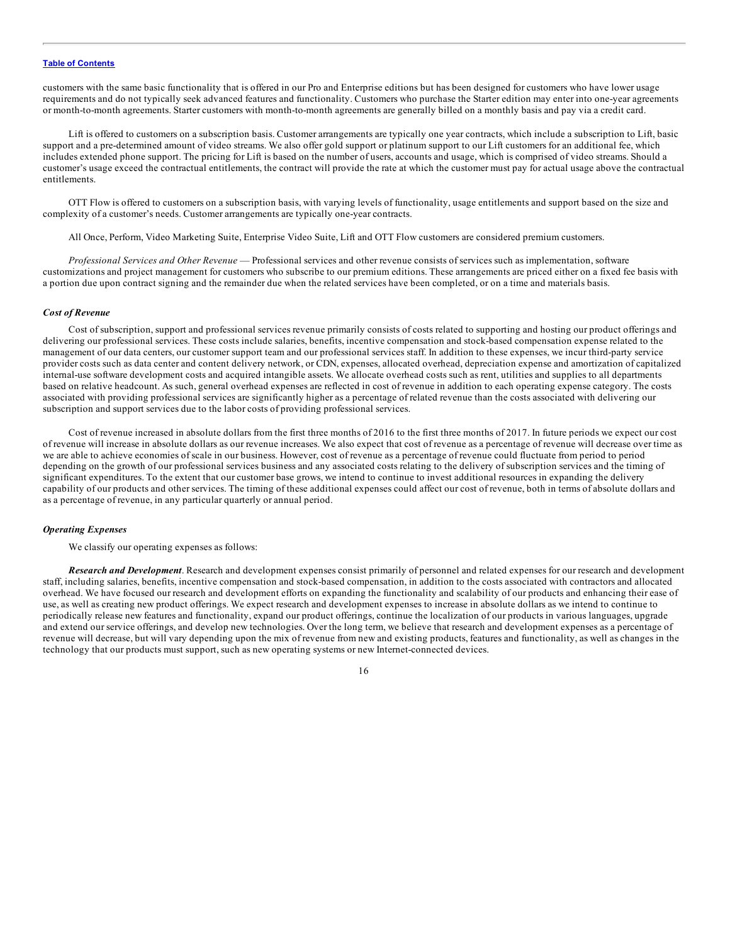customers with the same basic functionality that is offered in our Pro and Enterprise editions but has been designed for customers who have lower usage requirements and do not typically seek advanced features and functionality. Customers who purchase the Starter edition may enter into one-year agreements or month-to-month agreements. Starter customers with month-to-month agreements are generally billed on a monthly basis and pay via a credit card.

Lift is offered to customers on a subscription basis. Customer arrangements are typically one year contracts, which include a subscription to Lift, basic support and a pre-determined amount of video streams. We also offer gold support or platinum support to our Lift customers for an additional fee, which includes extended phone support. The pricing for Lift is based on the number of users, accounts and usage, which is comprised of video streams. Should a customer's usage exceed the contractual entitlements, the contract will provide the rate at which the customer must pay for actual usage above the contractual entitlements.

OTT Flow is offered to customers on a subscription basis, with varying levels of functionality, usage entitlements and support based on the size and complexity of a customer's needs. Customer arrangements are typically one-year contracts.

All Once, Perform, Video Marketing Suite, Enterprise Video Suite, Lift and OTT Flow customers are considered premium customers.

*Professional Services and Other Revenue* — Professional services and other revenue consists of services such as implementation, software customizations and project management for customers who subscribe to our premium editions. These arrangements are priced either on a fixed fee basis with a portion due upon contract signing and the remainder due when the related services have been completed, or on a time and materials basis.

## *Cost of Revenue*

Cost of subscription, support and professional services revenue primarily consists of costs related to supporting and hosting our product offerings and delivering our professional services. These costs include salaries, benefits, incentive compensation and stock-based compensation expense related to the management of our data centers, our customer support team and our professional services staff. In addition to these expenses, we incur third-party service provider costs such as data center and content delivery network, or CDN, expenses, allocated overhead, depreciation expense and amortization of capitalized internal-use software development costs and acquired intangible assets. We allocate overhead costs such as rent, utilities and supplies to all departments based on relative headcount. As such, general overhead expenses are reflected in cost of revenue in addition to each operating expense category. The costs associated with providing professional services are significantly higher as a percentage of related revenue than the costs associated with delivering our subscription and support services due to the labor costs of providing professional services.

Cost of revenue increased in absolute dollars from the first three months of 2016 to the first three months of 2017. In future periods we expect our cost of revenue will increase in absolute dollars as our revenue increases. We also expect that cost of revenue as a percentage of revenue will decrease over time as we are able to achieve economies of scale in our business. However, cost of revenue as a percentage of revenue could fluctuate from period to period depending on the growth of our professional services business and any associated costs relating to the delivery of subscription services and the timing of significant expenditures. To the extent that our customer base grows, we intend to continue to invest additional resources in expanding the delivery capability of our products and other services. The timing of these additional expenses could affect our cost of revenue, both in terms of absolute dollars and as a percentage of revenue, in any particular quarterly or annual period.

#### *Operating Expenses*

We classify our operating expenses as follows:

*Research and Development*. Research and development expenses consist primarily of personnel and related expenses for our research and development staff, including salaries, benefits, incentive compensation and stock-based compensation, in addition to the costs associated with contractors and allocated overhead. We have focused our research and development efforts on expanding the functionality and scalability of our products and enhancing their ease of use, as well as creating new product offerings. We expect research and development expenses to increase in absolute dollars as we intend to continue to periodically release new features and functionality, expand our product offerings, continue the localization of our products in various languages, upgrade and extend our service offerings, and develop new technologies. Over the long term, we believe that research and development expenses as a percentage of revenue will decrease, but will vary depending upon the mix of revenue from new and existing products, features and functionality, as well as changes in the technology that our products must support, such as new operating systems or new Internet-connected devices.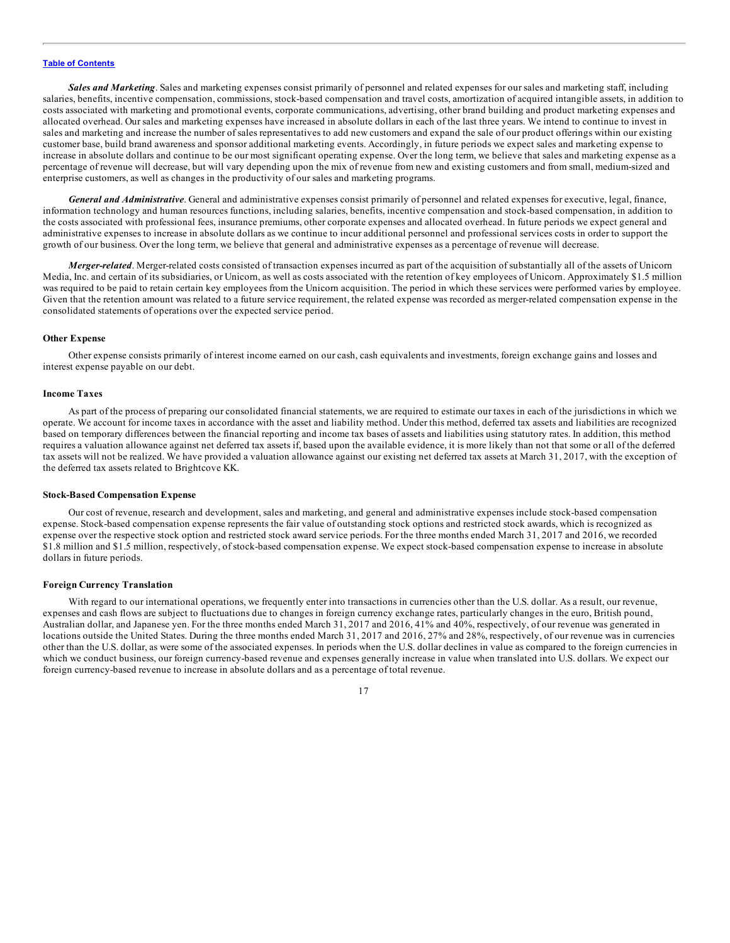*Sales and Marketing*. Sales and marketing expenses consist primarily of personnel and related expenses for our sales and marketing staff, including salaries, benefits, incentive compensation, commissions, stock-based compensation and travel costs, amortization of acquired intangible assets, in addition to costs associated with marketing and promotional events, corporate communications, advertising, other brand building and product marketing expenses and allocated overhead. Our sales and marketing expenses have increased in absolute dollars in each of the last three years. We intend to continue to invest in sales and marketing and increase the number of sales representatives to add new customers and expand the sale of our product offerings within our existing customer base, build brand awareness and sponsor additional marketing events. Accordingly, in future periods we expect sales and marketing expense to increase in absolute dollars and continue to be our most significant operating expense. Over the long term, we believe that sales and marketing expense as a percentage of revenue will decrease, but will vary depending upon the mix of revenue from new and existing customers and from small, medium-sized and enterprise customers, as well as changes in the productivity of our sales and marketing programs.

*General and Administrative*. General and administrative expenses consist primarily of personnel and related expenses for executive, legal, finance, information technology and human resources functions, including salaries, benefits, incentive compensation and stock-based compensation, in addition to the costs associated with professional fees, insurance premiums, other corporate expenses and allocated overhead. In future periods we expect general and administrative expenses to increase in absolute dollars as we continue to incur additional personnel and professional services costs in order to support the growth of our business. Over the long term, we believe that general and administrative expenses as a percentage of revenue will decrease.

*Merger-related*. Merger-related costs consisted of transaction expenses incurred as part of the acquisition of substantially all of the assets of Unicorn Media, Inc. and certain of its subsidiaries, or Unicorn, as well as costs associated with the retention of key employees of Unicorn. Approximately \$1.5 million was required to be paid to retain certain key employees from the Unicorn acquisition. The period in which these services were performed varies by employee. Given that the retention amount was related to a future service requirement, the related expense was recorded as merger-related compensation expense in the consolidated statements of operations over the expected service period.

#### **Other Expense**

Other expense consists primarily of interest income earned on our cash, cash equivalents and investments, foreign exchange gains and losses and interest expense payable on our debt.

#### **Income Taxes**

As part of the process of preparing our consolidated financial statements, we are required to estimate our taxes in each of the jurisdictions in which we operate. We account for income taxes in accordance with the asset and liability method. Under this method, deferred tax assets and liabilities are recognized based on temporary differences between the financial reporting and income tax bases of assets and liabilities using statutory rates. In addition, this method requires a valuation allowance against net deferred tax assets if, based upon the available evidence, it is more likely than not that some or all of the deferred tax assets will not be realized. We have provided a valuation allowance against our existing net deferred tax assets at March 31, 2017, with the exception of the deferred tax assets related to Brightcove KK.

#### **Stock-Based Compensation Expense**

Our cost of revenue, research and development, sales and marketing, and general and administrative expenses include stock-based compensation expense. Stock-based compensation expense represents the fair value of outstanding stock options and restricted stock awards, which is recognized as expense over the respective stock option and restricted stock award service periods. For the three months ended March 31, 2017 and 2016, we recorded \$1.8 million and \$1.5 million, respectively, of stock-based compensation expense. We expect stock-based compensation expense to increase in absolute dollars in future periods.

#### **Foreign Currency Translation**

With regard to our international operations, we frequently enter into transactions in currencies other than the U.S. dollar. As a result, our revenue, expenses and cash flows are subject to fluctuations due to changes in foreign currency exchange rates, particularly changes in the euro, British pound, Australian dollar, and Japanese yen. For the three months ended March 31, 2017 and 2016, 41% and 40%, respectively, of our revenue was generated in locations outside the United States. During the three months ended March 31, 2017 and 2016, 27% and 28%, respectively, of our revenue was in currencies other than the U.S. dollar, as were some of the associated expenses. In periods when the U.S. dollar declines in value as compared to the foreign currencies in which we conduct business, our foreign currency-based revenue and expenses generally increase in value when translated into U.S. dollars. We expect our foreign currency-based revenue to increase in absolute dollars and as a percentage of total revenue.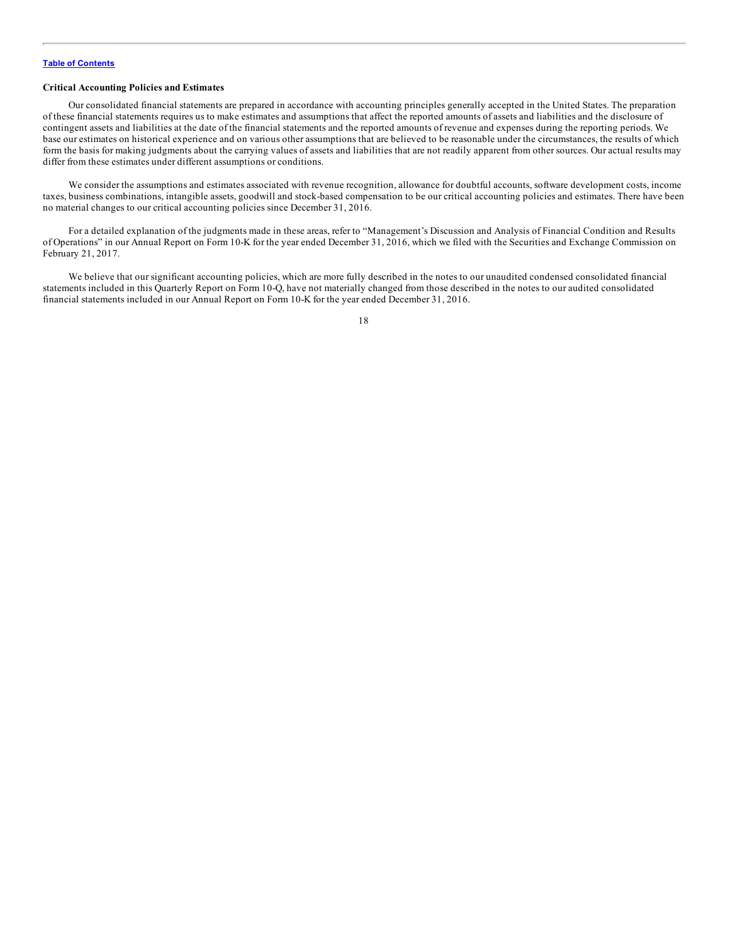#### **Critical Accounting Policies and Estimates**

Our consolidated financial statements are prepared in accordance with accounting principles generally accepted in the United States. The preparation of these financial statements requires us to make estimates and assumptions that affect the reported amounts of assets and liabilities and the disclosure of contingent assets and liabilities at the date of the financial statements and the reported amounts of revenue and expenses during the reporting periods. We base our estimates on historical experience and on various other assumptions that are believed to be reasonable under the circumstances, the results of which form the basis for making judgments about the carrying values of assets and liabilities that are not readily apparent from other sources. Our actual results may differ from these estimates under different assumptions or conditions.

We consider the assumptions and estimates associated with revenue recognition, allowance for doubtful accounts, software development costs, income taxes, business combinations, intangible assets, goodwill and stock-based compensation to be our critical accounting policies and estimates. There have been no material changes to our critical accounting policies since December 31, 2016.

For a detailed explanation of the judgments made in these areas, refer to "Management's Discussion and Analysis of Financial Condition and Results of Operations" in our Annual Report on Form 10-K for the year ended December 31, 2016, which we filed with the Securities and Exchange Commission on February 21, 2017.

We believe that our significant accounting policies, which are more fully described in the notes to our unaudited condensed consolidated financial statements included in this Quarterly Report on Form 10-Q, have not materially changed from those described in the notes to our audited consolidated financial statements included in our Annual Report on Form 10-K for the year ended December 31, 2016.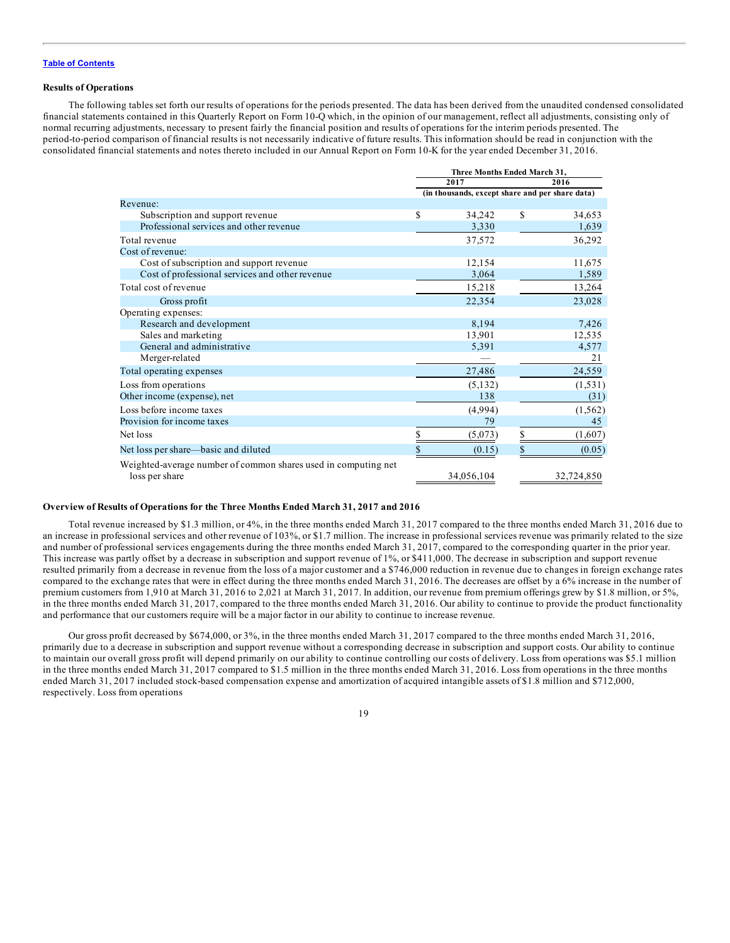#### **Results of Operations**

The following tables set forth our results of operations for the periods presented. The data has been derived from the unaudited condensed consolidated financial statements contained in this Quarterly Report on Form 10-Q which, in the opinion of our management, reflect all adjustments, consisting only of normal recurring adjustments, necessary to present fairly the financial position and results of operations for the interim periods presented. The period-to-period comparison of financial results is not necessarily indicative of future results. This information should be read in conjunction with the consolidated financial statements and notes thereto included in our Annual Report on Form 10-K for the year ended December 31, 2016.

|                                                                | Three Months Ended March 31, |                                                 |    |            |  |
|----------------------------------------------------------------|------------------------------|-------------------------------------------------|----|------------|--|
|                                                                | 2017                         |                                                 |    | 2016       |  |
|                                                                |                              | (in thousands, except share and per share data) |    |            |  |
| Revenue:                                                       |                              |                                                 |    |            |  |
| Subscription and support revenue                               | \$                           | 34,242                                          | \$ | 34,653     |  |
| Professional services and other revenue                        |                              | 3,330                                           |    | 1,639      |  |
| Total revenue                                                  |                              | 37,572                                          |    | 36,292     |  |
| Cost of revenue:                                               |                              |                                                 |    |            |  |
| Cost of subscription and support revenue                       |                              | 12,154                                          |    | 11,675     |  |
| Cost of professional services and other revenue                |                              | 3,064                                           |    | 1,589      |  |
| Total cost of revenue                                          |                              | 15,218                                          |    | 13,264     |  |
| Gross profit                                                   |                              | 22,354                                          |    | 23,028     |  |
| Operating expenses:                                            |                              |                                                 |    |            |  |
| Research and development                                       |                              | 8.194                                           |    | 7,426      |  |
| Sales and marketing                                            |                              | 13,901                                          |    | 12,535     |  |
| General and administrative                                     |                              | 5,391                                           |    | 4,577      |  |
| Merger-related                                                 |                              |                                                 |    | 21         |  |
| Total operating expenses                                       |                              | 27,486                                          |    | 24,559     |  |
| Loss from operations                                           |                              | (5, 132)                                        |    | (1, 531)   |  |
| Other income (expense), net                                    |                              | 138                                             |    | (31)       |  |
| Loss before income taxes                                       |                              | (4,994)                                         |    | (1, 562)   |  |
| Provision for income taxes                                     |                              | 79                                              |    | 45         |  |
| Net loss                                                       |                              | (5,073)                                         |    | (1,607)    |  |
| Net loss per share—basic and diluted                           | \$                           | (0.15)                                          | \$ | (0.05)     |  |
| Weighted-average number of common shares used in computing net |                              |                                                 |    |            |  |
| loss per share                                                 |                              | 34,056,104                                      |    | 32,724,850 |  |

## **Overview of Results of Operations for the Three Months Ended March 31, 2017 and 2016**

Total revenue increased by \$1.3 million, or 4%, in the three months ended March 31, 2017 compared to the three months ended March 31, 2016 due to an increase in professional services and other revenue of 103%, or \$1.7 million. The increase in professional services revenue was primarily related to the size and number of professional services engagements during the three months ended March 31, 2017, compared to the corresponding quarter in the prior year. This increase was partly offset by a decrease in subscription and support revenue of 1%, or \$411,000. The decrease in subscription and support revenue resulted primarily from a decrease in revenue from the loss of a major customer and a \$746,000 reduction in revenue due to changes in foreign exchange rates compared to the exchange rates that were in effect during the three months ended March 31, 2016. The decreases are offset by a 6% increase in the number of premium customers from 1,910 at March 31, 2016 to 2,021 at March 31, 2017. In addition, our revenue from premium offerings grew by \$1.8 million, or 5%, in the three months ended March 31, 2017, compared to the three months ended March 31, 2016. Our ability to continue to provide the product functionality and performance that our customers require will be a major factor in our ability to continue to increase revenue.

Our gross profit decreased by \$674,000, or 3%, in the three months ended March 31, 2017 compared to the three months ended March 31, 2016, primarily due to a decrease in subscription and support revenue without a corresponding decrease in subscription and support costs. Our ability to continue to maintain our overall gross profit will depend primarily on our ability to continue controlling our costs of delivery. Loss from operations was \$5.1 million in the three months ended March 31, 2017 compared to \$1.5 million in the three months ended March 31, 2016. Loss from operations in the three months ended March 31, 2017 included stock-based compensation expense and amortization of acquired intangible assets of \$1.8 million and \$712,000, respectively. Loss from operations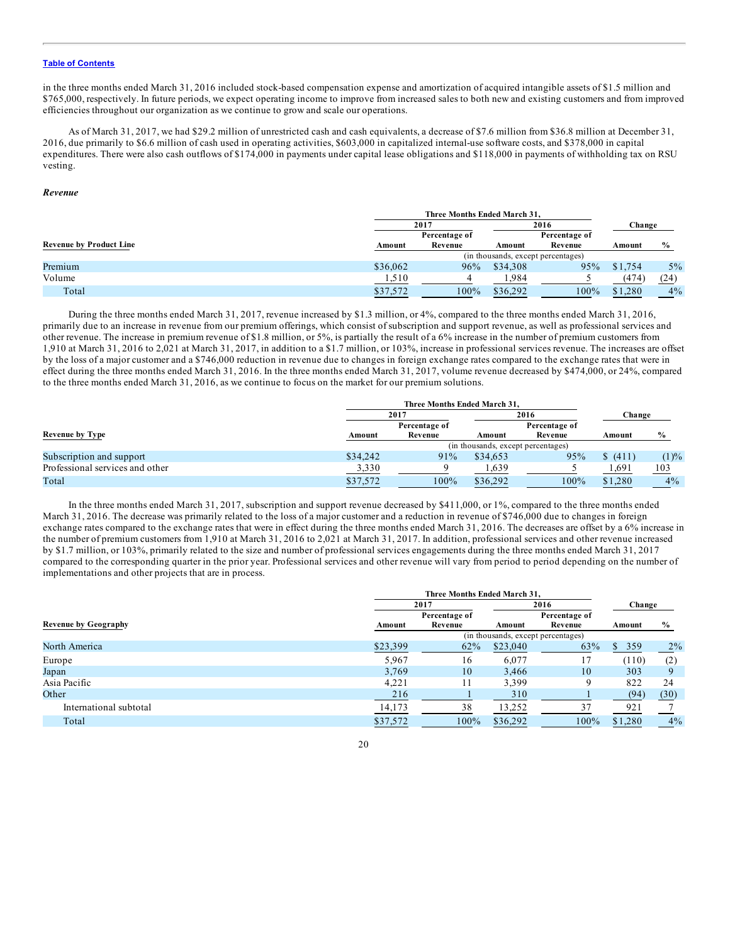in the three months ended March 31, 2016 included stock-based compensation expense and amortization of acquired intangible assets of \$1.5 million and \$765,000, respectively. In future periods, we expect operating income to improve from increased sales to both new and existing customers and from improved efficiencies throughout our organization as we continue to grow and scale our operations.

As of March 31, 2017, we had \$29.2 million of unrestricted cash and cash equivalents, a decrease of \$7.6 million from \$36.8 million at December 31, 2016, due primarily to \$6.6 million of cash used in operating activities, \$603,000 in capitalized internal-use software costs, and \$378,000 in capital expenditures. There were also cash outflows of \$174,000 in payments under capital lease obligations and \$118,000 in payments of withholding tax on RSU vesting.

## *Revenue*

|                                |          | Three Months Ended March 31.       |               |         |         |               |  |
|--------------------------------|----------|------------------------------------|---------------|---------|---------|---------------|--|
|                                |          | 2016<br>2017                       |               |         | Change  |               |  |
|                                |          | Percentage of                      | Percentage of |         |         |               |  |
| <b>Revenue by Product Line</b> | Amount   | Revenue                            | Amount        | Revenue | Amount  | $\frac{6}{6}$ |  |
|                                |          | (in thousands, except percentages) |               |         |         |               |  |
| Premium                        | \$36,062 | 96%                                | \$34,308      | 95%     | \$1,754 | $5\%$         |  |
| Volume                         | 1,510    |                                    | .984          |         | (474)   | (24)          |  |
| Total                          | \$37,572 | $100\%$                            | \$36,292      | 100%    | \$1,280 | 4%            |  |

During the three months ended March 31, 2017, revenue increased by \$1.3 million, or 4%, compared to the three months ended March 31, 2016, primarily due to an increase in revenue from our premium offerings, which consist of subscription and support revenue, as well as professional services and other revenue. The increase in premium revenue of \$1.8 million, or 5%, is partially the result of a 6% increase in the number of premium customers from 1,910 at March 31, 2016 to 2,021 at March 31, 2017, in addition to a \$1.7 million, or 103%, increase in professional services revenue. The increases are offset by the loss of a major customer and a \$746,000 reduction in revenue due to changes in foreign exchange rates compared to the exchange rates that were in effect during the three months ended March 31, 2016. In the three months ended March 31, 2017, volume revenue decreased by \$474,000, or 24%, compared to the three months ended March 31, 2016, as we continue to focus on the market for our premium solutions.

|                                 |          | Three Months Ended March 31. |                                    |               |         |               |  |
|---------------------------------|----------|------------------------------|------------------------------------|---------------|---------|---------------|--|
|                                 |          | 2017                         |                                    | 2016          |         | Change        |  |
|                                 |          | Percentage of                |                                    | Percentage of |         |               |  |
| <b>Revenue by Type</b>          | Amount   | Revenue                      | Amount                             | Revenue       | Amount  | $\frac{6}{9}$ |  |
|                                 |          |                              | (in thousands, except percentages) |               |         |               |  |
| Subscription and support        | \$34,242 | 91%                          | \$34,653                           | 95%           | (411)   | $(1)\%$       |  |
| Professional services and other | 3,330    |                              | 1,639                              |               | 1.691   | 103           |  |
| Total                           | \$37,572 | 100%                         | \$36,292                           | 100%          | \$1,280 | $4\%$         |  |

In the three months ended March 31, 2017, subscription and support revenue decreased by \$411,000, or 1%, compared to the three months ended March 31, 2016. The decrease was primarily related to the loss of a major customer and a reduction in revenue of \$746,000 due to changes in foreign exchange rates compared to the exchange rates that were in effect during the three months ended March 31, 2016. The decreases are offset by a 6% increase in the number of premium customers from 1,910 at March 31, 2016 to 2,021 at March 31, 2017. In addition, professional services and other revenue increased by \$1.7 million, or 103%, primarily related to the size and number of professional services engagements during the three months ended March 31, 2017 compared to the corresponding quarter in the prior year. Professional services and other revenue will vary from period to period depending on the number of implementations and other projects that are in process.

|                             |          | Three Months Ended March 31, |          |                                    |         |               |  |
|-----------------------------|----------|------------------------------|----------|------------------------------------|---------|---------------|--|
|                             |          | 2017                         |          |                                    | Change  |               |  |
|                             |          | Percentage of                |          | Percentage of                      |         |               |  |
| <b>Revenue by Geography</b> | Amount   | Revenue                      | Amount   | Revenue                            | Amount  | $\frac{6}{9}$ |  |
|                             |          |                              |          | (in thousands, except percentages) |         |               |  |
| North America               | \$23,399 | 62%                          | \$23,040 | 63%                                | 359     | 2%            |  |
| Europe                      | 5.967    | 16                           | 6,077    |                                    | (110)   | (2)           |  |
| Japan                       | 3,769    | 10                           | 3,466    | 10                                 | 303     | Q             |  |
| Asia Pacific                | 4,221    | 11                           | 3,399    |                                    | 822     | 24            |  |
| Other                       | 216      |                              | 310      |                                    | (94)    | (30)          |  |
| International subtotal      | 14,173   | 38                           | 13,252   | 37                                 | 921     |               |  |
| Total                       | \$37,572 | 100%                         | \$36.292 | 100%                               | \$1,280 | 4%            |  |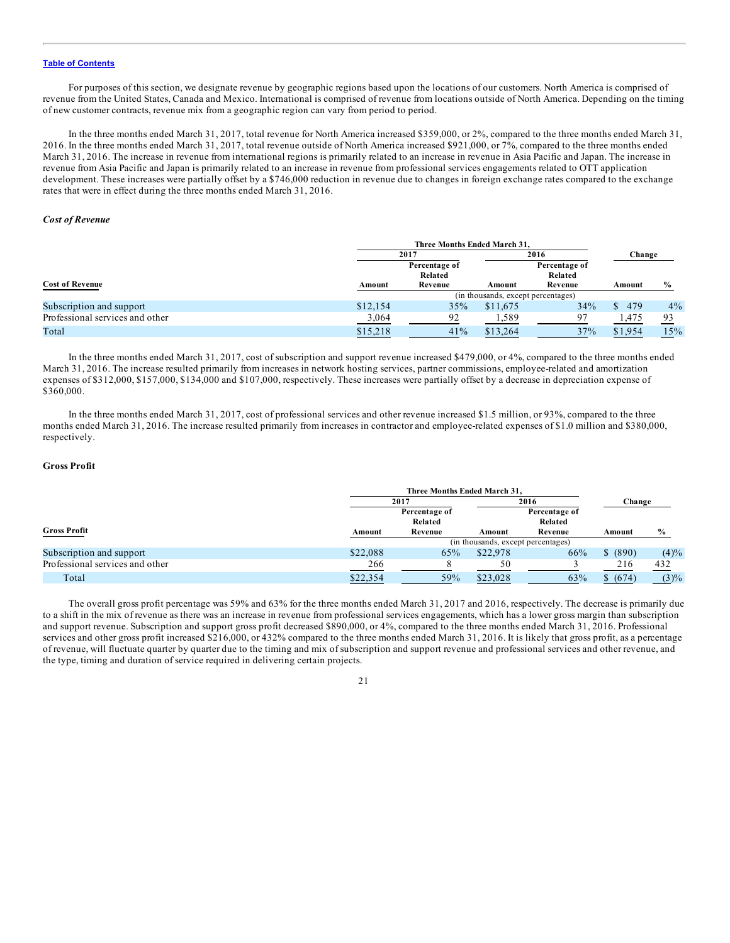For purposes of this section, we designate revenue by geographic regions based upon the locations of our customers. North America is comprised of revenue from the United States, Canada and Mexico. International is comprised of revenue from locations outside of North America. Depending on the timing of new customer contracts, revenue mix from a geographic region can vary from period to period.

In the three months ended March 31, 2017, total revenue for North America increased \$359,000, or 2%, compared to the three months ended March 31, 2016. In the three months ended March 31, 2017, total revenue outside of North America increased \$921,000, or 7%, compared to the three months ended March 31, 2016. The increase in revenue from international regions is primarily related to an increase in revenue in Asia Pacific and Japan. The increase in revenue from Asia Pacific and Japan is primarily related to an increase in revenue from professional services engagements related to OTT application development. These increases were partially offset by a \$746,000 reduction in revenue due to changes in foreign exchange rates compared to the exchange rates that were in effect during the three months ended March 31, 2016.

#### *Cost of Revenue*

|                                 |          | 2017                     |                                    | 2016                     |                                   |     |  |
|---------------------------------|----------|--------------------------|------------------------------------|--------------------------|-----------------------------------|-----|--|
|                                 |          | Percentage of<br>Related |                                    | Percentage of<br>Related | Change<br>$\frac{0}{0}$<br>Amount |     |  |
| <b>Cost of Revenue</b>          | Amount   | Revenue                  | Amount                             | Revenue                  |                                   |     |  |
|                                 |          |                          | (in thousands, except percentages) |                          |                                   |     |  |
| Subscription and support        | \$12,154 | 35%                      | \$11,675                           | 34%                      | 479                               | 4%  |  |
| Professional services and other | 3,064    | 92                       | 1,589                              | 97                       | 1,475                             | 93  |  |
| Total                           | \$15,218 | 41%                      | \$13,264                           | 37%                      | \$1,954                           | 15% |  |

In the three months ended March 31, 2017, cost of subscription and support revenue increased \$479,000, or 4%, compared to the three months ended March 31, 2016. The increase resulted primarily from increases in network hosting services, partner commissions, employee-related and amortization expenses of \$312,000, \$157,000, \$134,000 and \$107,000, respectively. These increases were partially offset by a decrease in depreciation expense of \$360,000.

In the three months ended March 31, 2017, cost of professional services and other revenue increased \$1.5 million, or 93%, compared to the three months ended March 31, 2016. The increase resulted primarily from increases in contractor and employee-related expenses of \$1.0 million and \$380,000, respectively.

## **Gross Profit**

|                                 | Three Months Ended March 31. |                                     |          |                                     |          |               |
|---------------------------------|------------------------------|-------------------------------------|----------|-------------------------------------|----------|---------------|
|                                 | 2017                         |                                     | 2016     |                                     | Change   |               |
| <b>Gross Profit</b>             | Amount                       | Percentage of<br>Related<br>Revenue | Amount   | Percentage of<br>Related<br>Revenue | Amount   | $\frac{0}{0}$ |
|                                 |                              |                                     |          | (in thousands, except percentages)  |          |               |
| Subscription and support        | \$22,088                     | 65%                                 | \$22,978 | 66%                                 | \$ (890) | $(4)\%$       |
| Professional services and other | <u>266</u>                   |                                     | 50       |                                     | 216      | 432           |
| Total                           | \$22,354                     | 59%                                 | \$23,028 | 63%                                 | \$ (674) | $(3)\%$       |

The overall gross profit percentage was 59% and 63% for the three months ended March 31, 2017 and 2016, respectively. The decrease is primarily due to a shift in the mix of revenue as there was an increase in revenue from professional services engagements, which has a lower gross margin than subscription and support revenue. Subscription and support gross profit decreased \$890,000, or 4%, compared to the three months ended March 31, 2016. Professional services and other gross profit increased \$216,000, or 432% compared to the three months ended March 31, 2016. It is likely that gross profit, as a percentage of revenue, will fluctuate quarter by quarter due to the timing and mix of subscription and support revenue and professional services and other revenue, and the type, timing and duration of service required in delivering certain projects.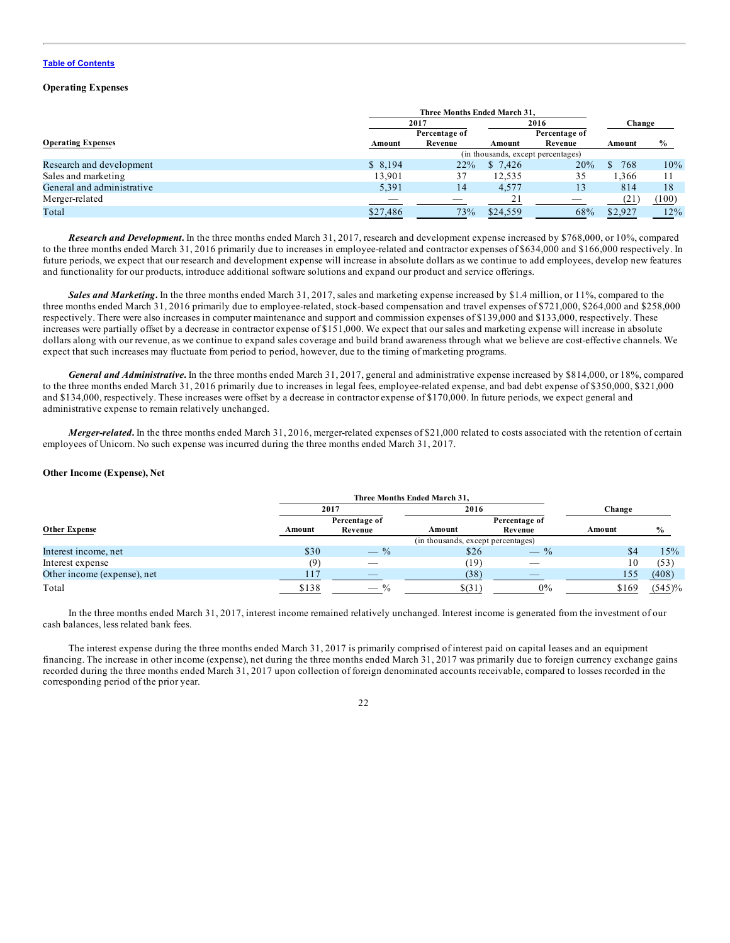## **Operating Expenses**

|                            | Three Months Ended March 31, |               |          |                                    |         |               |
|----------------------------|------------------------------|---------------|----------|------------------------------------|---------|---------------|
|                            |                              | 2017          |          | 2016                               |         | Change        |
|                            |                              | Percentage of |          | Percentage of                      |         |               |
| <b>Operating Expenses</b>  | Amount                       | Revenue       | Amount   | Revenue                            | Amount  | $\frac{6}{6}$ |
|                            |                              |               |          | (in thousands, except percentages) |         |               |
| Research and development   | \$8,194                      | $22\%$        | \$7,426  | 20%                                | 768     | 10%           |
| Sales and marketing        | 13.901                       | 37            | 12,535   | 35                                 | 1,366   |               |
| General and administrative | 5,391                        | 14            | 4,577    | 13                                 | 814     | 18            |
| Merger-related             | __                           |               |          | __                                 | (21)    | (100)         |
| Total                      | \$27,486                     | 73%           | \$24,559 | 68%                                | \$2,927 | 12%           |

*Research and Development***.** In the three months ended March 31, 2017, research and development expense increased by \$768,000, or 10%, compared to the three months ended March 31, 2016 primarily due to increases in employee-related and contractor expenses of \$634,000 and \$166,000 respectively. In future periods, we expect that our research and development expense will increase in absolute dollars as we continue to add employees, develop new features and functionality for our products, introduce additional software solutions and expand our product and service offerings.

*Sales and Marketing***.** In the three months ended March 31, 2017, sales and marketing expense increased by \$1.4 million, or 11%, compared to the three months ended March 31, 2016 primarily due to employee-related, stock-based compensation and travel expenses of \$721,000, \$264,000 and \$258,000 respectively. There were also increases in computer maintenance and support and commission expenses of \$139,000 and \$133,000, respectively. These increases were partially offset by a decrease in contractor expense of \$151,000. We expect that our sales and marketing expense will increase in absolute dollars along with our revenue, as we continue to expand sales coverage and build brand awareness through what we believe are cost-effective channels. We expect that such increases may fluctuate from period to period, however, due to the timing of marketing programs.

*General and Administrative***.** In the three months ended March 31, 2017, general and administrative expense increased by \$814,000, or 18%, compared to the three months ended March 31, 2016 primarily due to increases in legal fees, employee-related expense, and bad debt expense of \$350,000, \$321,000 and \$134,000, respectively. These increases were offset by a decrease in contractor expense of \$170,000. In future periods, we expect general and administrative expense to remain relatively unchanged.

Merger-related. In the three months ended March 31, 2016, merger-related expenses of \$21,000 related to costs associated with the retention of certain employees of Unicorn. No such expense was incurred during the three months ended March 31, 2017.

#### **Other Income (Expense), Net**

|                             |                                    | Three Months Ended March 31,       |        |               |        |               |  |
|-----------------------------|------------------------------------|------------------------------------|--------|---------------|--------|---------------|--|
|                             |                                    | 2017                               | 2016   |               | Change |               |  |
|                             | Percentage of                      |                                    |        | Percentage of |        |               |  |
| <b>Other Expense</b>        | Amount                             | Revenue                            | Amount | Revenue       | Amount | $\frac{6}{6}$ |  |
|                             | (in thousands, except percentages) |                                    |        |               |        |               |  |
| Interest income, net        | \$30                               | $-$ %                              | \$26   | $-$ %         | \$4    | 15%           |  |
| Interest expense            | (9)                                | $\overline{\phantom{a}}$           | (19)   | __            | 10     | (53)          |  |
| Other income (expense), net | 117                                | —                                  | (38)   |               | 155    | (408)         |  |
| Total                       | \$138                              | $\frac{0}{0}$<br>$\hspace{0.05cm}$ | \$(31) | 0%            | \$169  | $(545)\%$     |  |

In the three months ended March 31, 2017, interest income remained relatively unchanged. Interest income is generated from the investment of our cash balances, less related bank fees.

The interest expense during the three months ended March 31, 2017 is primarily comprised of interest paid on capital leases and an equipment financing. The increase in other income (expense), net during the three months ended March 31, 2017 was primarily due to foreign currency exchange gains recorded during the three months ended March 31, 2017 upon collection of foreign denominated accounts receivable, compared to losses recorded in the corresponding period of the prior year.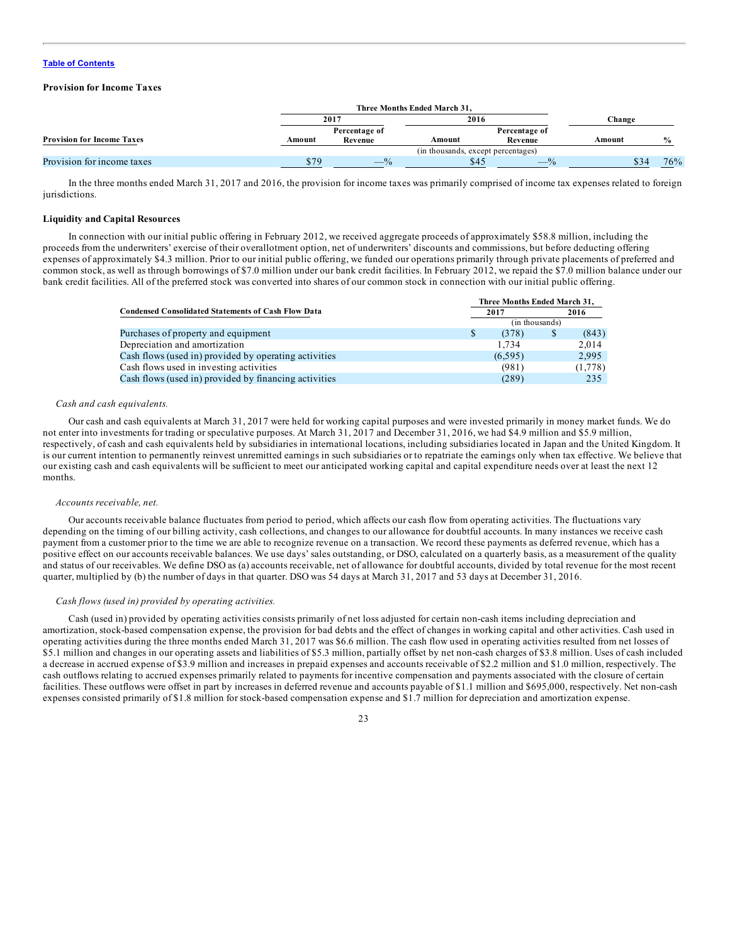## **Provision for Income Taxes**

|                                   | Three Months Ended March 31.       |                          |        |               |        |              |
|-----------------------------------|------------------------------------|--------------------------|--------|---------------|--------|--------------|
|                                   | 2017                               |                          | 2016   |               |        |              |
|                                   |                                    | Percentage of            |        | Percentage of |        |              |
| <b>Provision for Income Taxes</b> | Amount                             | Revenue                  | Amount | Revenue       | Amount | $\mathbf{0}$ |
|                                   | (in thousands, except percentages) |                          |        |               |        |              |
| Provision for income taxes        | \$79                               | $\overline{\phantom{0}}$ | \$45   | $-$           | \$34   | 76%          |

In the three months ended March 31, 2017 and 2016, the provision for income taxes was primarily comprised of income tax expenses related to foreign jurisdictions.

#### **Liquidity and Capital Resources**

In connection with our initial public offering in February 2012, we received aggregate proceeds of approximately \$58.8 million, including the proceeds from the underwriters' exercise of their overallotment option, net of underwriters' discounts and commissions, but before deducting offering expenses of approximately \$4.3 million. Prior to our initial public offering, we funded our operations primarily through private placements of preferred and common stock, as well as through borrowings of \$7.0 million under our bank credit facilities. In February 2012, we repaid the \$7.0 million balance under our bank credit facilities. All of the preferred stock was converted into shares of our common stock in connection with our initial public offering.

|                                                            |    | Three Months Ended March 31, |  |         |  |
|------------------------------------------------------------|----|------------------------------|--|---------|--|
| <b>Condensed Consolidated Statements of Cash Flow Data</b> |    | 2017                         |  | 2016    |  |
|                                                            |    | (in thousands)               |  |         |  |
| Purchases of property and equipment                        | \$ | (378)                        |  | (843)   |  |
| Depreciation and amortization                              |    | 1.734                        |  | 2.014   |  |
| Cash flows (used in) provided by operating activities      |    | (6, 595)                     |  | 2.995   |  |
| Cash flows used in investing activities                    |    | (981)                        |  | (1,778) |  |
| Cash flows (used in) provided by financing activities      |    | (289)                        |  | 235     |  |

#### *Cash and cash equivalents.*

Our cash and cash equivalents at March 31, 2017 were held for working capital purposes and were invested primarily in money market funds. We do not enter into investments for trading or speculative purposes. At March 31, 2017 and December 31, 2016, we had \$4.9 million and \$5.9 million, respectively, of cash and cash equivalents held by subsidiaries in international locations, including subsidiaries located in Japan and the United Kingdom. It is our current intention to permanently reinvest unremitted earnings in such subsidiaries or to repatriate the earnings only when tax effective. We believe that our existing cash and cash equivalents will be sufficient to meet our anticipated working capital and capital expenditure needs over at least the next 12 months.

#### *Accounts receivable, net.*

Our accounts receivable balance fluctuates from period to period, which affects our cash flow from operating activities. The fluctuations vary depending on the timing of our billing activity, cash collections, and changes to our allowance for doubtful accounts. In many instances we receive cash payment from a customer prior to the time we are able to recognize revenue on a transaction. We record these payments as deferred revenue, which has a positive effect on our accounts receivable balances. We use days' sales outstanding, or DSO, calculated on a quarterly basis, as a measurement of the quality and status of our receivables. We define DSO as (a) accounts receivable, net of allowance for doubtful accounts, divided by total revenue for the most recent quarter, multiplied by (b) the number of days in that quarter. DSO was 54 days at March 31, 2017 and 53 days at December 31, 2016.

#### *Cash flows (used in) provided by operating activities.*

Cash (used in) provided by operating activities consists primarily of net loss adjusted for certain non-cash items including depreciation and amortization, stock-based compensation expense, the provision for bad debts and the effect of changes in working capital and other activities. Cash used in operating activities during the three months ended March 31, 2017 was \$6.6 million. The cash flow used in operating activities resulted from net losses of \$5.1 million and changes in our operating assets and liabilities of \$5.3 million, partially offset by net non-cash charges of \$3.8 million. Uses of cash included a decrease in accrued expense of \$3.9 million and increases in prepaid expenses and accounts receivable of \$2.2 million and \$1.0 million, respectively. The cash outflows relating to accrued expenses primarily related to payments for incentive compensation and payments associated with the closure of certain facilities. These outflows were offset in part by increases in deferred revenue and accounts payable of \$1.1 million and \$695,000, respectively. Net non-cash expenses consisted primarily of \$1.8 million for stock-based compensation expense and \$1.7 million for depreciation and amortization expense.

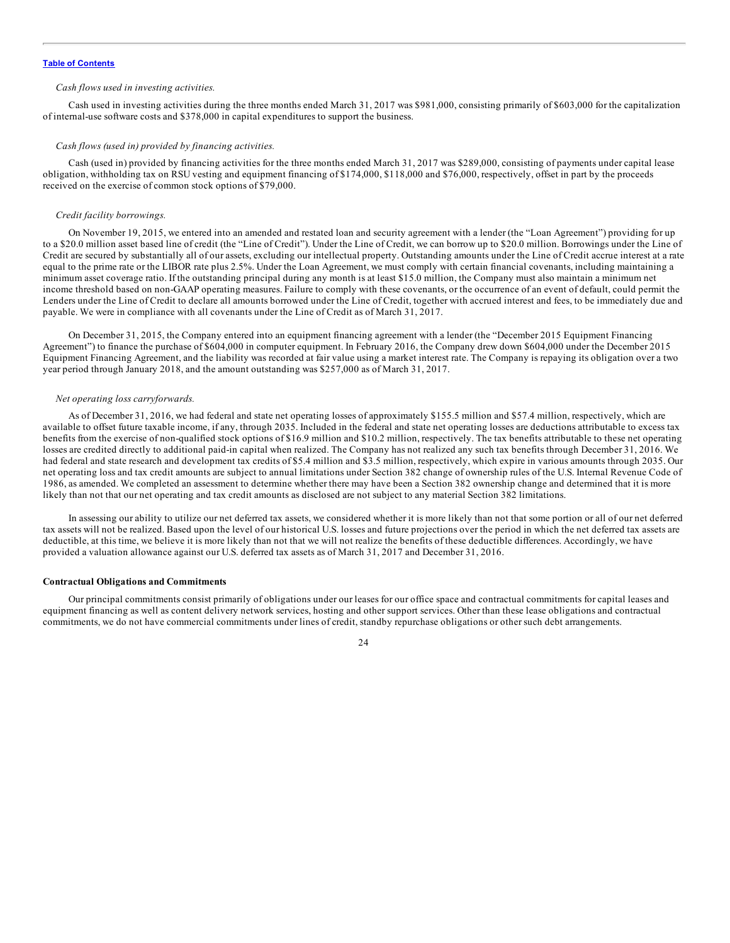#### *Cash flows used in investing activities.*

Cash used in investing activities during the three months ended March 31, 2017 was \$981,000, consisting primarily of \$603,000 for the capitalization of internal-use software costs and \$378,000 in capital expenditures to support the business.

## *Cash flows (used in) provided by financing activities.*

Cash (used in) provided by financing activities for the three months ended March 31, 2017 was \$289,000, consisting of payments under capital lease obligation, withholding tax on RSU vesting and equipment financing of \$174,000, \$118,000 and \$76,000, respectively, offset in part by the proceeds received on the exercise of common stock options of \$79,000.

#### *Credit facility borrowings.*

On November 19, 2015, we entered into an amended and restated loan and security agreement with a lender (the "Loan Agreement") providing for up to a \$20.0 million asset based line of credit (the "Line of Credit"). Under the Line of Credit, we can borrow up to \$20.0 million. Borrowings under the Line of Credit are secured by substantially all of our assets, excluding our intellectual property. Outstanding amounts under the Line of Credit accrue interest at a rate equal to the prime rate or the LIBOR rate plus 2.5%. Under the Loan Agreement, we must comply with certain financial covenants, including maintaining a minimum asset coverage ratio. If the outstanding principal during any month is at least \$15.0 million, the Company must also maintain a minimum net income threshold based on non-GAAP operating measures. Failure to comply with these covenants, or the occurrence of an event of default, could permit the Lenders under the Line of Credit to declare all amounts borrowed under the Line of Credit, together with accrued interest and fees, to be immediately due and payable. We were in compliance with all covenants under the Line of Credit as of March 31, 2017.

On December 31, 2015, the Company entered into an equipment financing agreement with a lender (the "December 2015 Equipment Financing Agreement") to finance the purchase of \$604,000 in computer equipment. In February 2016, the Company drew down \$604,000 under the December 2015 Equipment Financing Agreement, and the liability was recorded at fair value using a market interest rate. The Company is repaying its obligation over a two year period through January 2018, and the amount outstanding was \$257,000 as of March 31, 2017.

#### *Net operating loss carryforwards.*

As of December 31, 2016, we had federal and state net operating losses of approximately \$155.5 million and \$57.4 million, respectively, which are available to offset future taxable income, if any, through 2035. Included in the federal and state net operating losses are deductions attributable to excess tax benefits from the exercise of non-qualified stock options of \$16.9 million and \$10.2 million, respectively. The tax benefits attributable to these net operating losses are credited directly to additional paid-in capital when realized. The Company has not realized any such tax benefits through December 31, 2016. We had federal and state research and development tax credits of \$5.4 million and \$3.5 million, respectively, which expire in various amounts through 2035. Our net operating loss and tax credit amounts are subject to annual limitations under Section 382 change of ownership rules of the U.S. Internal Revenue Code of 1986, as amended. We completed an assessment to determine whether there may have been a Section 382 ownership change and determined that it is more likely than not that our net operating and tax credit amounts as disclosed are not subject to any material Section 382 limitations.

In assessing our ability to utilize our net deferred tax assets, we considered whether it is more likely than not that some portion or all of our net deferred tax assets will not be realized. Based upon the level of our historical U.S. losses and future projections over the period in which the net deferred tax assets are deductible, at this time, we believe it is more likely than not that we will not realize the benefits of these deductible differences. Accordingly, we have provided a valuation allowance against our U.S. deferred tax assets as of March 31, 2017 and December 31, 2016.

### **Contractual Obligations and Commitments**

Our principal commitments consist primarily of obligations under our leases for our office space and contractual commitments for capital leases and equipment financing as well as content delivery network services, hosting and other support services. Other than these lease obligations and contractual commitments, we do not have commercial commitments under lines of credit, standby repurchase obligations or other such debt arrangements.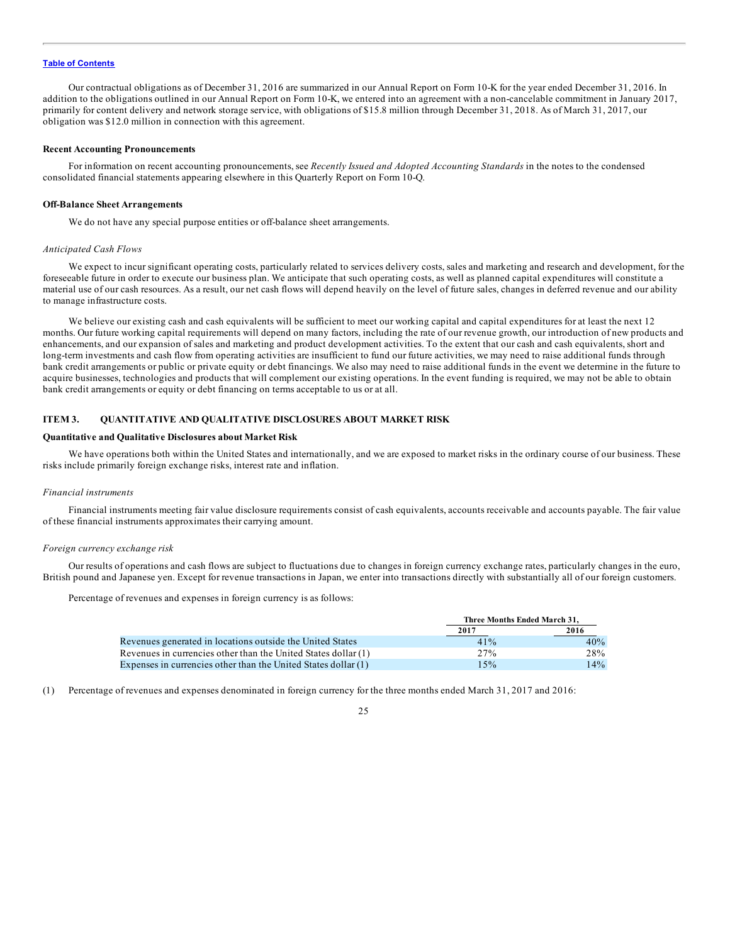<span id="page-25-0"></span>Our contractual obligations as of December 31, 2016 are summarized in our Annual Report on Form 10-K for the year ended December 31, 2016. In addition to the obligations outlined in our Annual Report on Form 10-K, we entered into an agreement with a non-cancelable commitment in January 2017, primarily for content delivery and network storage service, with obligations of \$15.8 million through December 31, 2018. As of March 31, 2017, our obligation was \$12.0 million in connection with this agreement.

#### **Recent Accounting Pronouncements**

For information on recent accounting pronouncements, see *Recently Issued and Adopted Accounting Standards* in the notes to the condensed consolidated financial statements appearing elsewhere in this Quarterly Report on Form 10-Q.

#### **Off-Balance Sheet Arrangements**

We do not have any special purpose entities or off-balance sheet arrangements.

#### *Anticipated Cash Flows*

We expect to incur significant operating costs, particularly related to services delivery costs, sales and marketing and research and development, for the foreseeable future in order to execute our business plan. We anticipate that such operating costs, as well as planned capital expenditures will constitute a material use of our cash resources. As a result, our net cash flows will depend heavily on the level of future sales, changes in deferred revenue and our ability to manage infrastructure costs.

We believe our existing cash and cash equivalents will be sufficient to meet our working capital and capital expenditures for at least the next 12 months. Our future working capital requirements will depend on many factors, including the rate of our revenue growth, our introduction of new products and enhancements, and our expansion of sales and marketing and product development activities. To the extent that our cash and cash equivalents, short and long-term investments and cash flow from operating activities are insufficient to fund our future activities, we may need to raise additional funds through bank credit arrangements or public or private equity or debt financings. We also may need to raise additional funds in the event we determine in the future to acquire businesses, technologies and products that will complement our existing operations. In the event funding is required, we may not be able to obtain bank credit arrangements or equity or debt financing on terms acceptable to us or at all.

## **ITEM 3. QUANTITATIVE AND QUALITATIVE DISCLOSURES ABOUT MARKET RISK**

## **Quantitative and Qualitative Disclosures about Market Risk**

We have operations both within the United States and internationally, and we are exposed to market risks in the ordinary course of our business. These risks include primarily foreign exchange risks, interest rate and inflation.

#### *Financial instruments*

Financial instruments meeting fair value disclosure requirements consist of cash equivalents, accounts receivable and accounts payable. The fair value of these financial instruments approximates their carrying amount.

#### *Foreign currency exchange risk*

Our results of operations and cash flows are subject to fluctuations due to changes in foreign currency exchange rates, particularly changes in the euro, British pound and Japanese yen. Except for revenue transactions in Japan, we enter into transactions directly with substantially all of our foreign customers.

Percentage of revenues and expenses in foreign currency is as follows:

|                                                                | Three Months Ended March 31. |      |  |
|----------------------------------------------------------------|------------------------------|------|--|
|                                                                | 2017                         | 2016 |  |
| Revenues generated in locations outside the United States      | $41\%$                       | 40%  |  |
| Revenues in currencies other than the United States dollar (1) | $2.7\%$                      | 28%  |  |
| Expenses in currencies other than the United States dollar (1) | 15%                          | 14%  |  |

(1) Percentage of revenues and expenses denominated in foreign currency for the three months ended March 31, 2017 and 2016: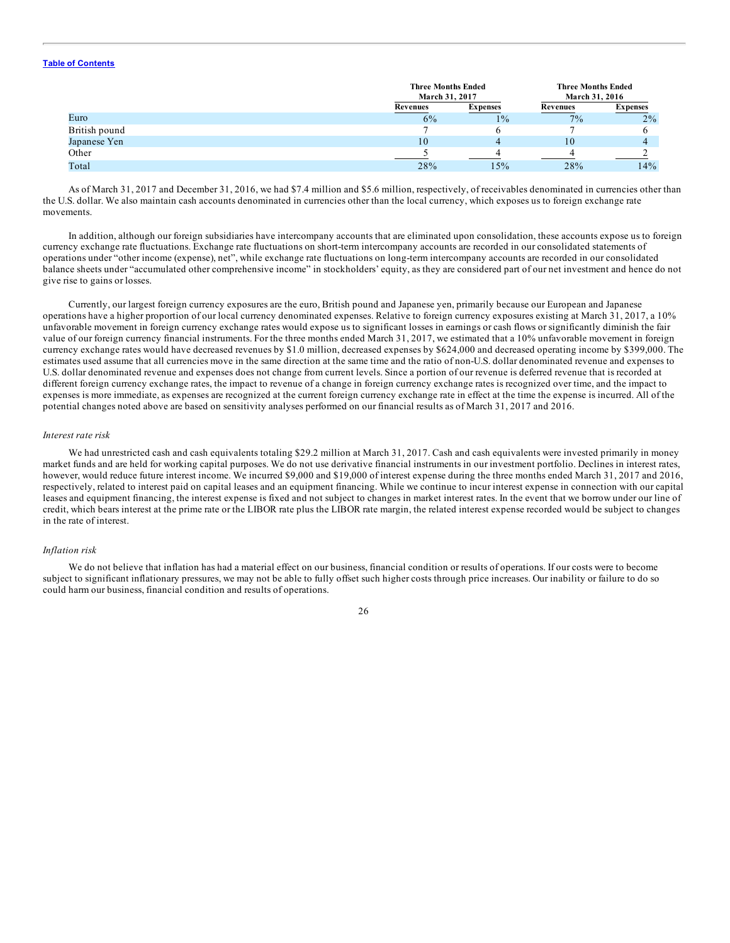|               |          | <b>Three Months Ended</b><br>March 31, 2017 |          | <b>Three Months Ended</b><br>March 31, 2016 |  |
|---------------|----------|---------------------------------------------|----------|---------------------------------------------|--|
|               | Revenues | <b>Expenses</b>                             | Revenues | <b>Expenses</b>                             |  |
| Euro          | 6%       | $1\%$                                       | $7\%$    | $2\%$                                       |  |
| British pound |          | o                                           |          |                                             |  |
| Japanese Yen  | 10       |                                             | 10       |                                             |  |
| Other         |          |                                             |          |                                             |  |
| Total         | 28%      | 15%                                         | 28%      | 14%                                         |  |

As of March 31, 2017 and December 31, 2016, we had \$7.4 million and \$5.6 million, respectively, of receivables denominated in currencies other than the U.S. dollar. We also maintain cash accounts denominated in currencies other than the local currency, which exposes us to foreign exchange rate movements.

In addition, although our foreign subsidiaries have intercompany accounts that are eliminated upon consolidation, these accounts expose us to foreign currency exchange rate fluctuations. Exchange rate fluctuations on short-term intercompany accounts are recorded in our consolidated statements of operations under "other income (expense), net", while exchange rate fluctuations on long-term intercompany accounts are recorded in our consolidated balance sheets under "accumulated other comprehensive income" in stockholders' equity, as they are considered part of our net investment and hence do not give rise to gains or losses.

Currently, our largest foreign currency exposures are the euro, British pound and Japanese yen, primarily because our European and Japanese operations have a higher proportion of our local currency denominated expenses. Relative to foreign currency exposures existing at March 31, 2017, a 10% unfavorable movement in foreign currency exchange rates would expose us to significant losses in earnings or cash flows or significantly diminish the fair value of our foreign currency financial instruments. For the three months ended March 31, 2017, we estimated that a 10% unfavorable movement in foreign currency exchange rates would have decreased revenues by \$1.0 million, decreased expenses by \$624,000 and decreased operating income by \$399,000. The estimates used assume that all currencies move in the same direction at the same time and the ratio of non-U.S. dollar denominated revenue and expenses to U.S. dollar denominated revenue and expenses does not change from current levels. Since a portion of our revenue is deferred revenue that is recorded at different foreign currency exchange rates, the impact to revenue of a change in foreign currency exchange rates is recognized over time, and the impact to expenses is more immediate, as expenses are recognized at the current foreign currency exchange rate in effect at the time the expense is incurred. All of the potential changes noted above are based on sensitivity analyses performed on our financial results as of March 31, 2017 and 2016.

#### *Interest rate risk*

We had unrestricted cash and cash equivalents totaling \$29.2 million at March 31, 2017. Cash and cash equivalents were invested primarily in money market funds and are held for working capital purposes. We do not use derivative financial instruments in our investment portfolio. Declines in interest rates, however, would reduce future interest income. We incurred \$9,000 and \$19,000 of interest expense during the three months ended March 31, 2017 and 2016, respectively, related to interest paid on capital leases and an equipment financing. While we continue to incur interest expense in connection with our capital leases and equipment financing, the interest expense is fixed and not subject to changes in market interest rates. In the event that we borrow under our line of credit, which bears interest at the prime rate or the LIBOR rate plus the LIBOR rate margin, the related interest expense recorded would be subject to changes in the rate of interest.

#### *Inflation risk*

We do not believe that inflation has had a material effect on our business, financial condition or results of operations. If our costs were to become subject to significant inflationary pressures, we may not be able to fully offset such higher costs through price increases. Our inability or failure to do so could harm our business, financial condition and results of operations.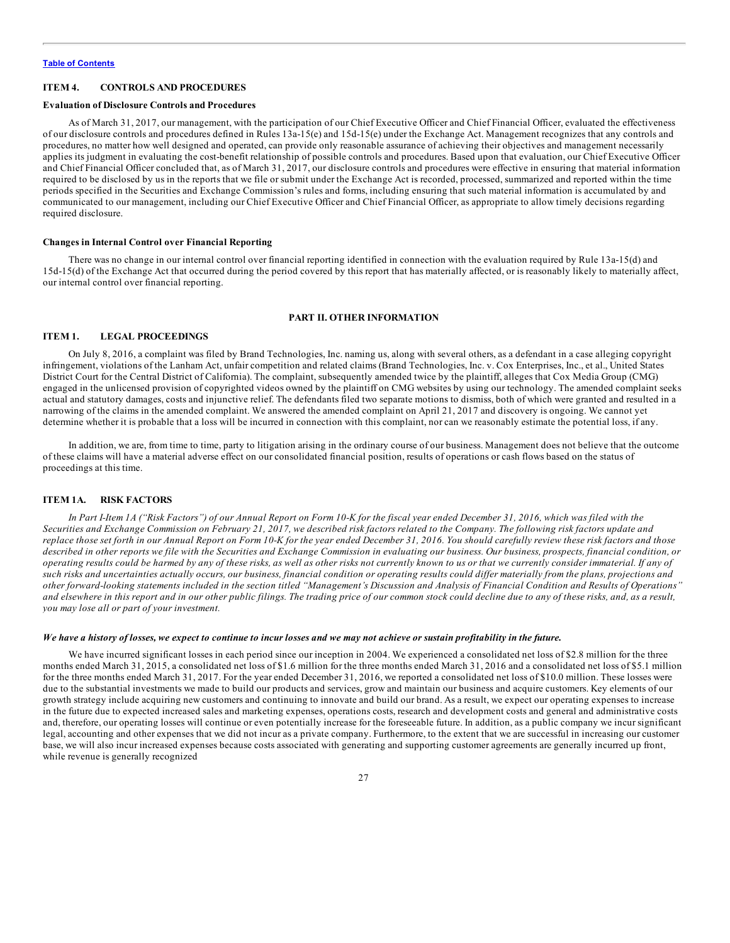#### <span id="page-27-0"></span>**ITEM 4. CONTROLS AND PROCEDURES**

## **Evaluation of Disclosure Controls and Procedures**

As of March 31, 2017, our management, with the participation of our Chief Executive Officer and Chief Financial Officer, evaluated the effectiveness of our disclosure controls and procedures defined in Rules 13a-15(e) and 15d-15(e) under the Exchange Act. Management recognizes that any controls and procedures, no matter how well designed and operated, can provide only reasonable assurance of achieving their objectives and management necessarily applies its judgment in evaluating the cost-benefit relationship of possible controls and procedures. Based upon that evaluation, our Chief Executive Officer and Chief Financial Officer concluded that, as of March 31, 2017, our disclosure controls and procedures were effective in ensuring that material information required to be disclosed by us in the reports that we file or submit under the Exchange Act is recorded, processed, summarized and reported within the time periods specified in the Securities and Exchange Commission's rules and forms, including ensuring that such material information is accumulated by and communicated to our management, including our Chief Executive Officer and Chief Financial Officer, as appropriate to allow timely decisions regarding required disclosure.

#### **Changes in Internal Control over Financial Reporting**

There was no change in our internal control over financial reporting identified in connection with the evaluation required by Rule 13a-15(d) and 15d-15(d) of the Exchange Act that occurred during the period covered by this report that has materially affected, or is reasonably likely to materially affect, our internal control over financial reporting.

## **PART II. OTHER INFORMATION**

#### **ITEM 1. LEGAL PROCEEDINGS**

On July 8, 2016, a complaint was filed by Brand Technologies, Inc. naming us, along with several others, as a defendant in a case alleging copyright infringement, violations of the Lanham Act, unfair competition and related claims (Brand Technologies, Inc. v. Cox Enterprises, Inc., et al., United States District Court for the Central District of California). The complaint, subsequently amended twice by the plaintiff, alleges that Cox Media Group (CMG) engaged in the unlicensed provision of copyrighted videos owned by the plaintiff on CMG websites by using our technology. The amended complaint seeks actual and statutory damages, costs and injunctive relief. The defendants filed two separate motions to dismiss, both of which were granted and resulted in a narrowing of the claims in the amended complaint. We answered the amended complaint on April 21, 2017 and discovery is ongoing. We cannot yet determine whether it is probable that a loss will be incurred in connection with this complaint, nor can we reasonably estimate the potential loss, if any.

In addition, we are, from time to time, party to litigation arising in the ordinary course of our business. Management does not believe that the outcome of these claims will have a material adverse effect on our consolidated financial position, results of operations or cash flows based on the status of proceedings at this time.

#### **ITEM 1A. RISK FACTORS**

In Part I-Item 1A ("Risk Factors") of our Annual Report on Form 10-K for the fiscal year ended December 31, 2016, which was filed with the Securities and Exchange Commission on February 21, 2017, we described risk factors related to the Company. The following risk factors update and replace those set forth in our Annual Report on Form 10-K for the year ended December 31, 2016. You should carefully review these risk factors and those described in other reports we file with the Securities and Exchange Commission in evaluating our business. Our business, prospects, financial condition, or operating results could be harmed by any of these risks, as well as other risks not currently known to us or that we currently consider immaterial. If any of such risks and uncertainties actually occurs, our business, financial condition or operating results could differ materially from the plans, projections and other forward-looking statements included in the section titled "Management's Discussion and Analysis of Financial Condition and Results of Operations" and elsewhere in this report and in our other public filings. The trading price of our common stock could decline due to any of these risks, and, as a result, *you may lose all or part of your investment.*

#### We have a history of losses, we expect to continue to incur losses and we may not achieve or sustain profitability in the future.

We have incurred significant losses in each period since our inception in 2004. We experienced a consolidated net loss of \$2.8 million for the three months ended March 31, 2015, a consolidated net loss of \$1.6 million for the three months ended March 31, 2016 and a consolidated net loss of \$5.1 million for the three months ended March 31, 2017. For the year ended December 31, 2016, we reported a consolidated net loss of \$10.0 million. These losses were due to the substantial investments we made to build our products and services, grow and maintain our business and acquire customers. Key elements of our growth strategy include acquiring new customers and continuing to innovate and build our brand. As a result, we expect our operating expenses to increase in the future due to expected increased sales and marketing expenses, operations costs, research and development costs and general and administrative costs and, therefore, our operating losses will continue or even potentially increase for the foreseeable future. In addition, as a public company we incur significant legal, accounting and other expenses that we did not incur as a private company. Furthermore, to the extent that we are successful in increasing our customer base, we will also incur increased expenses because costs associated with generating and supporting customer agreements are generally incurred up front, while revenue is generally recognized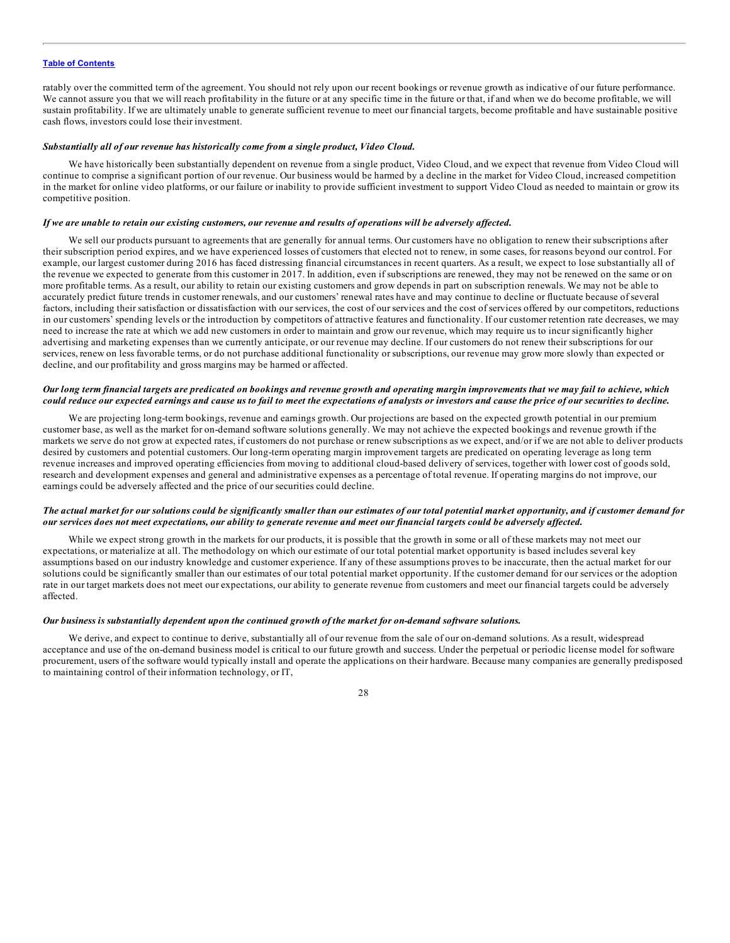ratably over the committed term of the agreement. You should not rely upon our recent bookings or revenue growth as indicative of our future performance. We cannot assure you that we will reach profitability in the future or at any specific time in the future or that, if and when we do become profitable, we will sustain profitability. If we are ultimately unable to generate sufficient revenue to meet our financial targets, become profitable and have sustainable positive cash flows, investors could lose their investment.

#### *Substantially all of our revenue has historically come from a single product, Video Cloud.*

We have historically been substantially dependent on revenue from a single product, Video Cloud, and we expect that revenue from Video Cloud will continue to comprise a significant portion of our revenue. Our business would be harmed by a decline in the market for Video Cloud, increased competition in the market for online video platforms, or our failure or inability to provide sufficient investment to support Video Cloud as needed to maintain or grow its competitive position.

#### If we are unable to retain our existing customers, our revenue and results of operations will be adversely affected.

We sell our products pursuant to agreements that are generally for annual terms. Our customers have no obligation to renew their subscriptions after their subscription period expires, and we have experienced losses of customers that elected not to renew, in some cases, for reasons beyond our control. For example, our largest customer during 2016 has faced distressing financial circumstances in recent quarters. As a result, we expect to lose substantially all of the revenue we expected to generate from this customer in 2017. In addition, even if subscriptions are renewed, they may not be renewed on the same or on more profitable terms. As a result, our ability to retain our existing customers and grow depends in part on subscription renewals. We may not be able to accurately predict future trends in customer renewals, and our customers' renewal rates have and may continue to decline or fluctuate because of several factors, including their satisfaction or dissatisfaction with our services, the cost of our services and the cost of services offered by our competitors, reductions in our customers' spending levels or the introduction by competitors of attractive features and functionality. If our customer retention rate decreases, we may need to increase the rate at which we add new customers in order to maintain and grow our revenue, which may require us to incur significantly higher advertising and marketing expenses than we currently anticipate, or our revenue may decline. If our customers do not renew their subscriptions for our services, renew on less favorable terms, or do not purchase additional functionality or subscriptions, our revenue may grow more slowly than expected or decline, and our profitability and gross margins may be harmed or affected.

## Our long term financial targets are predicated on bookings and revenue growth and operating margin improvements that we may fail to achieve, which could reduce our expected earnings and cause us to fail to meet the expectations of analysts or investors and cause the price of our securities to decline.

We are projecting long-term bookings, revenue and earnings growth. Our projections are based on the expected growth potential in our premium customer base, as well as the market for on-demand software solutions generally. We may not achieve the expected bookings and revenue growth if the markets we serve do not grow at expected rates, if customers do not purchase or renew subscriptions as we expect, and/or if we are not able to deliver products desired by customers and potential customers. Our long-term operating margin improvement targets are predicated on operating leverage as long term revenue increases and improved operating efficiencies from moving to additional cloud-based delivery of services, together with lower cost of goods sold, research and development expenses and general and administrative expenses as a percentage of total revenue. If operating margins do not improve, our earnings could be adversely affected and the price of our securities could decline.

#### The actual market for our solutions could be significantly smaller than our estimates of our total potential market opportunity, and if customer demand for our services does not meet expectations, our ability to generate revenue and meet our financial targets could be adversely affected.

While we expect strong growth in the markets for our products, it is possible that the growth in some or all of these markets may not meet our expectations, or materialize at all. The methodology on which our estimate of our total potential market opportunity is based includes several key assumptions based on our industry knowledge and customer experience. If any of these assumptions proves to be inaccurate, then the actual market for our solutions could be significantly smaller than our estimates of our total potential market opportunity. If the customer demand for our services or the adoption rate in our target markets does not meet our expectations, our ability to generate revenue from customers and meet our financial targets could be adversely affected.

#### Our business is substantially dependent upon the continued growth of the market for on-demand software solutions.

We derive, and expect to continue to derive, substantially all of our revenue from the sale of our on-demand solutions. As a result, widespread acceptance and use of the on-demand business model is critical to our future growth and success. Under the perpetual or periodic license model for software procurement, users of the software would typically install and operate the applications on their hardware. Because many companies are generally predisposed to maintaining control of their information technology, or IT,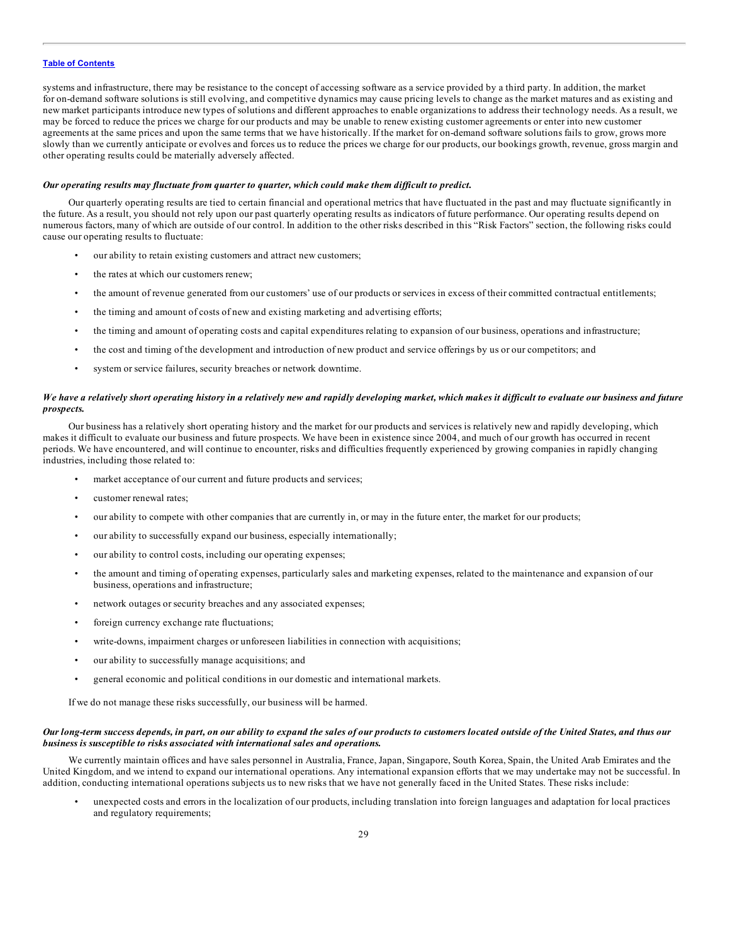systems and infrastructure, there may be resistance to the concept of accessing software as a service provided by a third party. In addition, the market for on-demand software solutions is still evolving, and competitive dynamics may cause pricing levels to change as the market matures and as existing and new market participants introduce new types of solutions and different approaches to enable organizations to address their technology needs. As a result, we may be forced to reduce the prices we charge for our products and may be unable to renew existing customer agreements or enter into new customer agreements at the same prices and upon the same terms that we have historically. If the market for on-demand software solutions fails to grow, grows more slowly than we currently anticipate or evolves and forces us to reduce the prices we charge for our products, our bookings growth, revenue, gross margin and other operating results could be materially adversely affected.

#### *Our operating results may fluctuate from quarter to quarter, which could make them dif icult to predict.*

Our quarterly operating results are tied to certain financial and operational metrics that have fluctuated in the past and may fluctuate significantly in the future. As a result, you should not rely upon our past quarterly operating results as indicators of future performance. Our operating results depend on numerous factors, many of which are outside of our control. In addition to the other risks described in this "Risk Factors" section, the following risks could cause our operating results to fluctuate:

- our ability to retain existing customers and attract new customers;
- the rates at which our customers renew;
- the amount of revenue generated from our customers' use of our products or services in excess of their committed contractual entitlements;
- the timing and amount of costs of new and existing marketing and advertising efforts;
- the timing and amount of operating costs and capital expenditures relating to expansion of our business, operations and infrastructure;
- the cost and timing of the development and introduction of new product and service offerings by us or our competitors; and
- system or service failures, security breaches or network downtime.

## We have a relatively short operating history in a relatively new and rapidly developing market, which makes it difficult to evaluate our business and future *prospects.*

Our business has a relatively short operating history and the market for our products and services is relatively new and rapidly developing, which makes it difficult to evaluate our business and future prospects. We have been in existence since 2004, and much of our growth has occurred in recent periods. We have encountered, and will continue to encounter, risks and difficulties frequently experienced by growing companies in rapidly changing industries, including those related to:

- market acceptance of our current and future products and services;
- customer renewal rates:
- our ability to compete with other companies that are currently in, or may in the future enter, the market for our products;
- our ability to successfully expand our business, especially internationally;
- our ability to control costs, including our operating expenses;
- the amount and timing of operating expenses, particularly sales and marketing expenses, related to the maintenance and expansion of our business, operations and infrastructure;
- network outages or security breaches and any associated expenses;
- foreign currency exchange rate fluctuations;
- write-downs, impairment charges or unforeseen liabilities in connection with acquisitions;
- our ability to successfully manage acquisitions; and
- general economic and political conditions in our domestic and international markets.

If we do not manage these risks successfully, our business will be harmed.

## Our long-term success depends, in part, on our ability to expand the sales of our products to customers located outside of the United States, and thus our *business is susceptible to risks associated with international sales and operations.*

We currently maintain offices and have sales personnel in Australia, France, Japan, Singapore, South Korea, Spain, the United Arab Emirates and the United Kingdom, and we intend to expand our international operations. Any international expansion efforts that we may undertake may not be successful. In addition, conducting international operations subjects us to new risks that we have not generally faced in the United States. These risks include:

• unexpected costs and errors in the localization of our products, including translation into foreign languages and adaptation for local practices and regulatory requirements;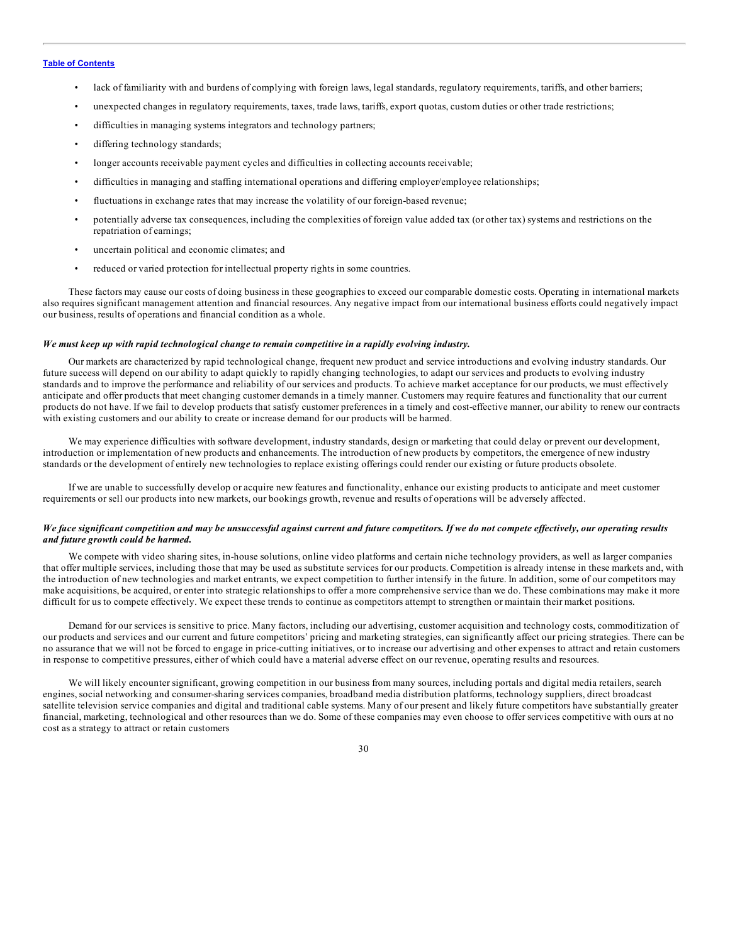- lack of familiarity with and burdens of complying with foreign laws, legal standards, regulatory requirements, tariffs, and other barriers;
- unexpected changes in regulatory requirements, taxes, trade laws, tariffs, export quotas, custom duties or other trade restrictions;
- difficulties in managing systems integrators and technology partners;
- differing technology standards;
- longer accounts receivable payment cycles and difficulties in collecting accounts receivable;
- difficulties in managing and staffing international operations and differing employer/employee relationships;
- fluctuations in exchange rates that may increase the volatility of our foreign-based revenue;
- potentially adverse tax consequences, including the complexities of foreign value added tax (or other tax) systems and restrictions on the repatriation of earnings;
- uncertain political and economic climates; and
- reduced or varied protection for intellectual property rights in some countries.

These factors may cause our costs of doing business in these geographies to exceed our comparable domestic costs. Operating in international markets also requires significant management attention and financial resources. Any negative impact from our international business efforts could negatively impact our business, results of operations and financial condition as a whole.

#### *We must keep up with rapid technological change to remain competitive in a rapidly evolving industry.*

Our markets are characterized by rapid technological change, frequent new product and service introductions and evolving industry standards. Our future success will depend on our ability to adapt quickly to rapidly changing technologies, to adapt our services and products to evolving industry standards and to improve the performance and reliability of our services and products. To achieve market acceptance for our products, we must effectively anticipate and offer products that meet changing customer demands in a timely manner. Customers may require features and functionality that our current products do not have. If we fail to develop products that satisfy customer preferences in a timely and cost-effective manner, our ability to renew our contracts with existing customers and our ability to create or increase demand for our products will be harmed.

We may experience difficulties with software development, industry standards, design or marketing that could delay or prevent our development, introduction or implementation of new products and enhancements. The introduction of new products by competitors, the emergence of new industry standards or the development of entirely new technologies to replace existing offerings could render our existing or future products obsolete.

If we are unable to successfully develop or acquire new features and functionality, enhance our existing products to anticipate and meet customer requirements or sell our products into new markets, our bookings growth, revenue and results of operations will be adversely affected.

## We face significant competition and may be unsuccessful against current and future competitors. If we do not compete effectively, our operating results *and future growth could be harmed.*

We compete with video sharing sites, in-house solutions, online video platforms and certain niche technology providers, as well as larger companies that offer multiple services, including those that may be used as substitute services for our products. Competition is already intense in these markets and, with the introduction of new technologies and market entrants, we expect competition to further intensify in the future. In addition, some of our competitors may make acquisitions, be acquired, or enter into strategic relationships to offer a more comprehensive service than we do. These combinations may make it more difficult for us to compete effectively. We expect these trends to continue as competitors attempt to strengthen or maintain their market positions.

Demand for our services is sensitive to price. Many factors, including our advertising, customer acquisition and technology costs, commoditization of our products and services and our current and future competitors' pricing and marketing strategies, can significantly affect our pricing strategies. There can be no assurance that we will not be forced to engage in price-cutting initiatives, or to increase our advertising and other expenses to attract and retain customers in response to competitive pressures, either of which could have a material adverse effect on our revenue, operating results and resources.

We will likely encounter significant, growing competition in our business from many sources, including portals and digital media retailers, search engines, social networking and consumer-sharing services companies, broadband media distribution platforms, technology suppliers, direct broadcast satellite television service companies and digital and traditional cable systems. Many of our present and likely future competitors have substantially greater financial, marketing, technological and other resources than we do. Some of these companies may even choose to offer services competitive with ours at no cost as a strategy to attract or retain customers

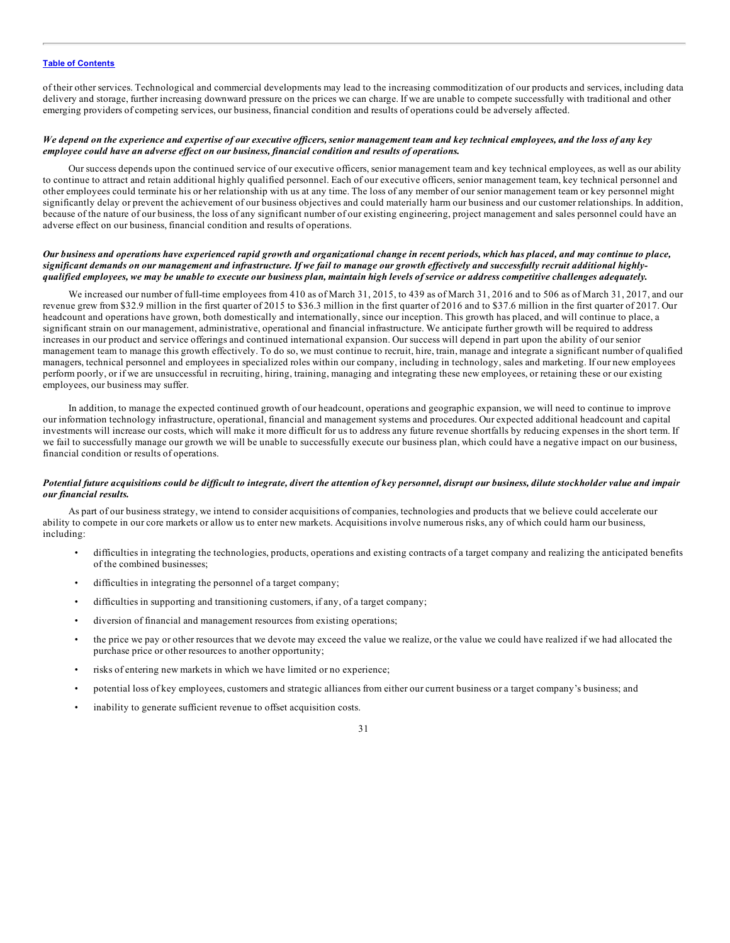of their other services. Technological and commercial developments may lead to the increasing commoditization of our products and services, including data delivery and storage, further increasing downward pressure on the prices we can charge. If we are unable to compete successfully with traditional and other emerging providers of competing services, our business, financial condition and results of operations could be adversely affected.

## We depend on the experience and expertise of our executive officers, senior management team and key technical employees, and the loss of any key *employee could have an adverse ef ect on our business, financial condition and results of operations.*

Our success depends upon the continued service of our executive officers, senior management team and key technical employees, as well as our ability to continue to attract and retain additional highly qualified personnel. Each of our executive officers, senior management team, key technical personnel and other employees could terminate his or her relationship with us at any time. The loss of any member of our senior management team or key personnel might significantly delay or prevent the achievement of our business objectives and could materially harm our business and our customer relationships. In addition, because of the nature of our business, the loss of any significant number of our existing engineering, project management and sales personnel could have an adverse effect on our business, financial condition and results of operations.

#### Our business and operations have experienced rapid growth and organizational change in recent periods, which has placed, and may continue to place, significant demands on our management and infrastructure. If we fail to manage our growth effectively and successfully recruit additional highlyqualified employees, we may be unable to execute our business plan, maintain high levels of service or address competitive challenges adequately.

We increased our number of full-time employees from 410 as of March 31, 2015, to 439 as of March 31, 2016 and to 506 as of March 31, 2017, and our revenue grew from \$32.9 million in the first quarter of 2015 to \$36.3 million in the first quarter of 2016 and to \$37.6 million in the first quarter of 2017. Our headcount and operations have grown, both domestically and internationally, since our inception. This growth has placed, and will continue to place, a significant strain on our management, administrative, operational and financial infrastructure. We anticipate further growth will be required to address increases in our product and service offerings and continued international expansion. Our success will depend in part upon the ability of our senior management team to manage this growth effectively. To do so, we must continue to recruit, hire, train, manage and integrate a significant number of qualified managers, technical personnel and employees in specialized roles within our company, including in technology, sales and marketing. If our new employees perform poorly, or if we are unsuccessful in recruiting, hiring, training, managing and integrating these new employees, or retaining these or our existing employees, our business may suffer.

In addition, to manage the expected continued growth of our headcount, operations and geographic expansion, we will need to continue to improve our information technology infrastructure, operational, financial and management systems and procedures. Our expected additional headcount and capital investments will increase our costs, which will make it more difficult for us to address any future revenue shortfalls by reducing expenses in the short term. If we fail to successfully manage our growth we will be unable to successfully execute our business plan, which could have a negative impact on our business, financial condition or results of operations.

## Potential future acquisitions could be difficult to integrate, divert the attention of key personnel, disrupt our business, dilute stockholder value and impair *our financial results.*

As part of our business strategy, we intend to consider acquisitions of companies, technologies and products that we believe could accelerate our ability to compete in our core markets or allow us to enter new markets. Acquisitions involve numerous risks, any of which could harm our business, including:

- difficulties in integrating the technologies, products, operations and existing contracts of a target company and realizing the anticipated benefits of the combined businesses;
- difficulties in integrating the personnel of a target company;
- difficulties in supporting and transitioning customers, if any, of a target company;
- diversion of financial and management resources from existing operations;
- the price we pay or other resources that we devote may exceed the value we realize, or the value we could have realized if we had allocated the purchase price or other resources to another opportunity;
- risks of entering new markets in which we have limited or no experience;
- potential loss of key employees, customers and strategic alliances from either our current business or a target company's business; and
- inability to generate sufficient revenue to offset acquisition costs.
	- 31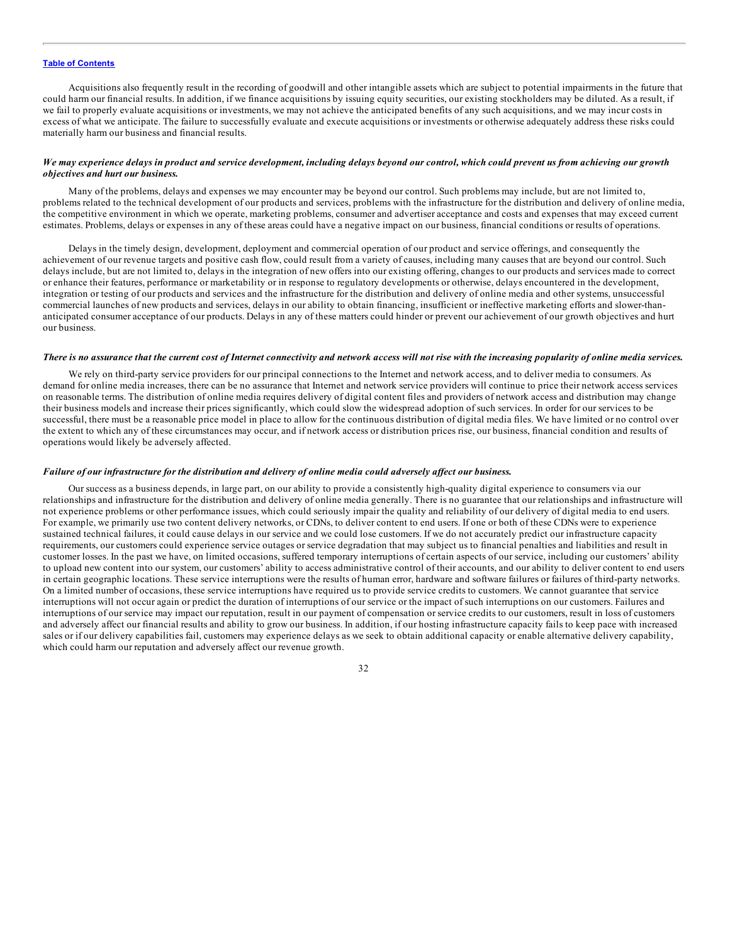Acquisitions also frequently result in the recording of goodwill and other intangible assets which are subject to potential impairments in the future that could harm our financial results. In addition, if we finance acquisitions by issuing equity securities, our existing stockholders may be diluted. As a result, if we fail to properly evaluate acquisitions or investments, we may not achieve the anticipated benefits of any such acquisitions, and we may incur costs in excess of what we anticipate. The failure to successfully evaluate and execute acquisitions or investments or otherwise adequately address these risks could materially harm our business and financial results.

#### We may experience delays in product and service development, including delays beyond our control, which could prevent us from achieving our growth *objectives and hurt our business.*

Many of the problems, delays and expenses we may encounter may be beyond our control. Such problems may include, but are not limited to, problems related to the technical development of our products and services, problems with the infrastructure for the distribution and delivery of online media, the competitive environment in which we operate, marketing problems, consumer and advertiser acceptance and costs and expenses that may exceed current estimates. Problems, delays or expenses in any of these areas could have a negative impact on our business, financial conditions or results of operations.

Delays in the timely design, development, deployment and commercial operation of our product and service offerings, and consequently the achievement of our revenue targets and positive cash flow, could result from a variety of causes, including many causes that are beyond our control. Such delays include, but are not limited to, delays in the integration of new offers into our existing offering, changes to our products and services made to correct or enhance their features, performance or marketability or in response to regulatory developments or otherwise, delays encountered in the development, integration or testing of our products and services and the infrastructure for the distribution and delivery of online media and other systems, unsuccessful commercial launches of new products and services, delays in our ability to obtain financing, insufficient or ineffective marketing efforts and slower-thananticipated consumer acceptance of our products. Delays in any of these matters could hinder or prevent our achievement of our growth objectives and hurt our business.

#### There is no assurance that the current cost of Internet connectivity and network access will not rise with the increasing popularity of online media services.

We rely on third-party service providers for our principal connections to the Internet and network access, and to deliver media to consumers. As demand for online media increases, there can be no assurance that Internet and network service providers will continue to price their network access services on reasonable terms. The distribution of online media requires delivery of digital content files and providers of network access and distribution may change their business models and increase their prices significantly, which could slow the widespread adoption of such services. In order for our services to be successful, there must be a reasonable price model in place to allow for the continuous distribution of digital media files. We have limited or no control over the extent to which any of these circumstances may occur, and if network access or distribution prices rise, our business, financial condition and results of operations would likely be adversely affected.

#### Failure of our infrastructure for the distribution and delivery of online media could adversely affect our business.

Our success as a business depends, in large part, on our ability to provide a consistently high-quality digital experience to consumers via our relationships and infrastructure for the distribution and delivery of online media generally. There is no guarantee that our relationships and infrastructure will not experience problems or other performance issues, which could seriously impair the quality and reliability of our delivery of digital media to end users. For example, we primarily use two content delivery networks, or CDNs, to deliver content to end users. If one or both of these CDNs were to experience sustained technical failures, it could cause delays in our service and we could lose customers. If we do not accurately predict our infrastructure capacity requirements, our customers could experience service outages or service degradation that may subject us to financial penalties and liabilities and result in customer losses. In the past we have, on limited occasions, suffered temporary interruptions of certain aspects of our service, including our customers' ability to upload new content into our system, our customers' ability to access administrative control of their accounts, and our ability to deliver content to end users in certain geographic locations. These service interruptions were the results of human error, hardware and software failures or failures of third-party networks. On a limited number of occasions, these service interruptions have required us to provide service credits to customers. We cannot guarantee that service interruptions will not occur again or predict the duration of interruptions of our service or the impact of such interruptions on our customers. Failures and interruptions of our service may impact our reputation, result in our payment of compensation or service credits to our customers, result in loss of customers and adversely affect our financial results and ability to grow our business. In addition, if our hosting infrastructure capacity fails to keep pace with increased sales or if our delivery capabilities fail, customers may experience delays as we seek to obtain additional capacity or enable alternative delivery capability, which could harm our reputation and adversely affect our revenue growth.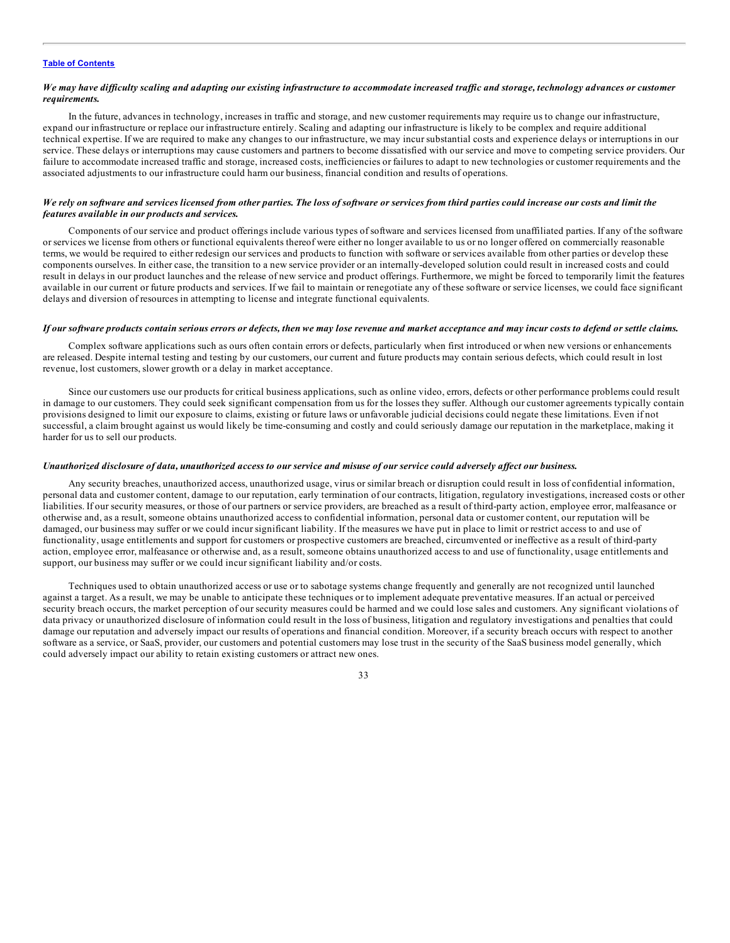#### We may have difficulty scaling and adapting our existing infrastructure to accommodate increased traffic and storage, technology advances or customer *requirements.*

In the future, advances in technology, increases in traffic and storage, and new customer requirements may require us to change our infrastructure, expand our infrastructure or replace our infrastructure entirely. Scaling and adapting our infrastructure is likely to be complex and require additional technical expertise. If we are required to make any changes to our infrastructure, we may incur substantial costs and experience delays or interruptions in our service. These delays or interruptions may cause customers and partners to become dissatisfied with our service and move to competing service providers. Our failure to accommodate increased traffic and storage, increased costs, inefficiencies or failures to adapt to new technologies or customer requirements and the associated adjustments to our infrastructure could harm our business, financial condition and results of operations.

## We rely on software and services licensed from other parties. The loss of software or services from third parties could increase our costs and limit the *features available in our products and services.*

Components of our service and product offerings include various types of software and services licensed from unaffiliated parties. If any of the software or services we license from others or functional equivalents thereof were either no longer available to us or no longer offered on commercially reasonable terms, we would be required to either redesign our services and products to function with software or services available from other parties or develop these components ourselves. In either case, the transition to a new service provider or an internally-developed solution could result in increased costs and could result in delays in our product launches and the release of new service and product offerings. Furthermore, we might be forced to temporarily limit the features available in our current or future products and services. If we fail to maintain or renegotiate any of these software or service licenses, we could face significant delays and diversion of resources in attempting to license and integrate functional equivalents.

## If our software products contain serious errors or defects, then we may lose revenue and market acceptance and may incur costs to defend or settle claims.

Complex software applications such as ours often contain errors or defects, particularly when first introduced or when new versions or enhancements are released. Despite internal testing and testing by our customers, our current and future products may contain serious defects, which could result in lost revenue, lost customers, slower growth or a delay in market acceptance.

Since our customers use our products for critical business applications, such as online video, errors, defects or other performance problems could result in damage to our customers. They could seek significant compensation from us for the losses they suffer. Although our customer agreements typically contain provisions designed to limit our exposure to claims, existing or future laws or unfavorable judicial decisions could negate these limitations. Even if not successful, a claim brought against us would likely be time-consuming and costly and could seriously damage our reputation in the marketplace, making it harder for us to sell our products.

#### Unauthorized disclosure of data, unauthorized access to our service and misuse of our service could adversely affect our business.

Any security breaches, unauthorized access, unauthorized usage, virus or similar breach or disruption could result in loss of confidential information, personal data and customer content, damage to our reputation, early termination of our contracts, litigation, regulatory investigations, increased costs or other liabilities. If our security measures, or those of our partners or service providers, are breached as a result of third-party action, employee error, malfeasance or otherwise and, as a result, someone obtains unauthorized access to confidential information, personal data or customer content, our reputation will be damaged, our business may suffer or we could incur significant liability. If the measures we have put in place to limit or restrict access to and use of functionality, usage entitlements and support for customers or prospective customers are breached, circumvented or ineffective as a result of third-party action, employee error, malfeasance or otherwise and, as a result, someone obtains unauthorized access to and use of functionality, usage entitlements and support, our business may suffer or we could incur significant liability and/or costs.

Techniques used to obtain unauthorized access or use or to sabotage systems change frequently and generally are not recognized until launched against a target. As a result, we may be unable to anticipate these techniques or to implement adequate preventative measures. If an actual or perceived security breach occurs, the market perception of our security measures could be harmed and we could lose sales and customers. Any significant violations of data privacy or unauthorized disclosure of information could result in the loss of business, litigation and regulatory investigations and penalties that could damage our reputation and adversely impact our results of operations and financial condition. Moreover, if a security breach occurs with respect to another software as a service, or SaaS, provider, our customers and potential customers may lose trust in the security of the SaaS business model generally, which could adversely impact our ability to retain existing customers or attract new ones.

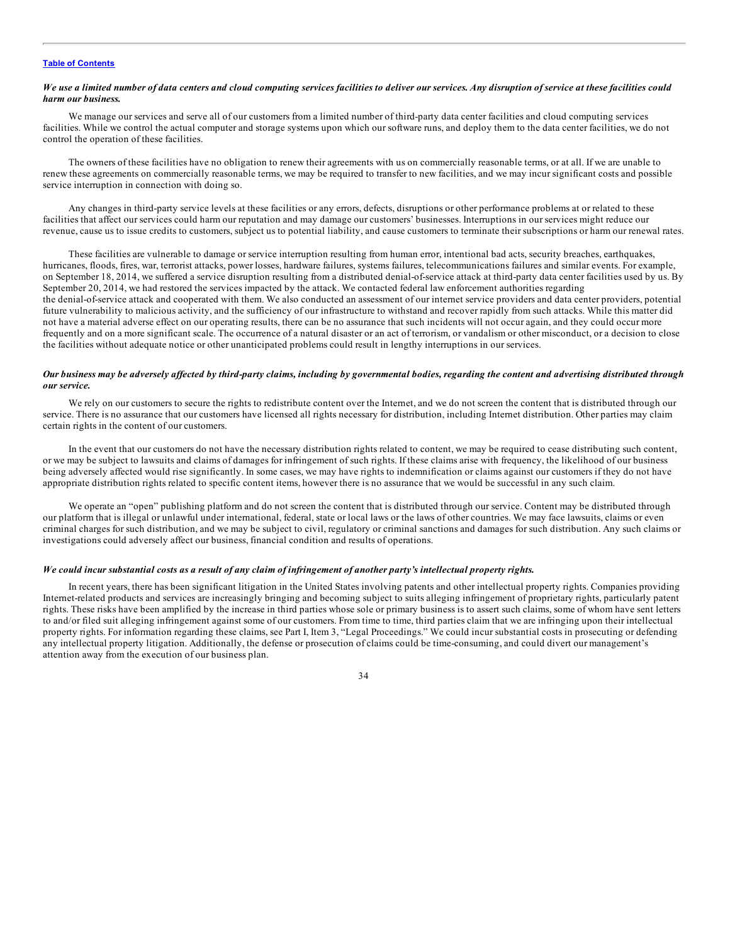## We use a limited number of data centers and cloud computing services facilities to deliver our services. Any disruption of service at these facilities could *harm our business.*

We manage our services and serve all of our customers from a limited number of third-party data center facilities and cloud computing services facilities. While we control the actual computer and storage systems upon which our software runs, and deploy them to the data center facilities, we do not control the operation of these facilities.

The owners of these facilities have no obligation to renew their agreements with us on commercially reasonable terms, or at all. If we are unable to renew these agreements on commercially reasonable terms, we may be required to transfer to new facilities, and we may incur significant costs and possible service interruption in connection with doing so.

Any changes in third-party service levels at these facilities or any errors, defects, disruptions or other performance problems at or related to these facilities that affect our services could harm our reputation and may damage our customers' businesses. Interruptions in our services might reduce our revenue, cause us to issue credits to customers, subject us to potential liability, and cause customers to terminate their subscriptions or harm our renewal rates.

These facilities are vulnerable to damage or service interruption resulting from human error, intentional bad acts, security breaches, earthquakes, hurricanes, floods, fires, war, terrorist attacks, power losses, hardware failures, systems failures, telecommunications failures and similar events. For example, on September 18, 2014, we suffered a service disruption resulting from a distributed denial-of-service attack at third-party data center facilities used by us. By September 20, 2014, we had restored the services impacted by the attack. We contacted federal law enforcement authorities regarding the denial-of-service attack and cooperated with them. We also conducted an assessment of our internet service providers and data center providers, potential future vulnerability to malicious activity, and the sufficiency of our infrastructure to withstand and recover rapidly from such attacks. While this matter did not have a material adverse effect on our operating results, there can be no assurance that such incidents will not occur again, and they could occur more frequently and on a more significant scale. The occurrence of a natural disaster or an act of terrorism, or vandalism or other misconduct, or a decision to close the facilities without adequate notice or other unanticipated problems could result in lengthy interruptions in our services.

## Our business may be adversely affected by third-party claims, including by governmental bodies, regarding the content and advertising distributed through *our service.*

We rely on our customers to secure the rights to redistribute content over the Internet, and we do not screen the content that is distributed through our service. There is no assurance that our customers have licensed all rights necessary for distribution, including Internet distribution. Other parties may claim certain rights in the content of our customers.

In the event that our customers do not have the necessary distribution rights related to content, we may be required to cease distributing such content, or we may be subject to lawsuits and claims of damages for infringement of such rights. If these claims arise with frequency, the likelihood of our business being adversely affected would rise significantly. In some cases, we may have rights to indemnification or claims against our customers if they do not have appropriate distribution rights related to specific content items, however there is no assurance that we would be successful in any such claim.

We operate an "open" publishing platform and do not screen the content that is distributed through our service. Content may be distributed through our platform that is illegal or unlawful under international, federal, state or local laws or the laws of other countries. We may face lawsuits, claims or even criminal charges for such distribution, and we may be subject to civil, regulatory or criminal sanctions and damages for such distribution. Any such claims or investigations could adversely affect our business, financial condition and results of operations.

## We could incur substantial costs as a result of any claim of infringement of another party's intellectual property rights.

In recent years, there has been significant litigation in the United States involving patents and other intellectual property rights. Companies providing Internet-related products and services are increasingly bringing and becoming subject to suits alleging infringement of proprietary rights, particularly patent rights. These risks have been amplified by the increase in third parties whose sole or primary business is to assert such claims, some of whom have sent letters to and/or filed suit alleging infringement against some of our customers. From time to time, third parties claim that we are infringing upon their intellectual property rights. For information regarding these claims, see Part I, Item 3, "Legal Proceedings." We could incur substantial costs in prosecuting or defending any intellectual property litigation. Additionally, the defense or prosecution of claims could be time-consuming, and could divert our management's attention away from the execution of our business plan.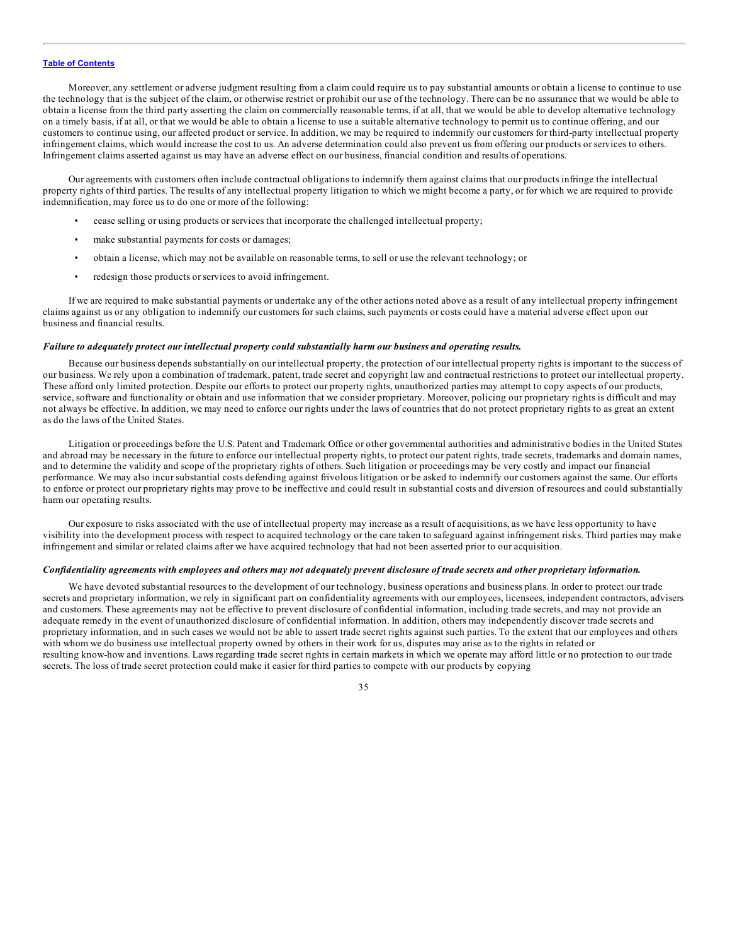Moreover, any settlement or adverse judgment resulting from a claim could require us to pay substantial amounts or obtain a license to continue to use the technology that is the subject of the claim, or otherwise restrict or prohibit our use of the technology. There can be no assurance that we would be able to obtain a license from the third party asserting the claim on commercially reasonable terms, if at all, that we would be able to develop alternative technology on a timely basis, if at all, or that we would be able to obtain a license to use a suitable alternative technology to permit us to continue offering, and our customers to continue using, our affected product or service. In addition, we may be required to indemnify our customers for third-party intellectual property infringement claims, which would increase the cost to us. An adverse determination could also prevent us from offering our products or services to others. Infringement claims asserted against us may have an adverse effect on our business, financial condition and results of operations.

Our agreements with customers often include contractual obligations to indemnify them against claims that our products infringe the intellectual property rights of third parties. The results of any intellectual property litigation to which we might become a party, or for which we are required to provide indemnification, may force us to do one or more of the following:

- cease selling or using products or services that incorporate the challenged intellectual property;
- make substantial payments for costs or damages;
- obtain a license, which may not be available on reasonable terms, to sell or use the relevant technology; or
- redesign those products or services to avoid infringement.

If we are required to make substantial payments or undertake any of the other actions noted above as a result of any intellectual property infringement claims against us or any obligation to indemnify our customers for such claims, such payments or costs could have a material adverse effect upon our business and financial results.

## *Failure to adequately protect our intellectual property could substantially harm our business and operating results.*

Because our business depends substantially on our intellectual property, the protection of our intellectual property rights is important to the success of our business. We rely upon a combination of trademark, patent, trade secret and copyright law and contractual restrictions to protect our intellectual property. These afford only limited protection. Despite our efforts to protect our property rights, unauthorized parties may attempt to copy aspects of our products, service, software and functionality or obtain and use information that we consider proprietary. Moreover, policing our proprietary rights is difficult and may not always be effective. In addition, we may need to enforce our rights under the laws of countries that do not protect proprietary rights to as great an extent as do the laws of the United States.

Litigation or proceedings before the U.S. Patent and Trademark Office or other governmental authorities and administrative bodies in the United States and abroad may be necessary in the future to enforce our intellectual property rights, to protect our patent rights, trade secrets, trademarks and domain names, and to determine the validity and scope of the proprietary rights of others. Such litigation or proceedings may be very costly and impact our financial performance. We may also incur substantial costs defending against frivolous litigation or be asked to indemnify our customers against the same. Our efforts to enforce or protect our proprietary rights may prove to be ineffective and could result in substantial costs and diversion of resources and could substantially harm our operating results.

Our exposure to risks associated with the use of intellectual property may increase as a result of acquisitions, as we have less opportunity to have visibility into the development process with respect to acquired technology or the care taken to safeguard against infringement risks. Third parties may make infringement and similar or related claims after we have acquired technology that had not been asserted prior to our acquisition.

## Confidentiality agreements with employees and others may not adequately prevent disclosure of trade secrets and other proprietary information.

We have devoted substantial resources to the development of our technology, business operations and business plans. In order to protect our trade secrets and proprietary information, we rely in significant part on confidentiality agreements with our employees, licensees, independent contractors, advisers and customers. These agreements may not be effective to prevent disclosure of confidential information, including trade secrets, and may not provide an adequate remedy in the event of unauthorized disclosure of confidential information. In addition, others may independently discover trade secrets and proprietary information, and in such cases we would not be able to assert trade secret rights against such parties. To the extent that our employees and others with whom we do business use intellectual property owned by others in their work for us, disputes may arise as to the rights in related or resulting know-how and inventions. Laws regarding trade secret rights in certain markets in which we operate may afford little or no protection to our trade secrets. The loss of trade secret protection could make it easier for third parties to compete with our products by copying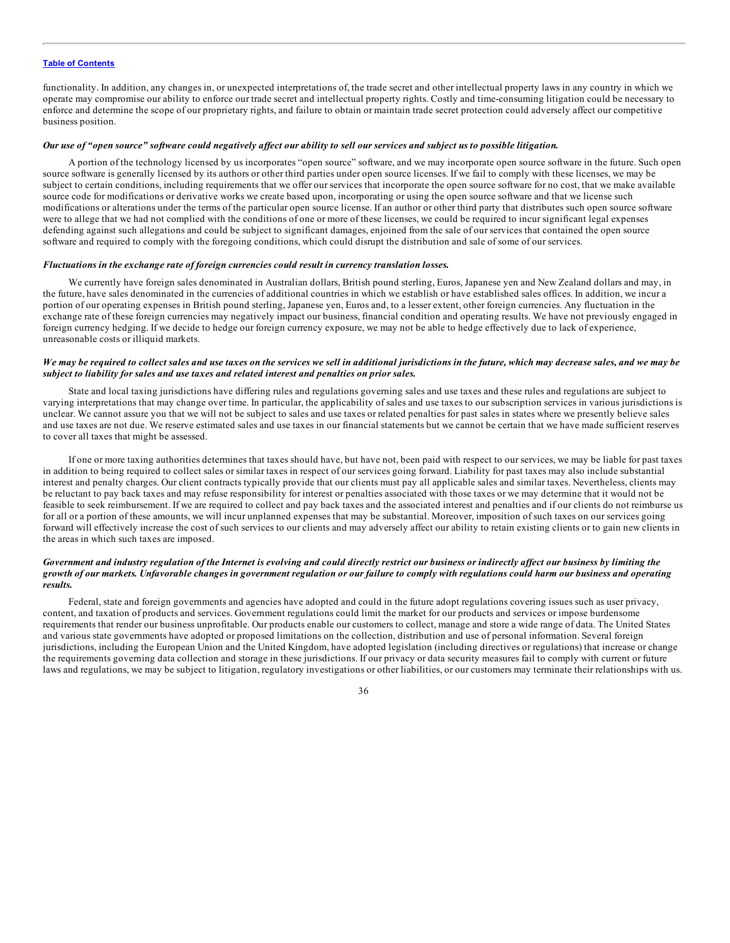functionality. In addition, any changes in, or unexpected interpretations of, the trade secret and other intellectual property laws in any country in which we operate may compromise our ability to enforce our trade secret and intellectual property rights. Costly and time-consuming litigation could be necessary to enforce and determine the scope of our proprietary rights, and failure to obtain or maintain trade secret protection could adversely affect our competitive business position.

## Our use of "open source" software could negatively affect our ability to sell our services and subject us to possible litigation.

A portion of the technology licensed by us incorporates "open source" software, and we may incorporate open source software in the future. Such open source software is generally licensed by its authors or other third parties under open source licenses. If we fail to comply with these licenses, we may be subject to certain conditions, including requirements that we offer our services that incorporate the open source software for no cost, that we make available source code for modifications or derivative works we create based upon, incorporating or using the open source software and that we license such modifications or alterations under the terms of the particular open source license. If an author or other third party that distributes such open source software were to allege that we had not complied with the conditions of one or more of these licenses, we could be required to incur significant legal expenses defending against such allegations and could be subject to significant damages, enjoined from the sale of our services that contained the open source software and required to comply with the foregoing conditions, which could disrupt the distribution and sale of some of our services.

#### *Fluctuations in the exchange rate of foreign currencies could result in currency translation losses.*

We currently have foreign sales denominated in Australian dollars, British pound sterling, Euros, Japanese yen and New Zealand dollars and may, in the future, have sales denominated in the currencies of additional countries in which we establish or have established sales offices. In addition, we incur a portion of our operating expenses in British pound sterling, Japanese yen, Euros and, to a lesser extent, other foreign currencies. Any fluctuation in the exchange rate of these foreign currencies may negatively impact our business, financial condition and operating results. We have not previously engaged in foreign currency hedging. If we decide to hedge our foreign currency exposure, we may not be able to hedge effectively due to lack of experience, unreasonable costs or illiquid markets.

## We may be required to collect sales and use taxes on the services we sell in additional jurisdictions in the future, which may decrease sales, and we may be *subject to liability for sales and use taxes and related interest and penalties on prior sales.*

State and local taxing jurisdictions have differing rules and regulations governing sales and use taxes and these rules and regulations are subject to varying interpretations that may change over time. In particular, the applicability of sales and use taxes to our subscription services in various jurisdictions is unclear. We cannot assure you that we will not be subject to sales and use taxes or related penalties for past sales in states where we presently believe sales and use taxes are not due. We reserve estimated sales and use taxes in our financial statements but we cannot be certain that we have made sufficient reserves to cover all taxes that might be assessed.

If one or more taxing authorities determines that taxes should have, but have not, been paid with respect to our services, we may be liable for past taxes in addition to being required to collect sales or similar taxes in respect of our services going forward. Liability for past taxes may also include substantial interest and penalty charges. Our client contracts typically provide that our clients must pay all applicable sales and similar taxes. Nevertheless, clients may be reluctant to pay back taxes and may refuse responsibility for interest or penalties associated with those taxes or we may determine that it would not be feasible to seek reimbursement. If we are required to collect and pay back taxes and the associated interest and penalties and if our clients do not reimburse us for all or a portion of these amounts, we will incur unplanned expenses that may be substantial. Moreover, imposition of such taxes on our services going forward will effectively increase the cost of such services to our clients and may adversely affect our ability to retain existing clients or to gain new clients in the areas in which such taxes are imposed.

#### Government and industry regulation of the Internet is evolving and could directly restrict our business or indirectly affect our business by limiting the growth of our markets. Unfavorable changes in government regulation or our failure to comply with regulations could harm our business and operating *results.*

Federal, state and foreign governments and agencies have adopted and could in the future adopt regulations covering issues such as user privacy, content, and taxation of products and services. Government regulations could limit the market for our products and services or impose burdensome requirements that render our business unprofitable. Our products enable our customers to collect, manage and store a wide range of data. The United States and various state governments have adopted or proposed limitations on the collection, distribution and use of personal information. Several foreign jurisdictions, including the European Union and the United Kingdom, have adopted legislation (including directives or regulations) that increase or change the requirements governing data collection and storage in these jurisdictions. If our privacy or data security measures fail to comply with current or future laws and regulations, we may be subject to litigation, regulatory investigations or other liabilities, or our customers may terminate their relationships with us.

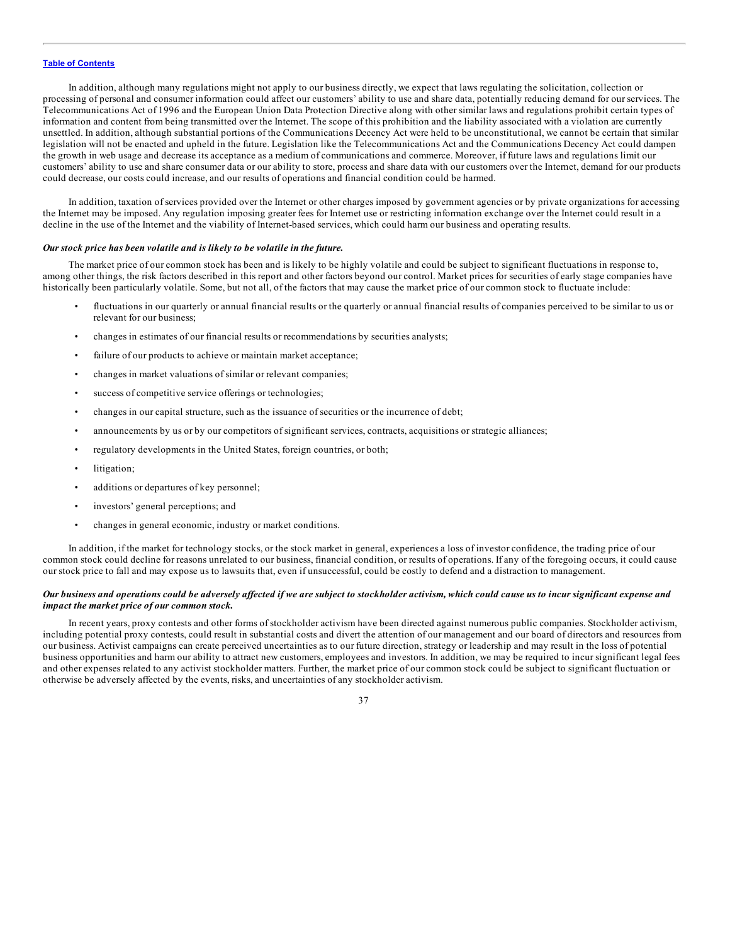In addition, although many regulations might not apply to our business directly, we expect that laws regulating the solicitation, collection or processing of personal and consumer information could affect our customers' ability to use and share data, potentially reducing demand for our services. The Telecommunications Act of 1996 and the European Union Data Protection Directive along with other similar laws and regulations prohibit certain types of information and content from being transmitted over the Internet. The scope of this prohibition and the liability associated with a violation are currently unsettled. In addition, although substantial portions of the Communications Decency Act were held to be unconstitutional, we cannot be certain that similar legislation will not be enacted and upheld in the future. Legislation like the Telecommunications Act and the Communications Decency Act could dampen the growth in web usage and decrease its acceptance as a medium of communications and commerce. Moreover, if future laws and regulations limit our customers' ability to use and share consumer data or our ability to store, process and share data with our customers over the Internet, demand for our products could decrease, our costs could increase, and our results of operations and financial condition could be harmed.

In addition, taxation of services provided over the Internet or other charges imposed by government agencies or by private organizations for accessing the Internet may be imposed. Any regulation imposing greater fees for Internet use or restricting information exchange over the Internet could result in a decline in the use of the Internet and the viability of Internet-based services, which could harm our business and operating results.

#### *Our stock price has been volatile and is likely to be volatile in the future.*

The market price of our common stock has been and is likely to be highly volatile and could be subject to significant fluctuations in response to, among other things, the risk factors described in this report and other factors beyond our control. Market prices for securities of early stage companies have historically been particularly volatile. Some, but not all, of the factors that may cause the market price of our common stock to fluctuate include:

- fluctuations in our quarterly or annual financial results or the quarterly or annual financial results of companies perceived to be similar to us or relevant for our business;
- changes in estimates of our financial results or recommendations by securities analysts;
- failure of our products to achieve or maintain market acceptance;
- changes in market valuations of similar or relevant companies;
- success of competitive service offerings or technologies;
- changes in our capital structure, such as the issuance of securities or the incurrence of debt;
- announcements by us or by our competitors of significant services, contracts, acquisitions or strategic alliances;
- regulatory developments in the United States, foreign countries, or both;
- litigation;
- additions or departures of key personnel;
- investors' general perceptions; and
- changes in general economic, industry or market conditions.

In addition, if the market for technology stocks, or the stock market in general, experiences a loss of investor confidence, the trading price of our common stock could decline for reasons unrelated to our business, financial condition, or results of operations. If any of the foregoing occurs, it could cause our stock price to fall and may expose us to lawsuits that, even if unsuccessful, could be costly to defend and a distraction to management.

## Our business and operations could be adversely affected if we are subject to stockholder activism, which could cause us to incur significant expense and *impact the market price of our common stock.*

In recent years, proxy contests and other forms of stockholder activism have been directed against numerous public companies. Stockholder activism, including potential proxy contests, could result in substantial costs and divert the attention of our management and our board of directors and resources from our business. Activist campaigns can create perceived uncertainties as to our future direction, strategy or leadership and may result in the loss of potential business opportunities and harm our ability to attract new customers, employees and investors. In addition, we may be required to incur significant legal fees and other expenses related to any activist stockholder matters. Further, the market price of our common stock could be subject to significant fluctuation or otherwise be adversely affected by the events, risks, and uncertainties of any stockholder activism.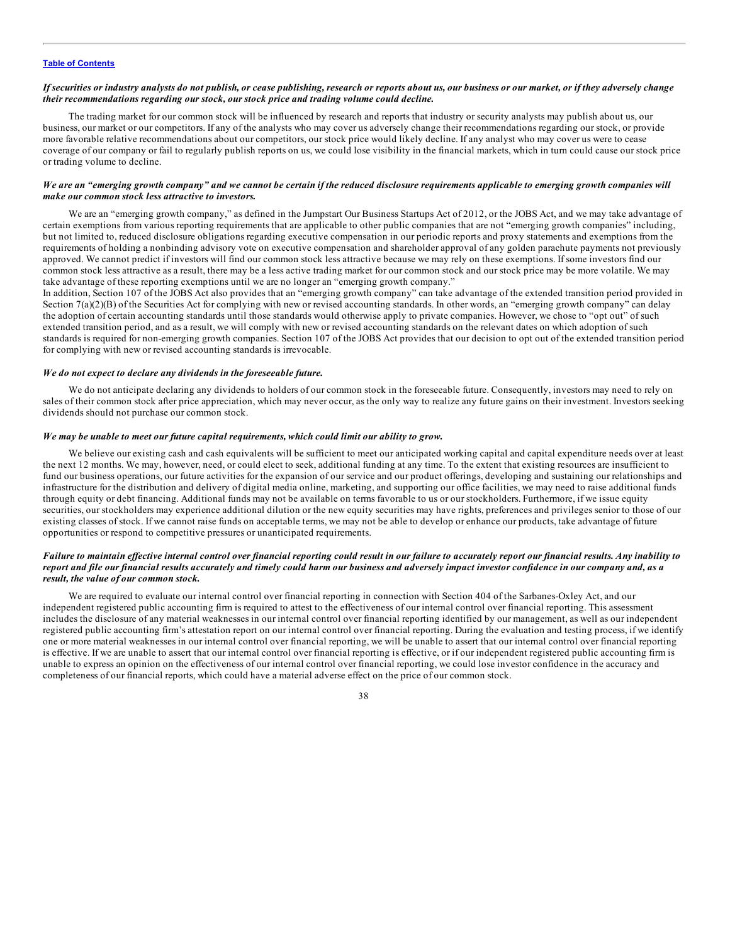## If securities or industry analysts do not publish, or cease publishing, research or reports about us, our business or our market, or if they adversely change *their recommendations regarding our stock, our stock price and trading volume could decline.*

The trading market for our common stock will be influenced by research and reports that industry or security analysts may publish about us, our business, our market or our competitors. If any of the analysts who may cover us adversely change their recommendations regarding our stock, or provide more favorable relative recommendations about our competitors, our stock price would likely decline. If any analyst who may cover us were to cease coverage of our company or fail to regularly publish reports on us, we could lose visibility in the financial markets, which in turn could cause our stock price or trading volume to decline.

## We are an "emerging growth company" and we cannot be certain if the reduced disclosure requirements applicable to emerging growth companies will *make our common stock less attractive to investors.*

We are an "emerging growth company," as defined in the Jumpstart Our Business Startups Act of 2012, or the JOBS Act, and we may take advantage of certain exemptions from various reporting requirements that are applicable to other public companies that are not "emerging growth companies" including, but not limited to, reduced disclosure obligations regarding executive compensation in our periodic reports and proxy statements and exemptions from the requirements of holding a nonbinding advisory vote on executive compensation and shareholder approval of any golden parachute payments not previously approved. We cannot predict if investors will find our common stock less attractive because we may rely on these exemptions. If some investors find our common stock less attractive as a result, there may be a less active trading market for our common stock and our stock price may be more volatile. We may take advantage of these reporting exemptions until we are no longer an "emerging growth company."

In addition, Section 107 of the JOBS Act also provides that an "emerging growth company" can take advantage of the extended transition period provided in Section  $7(a)(2)(B)$  of the Securities Act for complying with new or revised accounting standards. In other words, an "emerging growth company" can delay the adoption of certain accounting standards until those standards would otherwise apply to private companies. However, we chose to "opt out" of such extended transition period, and as a result, we will comply with new or revised accounting standards on the relevant dates on which adoption of such standards is required for non-emerging growth companies. Section 107 of the JOBS Act provides that our decision to opt out of the extended transition period for complying with new or revised accounting standards is irrevocable.

## *We do not expect to declare any dividends in the foreseeable future.*

We do not anticipate declaring any dividends to holders of our common stock in the foreseeable future. Consequently, investors may need to rely on sales of their common stock after price appreciation, which may never occur, as the only way to realize any future gains on their investment. Investors seeking dividends should not purchase our common stock.

#### *We may be unable to meet our future capital requirements, which could limit our ability to grow.*

We believe our existing cash and cash equivalents will be sufficient to meet our anticipated working capital and capital expenditure needs over at least the next 12 months. We may, however, need, or could elect to seek, additional funding at any time. To the extent that existing resources are insufficient to fund our business operations, our future activities for the expansion of our service and our product offerings, developing and sustaining our relationships and infrastructure for the distribution and delivery of digital media online, marketing, and supporting our office facilities, we may need to raise additional funds through equity or debt financing. Additional funds may not be available on terms favorable to us or our stockholders. Furthermore, if we issue equity securities, our stockholders may experience additional dilution or the new equity securities may have rights, preferences and privileges senior to those of our existing classes of stock. If we cannot raise funds on acceptable terms, we may not be able to develop or enhance our products, take advantage of future opportunities or respond to competitive pressures or unanticipated requirements.

## Failure to maintain effective internal control over financial reporting could result in our failure to accurately report our financial results. Any inability to report and file our financial results accurately and timely could harm our business and adversely impact investor confidence in our company and, as a *result, the value of our common stock.*

We are required to evaluate our internal control over financial reporting in connection with Section 404 of the Sarbanes-Oxley Act, and our independent registered public accounting firm is required to attest to the effectiveness of our internal control over financial reporting. This assessment includes the disclosure of any material weaknesses in our internal control over financial reporting identified by our management, as well as our independent registered public accounting firm's attestation report on our internal control over financial reporting. During the evaluation and testing process, if we identify one or more material weaknesses in our internal control over financial reporting, we will be unable to assert that our internal control over financial reporting is effective. If we are unable to assert that our internal control over financial reporting is effective, or if our independent registered public accounting firm is unable to express an opinion on the effectiveness of our internal control over financial reporting, we could lose investor confidence in the accuracy and completeness of our financial reports, which could have a material adverse effect on the price of our common stock.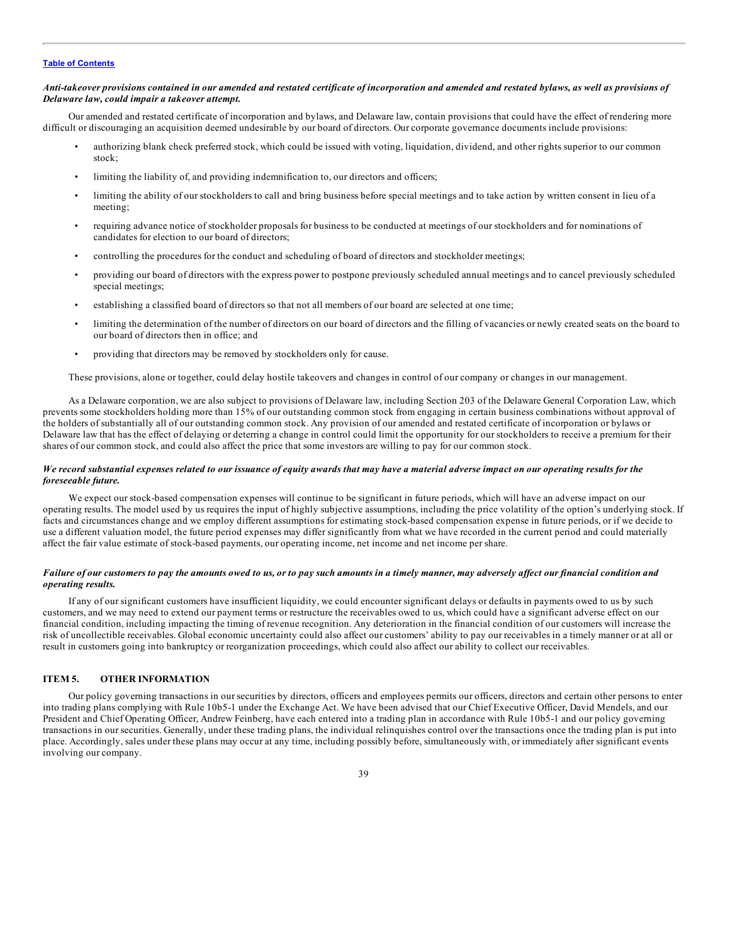## <span id="page-39-0"></span>Anti-takeover provisions contained in our amended and restated certificate of incorporation and amended and restated bylaws, as well as provisions of *Delaware law, could impair a takeover attempt.*

Our amended and restated certificate of incorporation and bylaws, and Delaware law, contain provisions that could have the effect of rendering more difficult or discouraging an acquisition deemed undesirable by our board of directors. Our corporate governance documents include provisions:

- authorizing blank check preferred stock, which could be issued with voting, liquidation, dividend, and other rights superior to our common stock;
- limiting the liability of, and providing indemnification to, our directors and officers;
- limiting the ability of our stockholders to call and bring business before special meetings and to take action by written consent in lieu of a meeting;
- requiring advance notice of stockholder proposals for business to be conducted at meetings of our stockholders and for nominations of candidates for election to our board of directors;
- controlling the procedures for the conduct and scheduling of board of directors and stockholder meetings;
- providing our board of directors with the express power to postpone previously scheduled annual meetings and to cancel previously scheduled special meetings;
- establishing a classified board of directors so that not all members of our board are selected at one time;
- limiting the determination of the number of directors on our board of directors and the filling of vacancies or newly created seats on the board to our board of directors then in office; and
- providing that directors may be removed by stockholders only for cause.

These provisions, alone or together, could delay hostile takeovers and changes in control of our company or changes in our management.

As a Delaware corporation, we are also subject to provisions of Delaware law, including Section 203 of the Delaware General Corporation Law, which prevents some stockholders holding more than 15% of our outstanding common stock from engaging in certain business combinations without approval of the holders of substantially all of our outstanding common stock. Any provision of our amended and restated certificate of incorporation or bylaws or Delaware law that has the effect of delaying or deterring a change in control could limit the opportunity for our stockholders to receive a premium for their shares of our common stock, and could also affect the price that some investors are willing to pay for our common stock.

## We record substantial expenses related to our issuance of equity awards that may have a material adverse impact on our operating results for the *foreseeable future.*

We expect our stock-based compensation expenses will continue to be significant in future periods, which will have an adverse impact on our operating results. The model used by us requires the input of highly subjective assumptions, including the price volatility of the option's underlying stock. If facts and circumstances change and we employ different assumptions for estimating stock-based compensation expense in future periods, or if we decide to use a different valuation model, the future period expenses may differ significantly from what we have recorded in the current period and could materially affect the fair value estimate of stock-based payments, our operating income, net income and net income per share.

## Failure of our customers to pay the amounts owed to us, or to pay such amounts in a timely manner, may adversely affect our financial condition and *operating results.*

If any of our significant customers have insufficient liquidity, we could encounter significant delays or defaults in payments owed to us by such customers, and we may need to extend our payment terms or restructure the receivables owed to us, which could have a significant adverse effect on our financial condition, including impacting the timing of revenue recognition. Any deterioration in the financial condition of our customers will increase the risk of uncollectible receivables. Global economic uncertainty could also affect our customers' ability to pay our receivables in a timely manner or at all or result in customers going into bankruptcy or reorganization proceedings, which could also affect our ability to collect our receivables.

#### **ITEM 5. OTHER INFORMATION**

Our policy governing transactions in our securities by directors, officers and employees permits our officers, directors and certain other persons to enter into trading plans complying with Rule 10b5-1 under the Exchange Act. We have been advised that our Chief Executive Officer, David Mendels, and our President and Chief Operating Officer, Andrew Feinberg, have each entered into a trading plan in accordance with Rule 10b5-1 and our policy governing transactions in our securities. Generally, under these trading plans, the individual relinquishes control over the transactions once the trading plan is put into place. Accordingly, sales under these plans may occur at any time, including possibly before, simultaneously with, or immediately after significant events involving our company.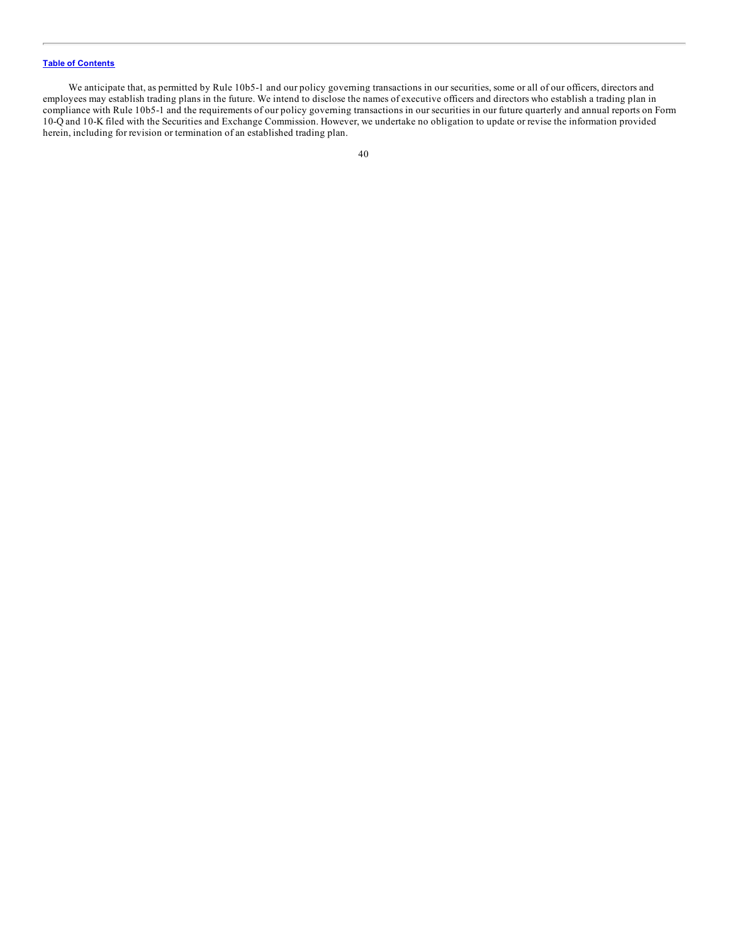We anticipate that, as permitted by Rule 10b5-1 and our policy governing transactions in our securities, some or all of our officers, directors and employees may establish trading plans in the future. We intend to disclose the names of executive officers and directors who establish a trading plan in compliance with Rule 10b5-1 and the requirements of our policy governing transactions in our securities in our future quarterly and annual reports on Form 10-Q and 10-K filed with the Securities and Exchange Commission. However, we undertake no obligation to update or revise the information provided herein, including for revision or termination of an established trading plan.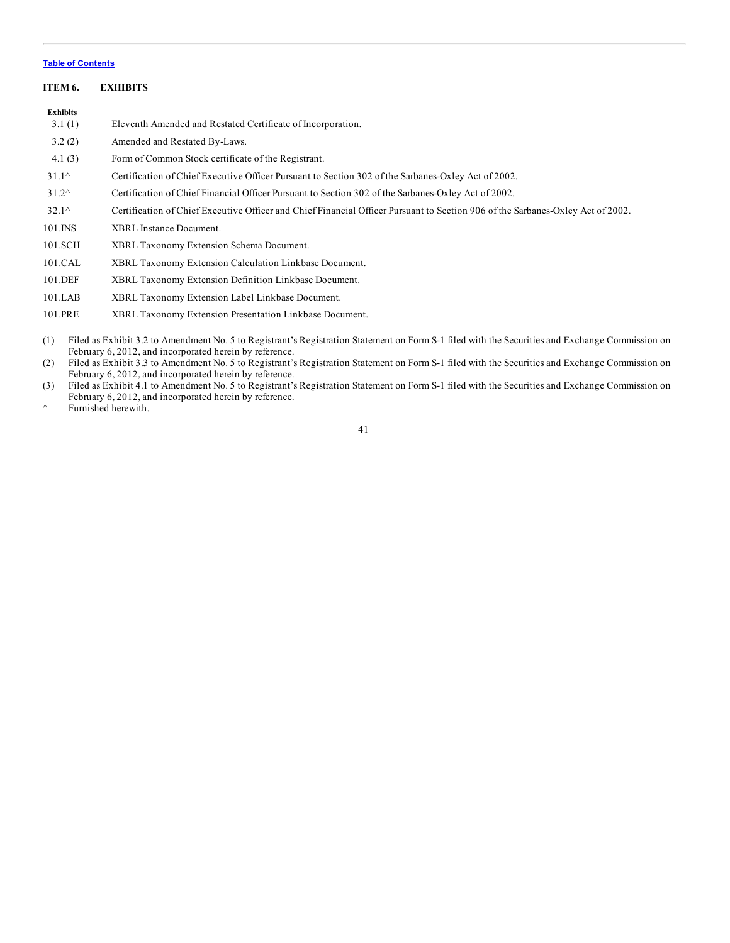## <span id="page-41-0"></span>**ITEM 6. EXHIBITS**

**Exhibits** 3.1 (1) Eleventh Amended and Restated Certificate of Incorporation. 3.2 (2) Amended and Restated By-Laws. 4.1 (3) Form of Common Stock certificate of the Registrant. 31.1^ Certification of Chief Executive Officer Pursuant to Section 302 of the Sarbanes-Oxley Act of 2002. 31.2^ Certification of Chief Financial Officer Pursuant to Section 302 of the Sarbanes-Oxley Act of 2002. 32.1^ Certification of Chief Executive Officer and Chief Financial Officer Pursuant to Section 906 of the Sarbanes-Oxley Act of 2002. 101.INS XBRL Instance Document. 101.SCH XBRL Taxonomy Extension Schema Document. 101.CAL XBRL Taxonomy Extension Calculation Linkbase Document. 101.DEF XBRL Taxonomy Extension Definition Linkbase Document. 101.LAB XBRL Taxonomy Extension Label Linkbase Document. 101.PRE XBRL Taxonomy Extension Presentation Linkbase Document.

(1) Filed as Exhibit 3.2 to Amendment No. 5 to Registrant's Registration Statement on Form S-1 filed with the Securities and Exchange Commission on February 6, 2012, and incorporated herein by reference.

(2) Filed as Exhibit 3.3 to Amendment No. 5 to Registrant's Registration Statement on Form S-1 filed with the Securities and Exchange Commission on February 6, 2012, and incorporated herein by reference.

(3) Filed as Exhibit 4.1 to Amendment No. 5 to Registrant's Registration Statement on Form S-1 filed with the Securities and Exchange Commission on February 6, 2012, and incorporated herein by reference.

 $\wedge$  Furnished herewith.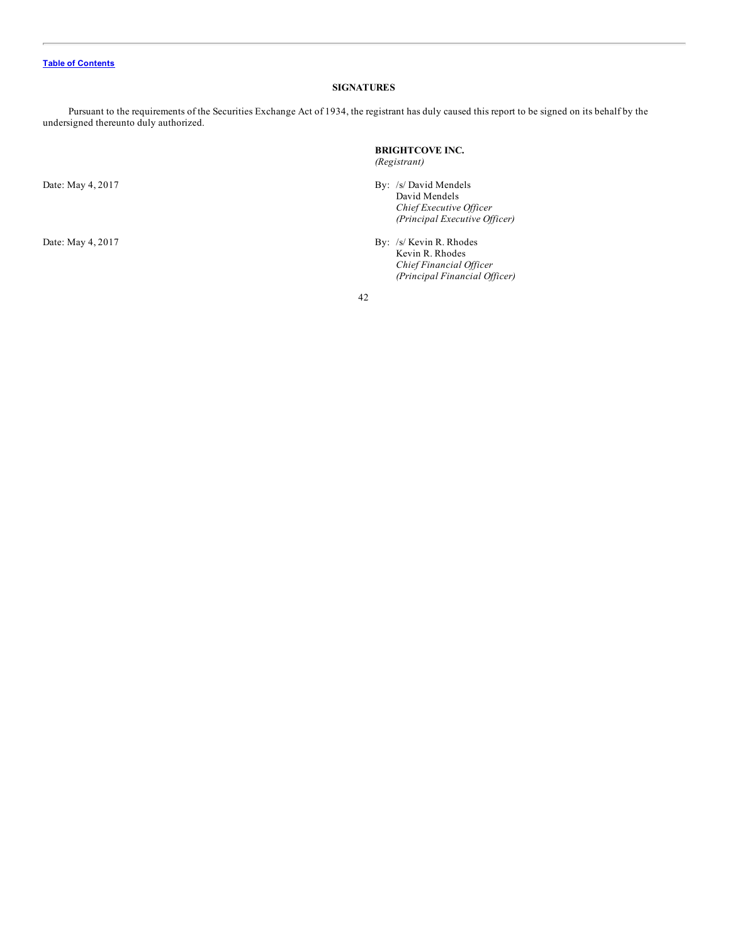## **SIGNATURES**

<span id="page-42-0"></span>Pursuant to the requirements of the Securities Exchange Act of 1934, the registrant has duly caused this report to be signed on its behalf by the undersigned thereunto duly authorized.

## **BRIGHTCOVE INC.**

*(Registrant)*

Date: May 4, 2017 By: /s/ David Mendels David Mendels *Chief Executive Of icer (Principal Executive Of icer)*

Date: May 4, 2017 By: /s/ Kevin R. Rhodes Kevin R. Rhodes *Chief Financial Of icer (Principal Financial Of icer)*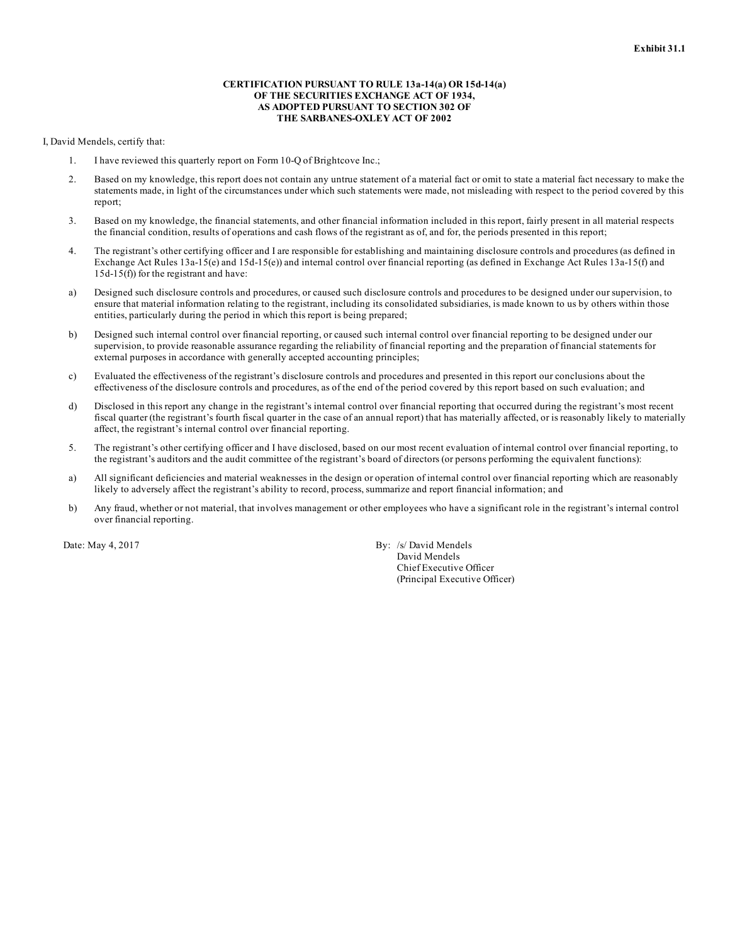## **CERTIFICATION PURSUANT TO RULE 13a-14(a) OR 15d-14(a) OF THE SECURITIES EXCHANGE ACT OF 1934, AS ADOPTED PURSUANT TO SECTION 302 OF THE SARBANES-OXLEY ACT OF 2002**

I, David Mendels, certify that:

- 1. I have reviewed this quarterly report on Form 10-Q of Brightcove Inc.;
- 2. Based on my knowledge, this report does not contain any untrue statement of a material fact or omit to state a material fact necessary to make the statements made, in light of the circumstances under which such statements were made, not misleading with respect to the period covered by this report;
- 3. Based on my knowledge, the financial statements, and other financial information included in this report, fairly present in all material respects the financial condition, results of operations and cash flows of the registrant as of, and for, the periods presented in this report;
- 4. The registrant's other certifying officer and I are responsible for establishing and maintaining disclosure controls and procedures (as defined in Exchange Act Rules 13a-15(e) and 15d-15(e)) and internal control over financial reporting (as defined in Exchange Act Rules 13a-15(f) and  $15d-15(f)$  for the registrant and have:
- a) Designed such disclosure controls and procedures, or caused such disclosure controls and procedures to be designed under our supervision, to ensure that material information relating to the registrant, including its consolidated subsidiaries, is made known to us by others within those entities, particularly during the period in which this report is being prepared;
- b) Designed such internal control over financial reporting, or caused such internal control over financial reporting to be designed under our supervision, to provide reasonable assurance regarding the reliability of financial reporting and the preparation of financial statements for external purposes in accordance with generally accepted accounting principles;
- c) Evaluated the effectiveness of the registrant's disclosure controls and procedures and presented in this report our conclusions about the effectiveness of the disclosure controls and procedures, as of the end of the period covered by this report based on such evaluation; and
- d) Disclosed in this report any change in the registrant's internal control over financial reporting that occurred during the registrant's most recent fiscal quarter (the registrant's fourth fiscal quarter in the case of an annual report) that has materially affected, or is reasonably likely to materially affect, the registrant's internal control over financial reporting.
- 5. The registrant's other certifying officer and I have disclosed, based on our most recent evaluation of internal control over financial reporting, to the registrant's auditors and the audit committee of the registrant's board of directors (or persons performing the equivalent functions):
- a) All significant deficiencies and material weaknesses in the design or operation of internal control over financial reporting which are reasonably likely to adversely affect the registrant's ability to record, process, summarize and report financial information; and
- b) Any fraud, whether or not material, that involves management or other employees who have a significant role in the registrant's internal control over financial reporting.

Date: May 4, 2017 By: /s/ David Mendels David Mendels Chief Executive Officer (Principal Executive Officer)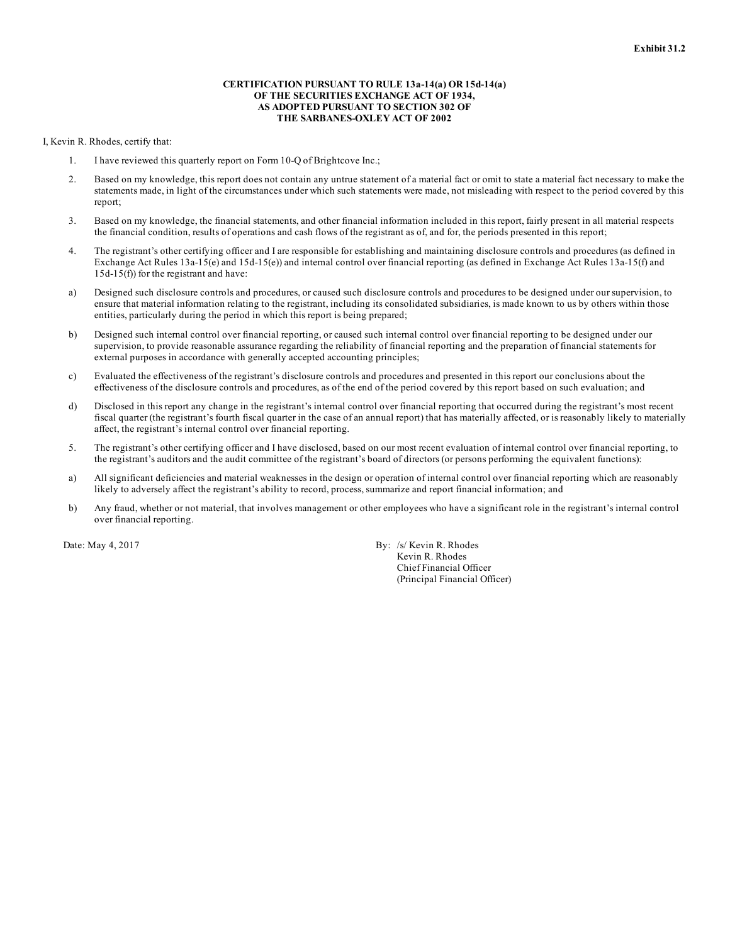## **CERTIFICATION PURSUANT TO RULE 13a-14(a) OR 15d-14(a) OF THE SECURITIES EXCHANGE ACT OF 1934, AS ADOPTED PURSUANT TO SECTION 302 OF THE SARBANES-OXLEY ACT OF 2002**

I, Kevin R. Rhodes, certify that:

- 1. I have reviewed this quarterly report on Form 10-Q of Brightcove Inc.;
- 2. Based on my knowledge, this report does not contain any untrue statement of a material fact or omit to state a material fact necessary to make the statements made, in light of the circumstances under which such statements were made, not misleading with respect to the period covered by this report;
- 3. Based on my knowledge, the financial statements, and other financial information included in this report, fairly present in all material respects the financial condition, results of operations and cash flows of the registrant as of, and for, the periods presented in this report;
- 4. The registrant's other certifying officer and I are responsible for establishing and maintaining disclosure controls and procedures (as defined in Exchange Act Rules 13a-15(e) and 15d-15(e)) and internal control over financial reporting (as defined in Exchange Act Rules 13a-15(f) and  $15d-15(f)$  for the registrant and have:
- a) Designed such disclosure controls and procedures, or caused such disclosure controls and procedures to be designed under our supervision, to ensure that material information relating to the registrant, including its consolidated subsidiaries, is made known to us by others within those entities, particularly during the period in which this report is being prepared;
- b) Designed such internal control over financial reporting, or caused such internal control over financial reporting to be designed under our supervision, to provide reasonable assurance regarding the reliability of financial reporting and the preparation of financial statements for external purposes in accordance with generally accepted accounting principles;
- c) Evaluated the effectiveness of the registrant's disclosure controls and procedures and presented in this report our conclusions about the effectiveness of the disclosure controls and procedures, as of the end of the period covered by this report based on such evaluation; and
- d) Disclosed in this report any change in the registrant's internal control over financial reporting that occurred during the registrant's most recent fiscal quarter (the registrant's fourth fiscal quarter in the case of an annual report) that has materially affected, or is reasonably likely to materially affect, the registrant's internal control over financial reporting.
- 5. The registrant's other certifying officer and I have disclosed, based on our most recent evaluation of internal control over financial reporting, to the registrant's auditors and the audit committee of the registrant's board of directors (or persons performing the equivalent functions):
- a) All significant deficiencies and material weaknesses in the design or operation of internal control over financial reporting which are reasonably likely to adversely affect the registrant's ability to record, process, summarize and report financial information; and
- b) Any fraud, whether or not material, that involves management or other employees who have a significant role in the registrant's internal control over financial reporting.

Date: May 4, 2017 By: /s/ Kevin R. Rhodes Kevin R. Rhodes Chief Financial Officer (Principal Financial Officer)